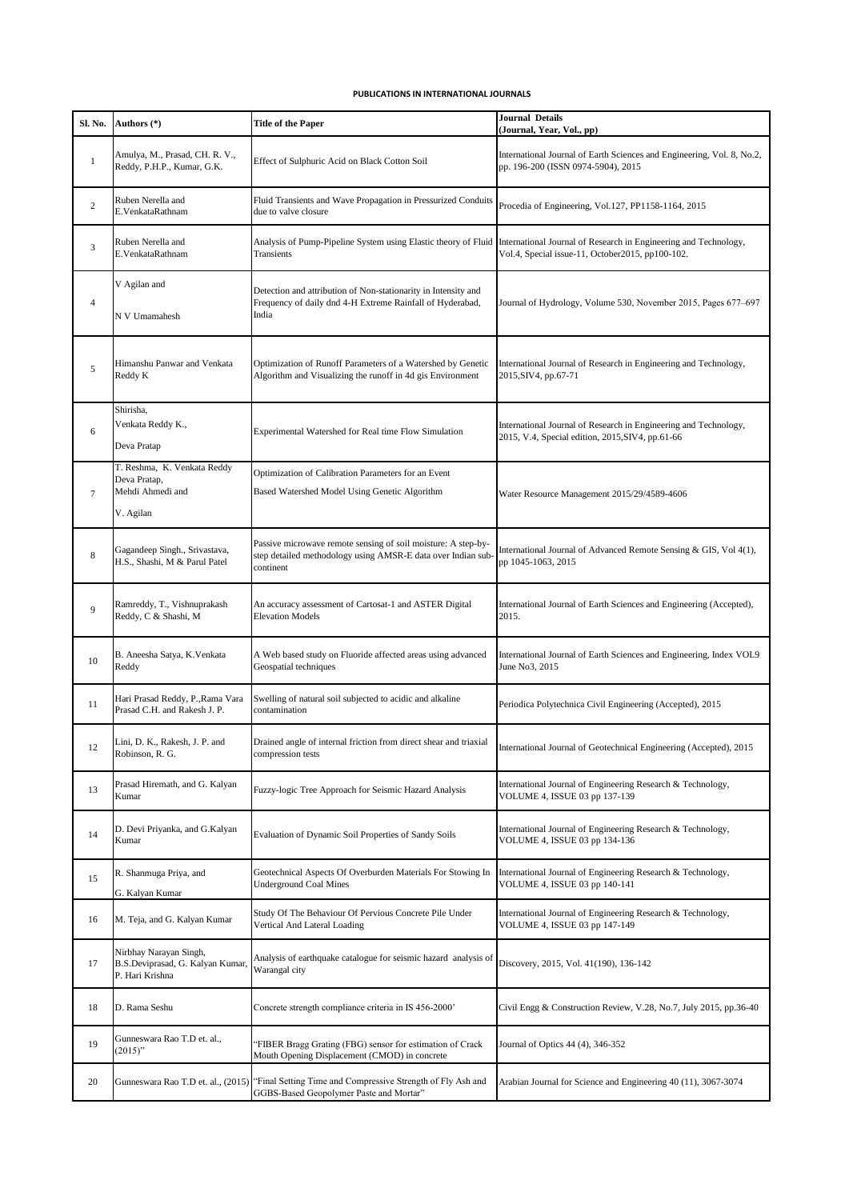## **PUBLICATIONS IN INTERNATIONAL JOURNALS**

| Sl. No.        | Authors (*)                                                                   | <b>Title of the Paper</b>                                                                                                                  | <b>Journal Details</b><br>(Journal, Year, Vol., pp)                                                                  |
|----------------|-------------------------------------------------------------------------------|--------------------------------------------------------------------------------------------------------------------------------------------|----------------------------------------------------------------------------------------------------------------------|
| $\mathbf{1}$   | Amulya, M., Prasad, CH. R. V.,<br>Reddy, P.H.P., Kumar, G.K.                  | Effect of Sulphuric Acid on Black Cotton Soil                                                                                              | International Journal of Earth Sciences and Engineering, Vol. 8, No.2,<br>pp. 196-200 (ISSN 0974-5904), 2015         |
| $\overline{c}$ | Ruben Nerella and<br>E.VenkataRathnam                                         | Fluid Transients and Wave Propagation in Pressurized Conduits<br>due to valve closure                                                      | Procedia of Engineering, Vol.127, PP1158-1164, 2015                                                                  |
| 3              | Ruben Nerella and<br>E.VenkataRathnam                                         | Analysis of Pump-Pipeline System using Elastic theory of Fluid<br>Transients                                                               | International Journal of Research in Engineering and Technology,<br>Vol.4, Special issue-11, October2015, pp100-102. |
| $\overline{4}$ | V Agilan and<br>N V Umamahesh                                                 | Detection and attribution of Non-stationarity in Intensity and<br>Frequency of daily dnd 4-H Extreme Rainfall of Hyderabad,<br>India       | Journal of Hydrology, Volume 530, November 2015, Pages 677-697                                                       |
| 5              | Himanshu Panwar and Venkata<br>Reddy K                                        | Optimization of Runoff Parameters of a Watershed by Genetic<br>Algorithm and Visualizing the runoff in 4d gis Environment                  | International Journal of Research in Engineering and Technology,<br>2015, SIV4, pp. 67-71                            |
| 6              | Shirisha,<br>Venkata Reddy K.,<br>Deva Pratap                                 | Experimental Watershed for Real time Flow Simulation                                                                                       | International Journal of Research in Engineering and Technology,<br>2015, V.4, Special edition, 2015, SIV4, pp.61-66 |
| $\overline{7}$ | T. Reshma, K. Venkata Reddy<br>Deva Pratap,<br>Mehdi Ahmedi and<br>V. Agilan  | Optimization of Calibration Parameters for an Event<br>Based Watershed Model Using Genetic Algorithm                                       | Water Resource Management 2015/29/4589-4606                                                                          |
| 8              | Gagandeep Singh., Srivastava,<br>H.S., Shashi, M & Parul Patel                | Passive microwave remote sensing of soil moisture: A step-by-<br>step detailed methodology using AMSR-E data over Indian sub-<br>continent | International Journal of Advanced Remote Sensing & GIS, Vol 4(1),<br>pp 1045-1063, 2015                              |
| 9              | Ramreddy, T., Vishnuprakash<br>Reddy, C & Shashi, M                           | An accuracy assessment of Cartosat-1 and ASTER Digital<br><b>Elevation Models</b>                                                          | International Journal of Earth Sciences and Engineering (Accepted),<br>2015.                                         |
| 10             | B. Aneesha Satya, K.Venkata<br>Reddy                                          | A Web based study on Fluoride affected areas using advanced<br>Geospatial techniques                                                       | International Journal of Earth Sciences and Engineering, Index VOL9<br>June No3, 2015                                |
| 11             | Hari Prasad Reddy, P., Rama Vara<br>Prasad C.H. and Rakesh J. P.              | Swelling of natural soil subjected to acidic and alkaline<br>contamination                                                                 | Periodica Polytechnica Civil Engineering (Accepted), 2015                                                            |
| 12             | Lini, D. K., Rakesh, J. P. and<br>Robinson, R. G.                             | Drained angle of internal friction from direct shear and triaxial<br>compression tests                                                     | International Journal of Geotechnical Engineering (Accepted), 2015                                                   |
| 13             | Prasad Hiremath, and G. Kalyan<br>Kumar                                       | Fuzzy-logic Tree Approach for Seismic Hazard Analysis                                                                                      | International Journal of Engineering Research & Technology,<br>VOLUME 4, ISSUE 03 pp 137-139                         |
| 14             | D. Devi Priyanka, and G.Kalyan<br>Kumar                                       | Evaluation of Dynamic Soil Properties of Sandy Soils                                                                                       | International Journal of Engineering Research & Technology,<br>VOLUME 4, ISSUE 03 pp 134-136                         |
| 15             | R. Shanmuga Priya, and<br>G. Kalyan Kumar                                     | Geotechnical Aspects Of Overburden Materials For Stowing In<br><b>Underground Coal Mines</b>                                               | International Journal of Engineering Research & Technology,<br>VOLUME 4, ISSUE 03 pp 140-141                         |
| 16             | M. Teja, and G. Kalyan Kumar                                                  | Study Of The Behaviour Of Pervious Concrete Pile Under<br>Vertical And Lateral Loading                                                     | International Journal of Engineering Research & Technology,<br>VOLUME 4, ISSUE 03 pp 147-149                         |
| 17             | Nirbhay Narayan Singh,<br>B.S.Deviprasad, G. Kalyan Kumar,<br>P. Hari Krishna | Analysis of earthquake catalogue for seismic hazard analysis of<br>Warangal city                                                           | Discovery, 2015, Vol. 41(190), 136-142                                                                               |
| 18             | D. Rama Seshu                                                                 | Concrete strength compliance criteria in IS 456-2000'                                                                                      | Civil Engg & Construction Review, V.28, No.7, July 2015, pp.36-40                                                    |
| 19             | Gunneswara Rao T.D et. al.,<br>$(2015)$ "                                     | 'FIBER Bragg Grating (FBG) sensor for estimation of Crack<br>Mouth Opening Displacement (CMOD) in concrete                                 | Journal of Optics 44 (4), 346-352                                                                                    |
| 20             |                                                                               | Gunneswara Rao T.D et. al., (2015) "Final Setting Time and Compressive Strength of Fly Ash and<br>GGBS-Based Geopolymer Paste and Mortar"  | Arabian Journal for Science and Engineering 40 (11), 3067-3074                                                       |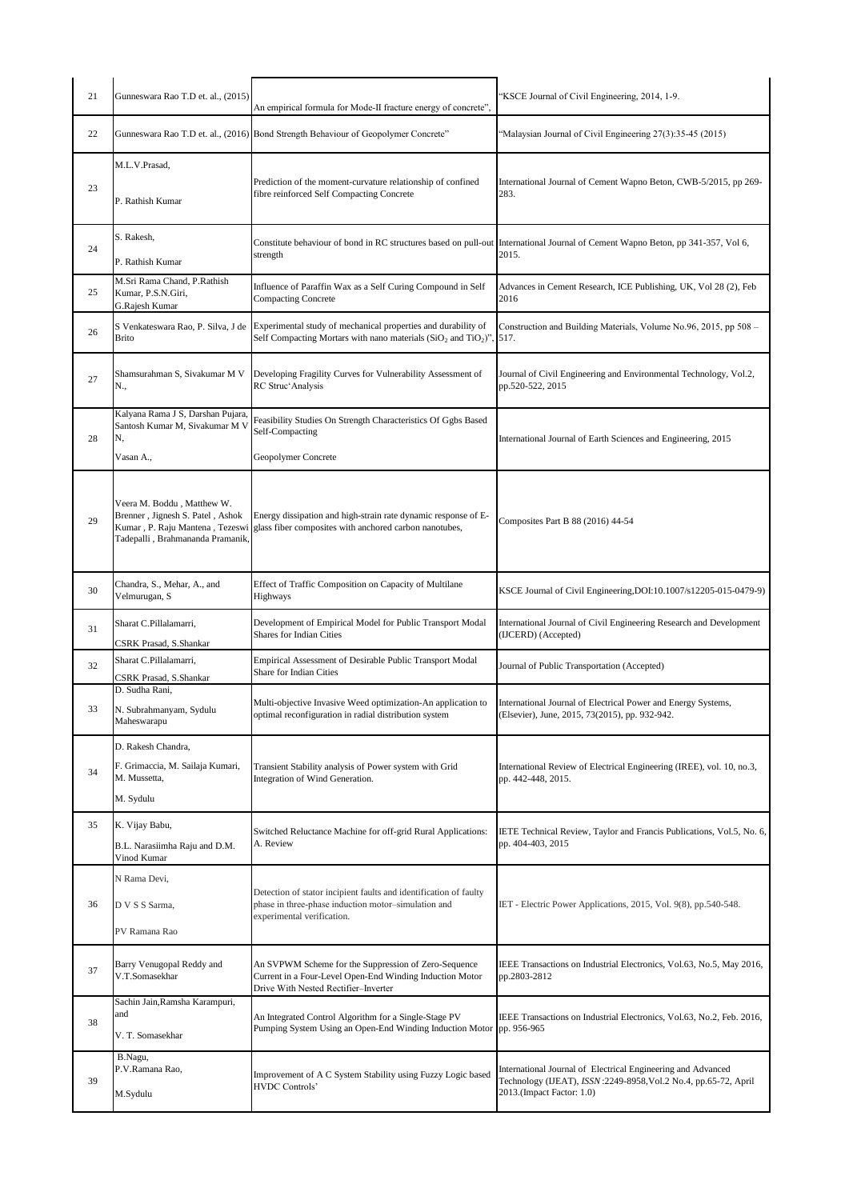| 21 | Gunneswara Rao T.D et. al., (2015)                                                                                                    | An empirical formula for Mode-II fracture energy of concrete",                                                                                           | KSCE Journal of Civil Engineering, 2014, 1-9.                                                                                                                |
|----|---------------------------------------------------------------------------------------------------------------------------------------|----------------------------------------------------------------------------------------------------------------------------------------------------------|--------------------------------------------------------------------------------------------------------------------------------------------------------------|
| 22 |                                                                                                                                       | Gunneswara Rao T.D et. al., (2016) Bond Strength Behaviour of Geopolymer Concrete"                                                                       | 'Malaysian Journal of Civil Engineering 27(3):35-45 (2015)                                                                                                   |
| 23 | M.L.V.Prasad,<br>P. Rathish Kumar                                                                                                     | Prediction of the moment-curvature relationship of confined<br>fibre reinforced Self Compacting Concrete                                                 | International Journal of Cement Wapno Beton, CWB-5/2015, pp 269-<br>283.                                                                                     |
| 24 | S. Rakesh,<br>P. Rathish Kumar                                                                                                        | strength                                                                                                                                                 | Constitute behaviour of bond in RC structures based on pull-out International Journal of Cement Wapno Beton, pp 341-357, Vol 6,<br>2015.                     |
| 25 | M.Sri Rama Chand, P.Rathish<br>Kumar, P.S.N.Giri,<br>G.Rajesh Kumar                                                                   | Influence of Paraffin Wax as a Self Curing Compound in Self<br><b>Compacting Concrete</b>                                                                | Advances in Cement Research, ICE Publishing, UK, Vol 28 (2), Feb<br>2016                                                                                     |
| 26 | S Venkateswara Rao, P. Silva, J de<br>Brito                                                                                           | Experimental study of mechanical properties and durability of<br>Self Compacting Mortars with nano materials $(SiO2$ and TiO <sub>2</sub> )"             | Construction and Building Materials, Volume No.96, 2015, pp 508 -<br>517.                                                                                    |
| 27 | Shamsurahman S, Sivakumar M V<br>N.,                                                                                                  | Developing Fragility Curves for Vulnerability Assessment of<br>RC Struc'Analysis                                                                         | Journal of Civil Engineering and Environmental Technology, Vol.2,<br>pp.520-522, 2015                                                                        |
| 28 | Kalyana Rama J S, Darshan Pujara,<br>Santosh Kumar M, Sivakumar M V<br>N,<br>Vasan A.,                                                | Feasibility Studies On Strength Characteristics Of Ggbs Based<br>Self-Compacting<br>Geopolymer Concrete                                                  | International Journal of Earth Sciences and Engineering, 2015                                                                                                |
| 29 | Veera M. Boddu , Matthew W.<br>Brenner, Jignesh S. Patel, Ashok<br>Kumar, P. Raju Mantena, Tezeswi<br>Tadepalli, Brahmananda Pramanik | Energy dissipation and high-strain rate dynamic response of E-<br>glass fiber composites with anchored carbon nanotubes,                                 | Composites Part B 88 (2016) 44-54                                                                                                                            |
| 30 | Chandra, S., Mehar, A., and<br>Velmurugan, S                                                                                          | Effect of Traffic Composition on Capacity of Multilane<br>Highways                                                                                       | KSCE Journal of Civil Engineering, DOI:10.1007/s12205-015-0479-9)                                                                                            |
| 31 | Sharat C.Pillalamarri,<br>CSRK Prasad, S.Shankar                                                                                      | Development of Empirical Model for Public Transport Modal<br>Shares for Indian Cities                                                                    | International Journal of Civil Engineering Research and Development<br>(IJCERD) (Accepted)                                                                   |
| 32 | Sharat C.Pillalamarri,<br>CSRK Prasad, S.Shankar                                                                                      | Empirical Assessment of Desirable Public Transport Modal<br>Share for Indian Cities                                                                      | Journal of Public Transportation (Accepted)                                                                                                                  |
| 33 | D. Sudha Rani,<br>N. Subrahmanyam, Sydulu<br>Maheswarapu                                                                              | Multi-objective Invasive Weed optimization-An application to<br>optimal reconfiguration in radial distribution system                                    | International Journal of Electrical Power and Energy Systems,<br>(Elsevier), June, 2015, 73(2015), pp. 932-942.                                              |
| 34 | D. Rakesh Chandra,<br>F. Grimaccia, M. Sailaja Kumari,<br>M. Mussetta,<br>M. Sydulu                                                   | Transient Stability analysis of Power system with Grid<br>Integration of Wind Generation.                                                                | International Review of Electrical Engineering (IREE), vol. 10, no.3,<br>pp. 442-448, 2015.                                                                  |
| 35 | K. Vijay Babu,<br>B.L. Narasiimha Raju and D.M.<br>Vinod Kumar                                                                        | Switched Reluctance Machine for off-grid Rural Applications:<br>A. Review                                                                                | IETE Technical Review, Taylor and Francis Publications, Vol.5, No. 6,<br>pp. 404-403, 2015                                                                   |
| 36 | N Rama Devi,<br>D V S S Sarma,<br>PV Ramana Rao                                                                                       | Detection of stator incipient faults and identification of faulty<br>phase in three-phase induction motor-simulation and<br>experimental verification.   | IET - Electric Power Applications, 2015, Vol. 9(8), pp.540-548.                                                                                              |
| 37 | Barry Venugopal Reddy and<br>V.T.Somasekhar                                                                                           | An SVPWM Scheme for the Suppression of Zero-Sequence<br>Current in a Four-Level Open-End Winding Induction Motor<br>Drive With Nested Rectifier-Inverter | IEEE Transactions on Industrial Electronics, Vol.63, No.5, May 2016,<br>pp.2803-2812                                                                         |
| 38 | Sachin Jain, Ramsha Karampuri,<br>and<br>V. T. Somasekhar                                                                             | An Integrated Control Algorithm for a Single-Stage PV<br>Pumping System Using an Open-End Winding Induction Motor                                        | IEEE Transactions on Industrial Electronics, Vol.63, No.2, Feb. 2016,<br>pp. 956-965                                                                         |
| 39 | B.Nagu,<br>P.V.Ramana Rao,<br>M.Sydulu                                                                                                | Improvement of A C System Stability using Fuzzy Logic based<br><b>HVDC</b> Controls'                                                                     | International Journal of Electrical Engineering and Advanced<br>Technology (IJEAT), ISSN:2249-8958, Vol.2 No.4, pp.65-72, April<br>2013.(Impact Factor: 1.0) |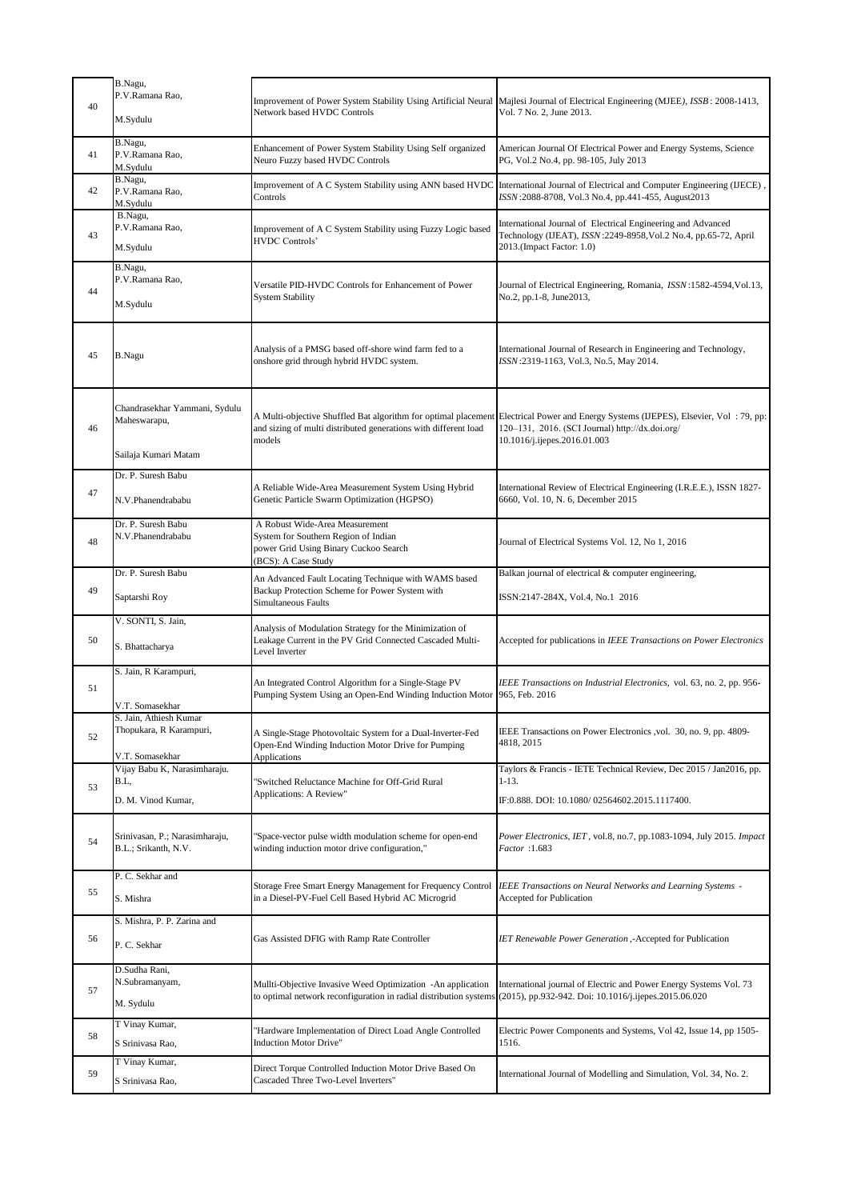| 40 | B.Nagu,<br>P.V.Ramana Rao,<br>M.Sydulu                                | Network based HVDC Controls                                                                                                                 | Improvement of Power System Stability Using Artificial Neural Majlesi Journal of Electrical Engineering (MJEE), ISSB: 2008-1413,<br>Vol. 7 No. 2, June 2013. |
|----|-----------------------------------------------------------------------|---------------------------------------------------------------------------------------------------------------------------------------------|--------------------------------------------------------------------------------------------------------------------------------------------------------------|
| 41 | B.Nagu,<br>P.V.Ramana Rao,<br>M.Sydulu                                | Enhancement of Power System Stability Using Self organized<br>Neuro Fuzzy based HVDC Controls                                               | American Journal Of Electrical Power and Energy Systems, Science<br>PG, Vol.2 No.4, pp. 98-105, July 2013                                                    |
| 42 | B.Nagu,<br>P.V.Ramana Rao,<br>M.Sydulu                                | Improvement of A C System Stability using ANN based HVDC<br>Controls                                                                        | International Journal of Electrical and Computer Engineering (IJECE),<br>ISSN: 2088-8708, Vol.3 No.4, pp.441-455, August2013                                 |
| 43 | B.Nagu,<br>P.V.Ramana Rao,<br>M.Sydulu                                | Improvement of A C System Stability using Fuzzy Logic based<br><b>HVDC Controls'</b>                                                        | International Journal of Electrical Engineering and Advanced<br>Technology (IJEAT), ISSN:2249-8958, Vol.2 No.4, pp.65-72, April<br>2013.(Impact Factor: 1.0) |
| 44 | B.Nagu,<br>P.V.Ramana Rao,<br>M.Sydulu                                | Versatile PID-HVDC Controls for Enhancement of Power<br><b>System Stability</b>                                                             | Journal of Electrical Engineering, Romania, ISSN:1582-4594, Vol.13,<br>No.2, pp.1-8, June2013,                                                               |
| 45 | <b>B.Nagu</b>                                                         | Analysis of a PMSG based off-shore wind farm fed to a<br>onshore grid through hybrid HVDC system.                                           | International Journal of Research in Engineering and Technology,<br>ISSN:2319-1163, Vol.3, No.5, May 2014.                                                   |
| 46 | Chandrasekhar Yammani, Sydulu<br>Maheswarapu,<br>Sailaja Kumari Matam | A Multi-objective Shuffled Bat algorithm for optimal placement<br>and sizing of multi distributed generations with different load<br>models | Electrical Power and Energy Systems (IJEPES), Elsevier, Vol : 79, pp:<br>120-131, 2016. (SCI Journal) http://dx.doi.org/<br>10.1016/j.ijepes.2016.01.003     |
| 47 | Dr. P. Suresh Babu<br>N.V.Phanendrababu                               | A Reliable Wide-Area Measurement System Using Hybrid<br>Genetic Particle Swarm Optimization (HGPSO)                                         | International Review of Electrical Engineering (I.R.E.E.), ISSN 1827-<br>6660, Vol. 10, N. 6, December 2015                                                  |
| 48 | Dr. P. Suresh Babu<br>N.V.Phanendrababu                               | A Robust Wide-Area Measurement<br>System for Southern Region of Indian<br>power Grid Using Binary Cuckoo Search<br>(BCS): A Case Study      | Journal of Electrical Systems Vol. 12, No 1, 2016                                                                                                            |
| 49 | Dr. P. Suresh Babu<br>Saptarshi Roy                                   | An Advanced Fault Locating Technique with WAMS based<br>Backup Protection Scheme for Power System with<br>Simultaneous Faults               | Balkan journal of electrical & computer engineering,<br>ISSN:2147-284X, Vol.4, No.1 2016                                                                     |
| 50 | V. SONTI, S. Jain,<br>S. Bhattacharya                                 | Analysis of Modulation Strategy for the Minimization of<br>Leakage Current in the PV Grid Connected Cascaded Multi-<br>Level Inverter       | Accepted for publications in IEEE Transactions on Power Electronics                                                                                          |
| 51 | S. Jain, R Karampuri,<br>V.T. Somasekhar                              | An Integrated Control Algorithm for a Single-Stage PV<br>Pumping System Using an Open-End Winding Induction Motor 965, Feb. 2016            | IEEE Transactions on Industrial Electronics, vol. 63, no. 2, pp. 956-                                                                                        |
| 52 | S. Jain, Athiesh Kumar<br>Thopukara, R Karampuri,<br>V.T. Somasekhar  | A Single-Stage Photovoltaic System for a Dual-Inverter-Fed<br>Open-End Winding Induction Motor Drive for Pumping<br>Applications            | IEEE Transactions on Power Electronics ,vol. 30, no. 9, pp. 4809-<br>4818, 2015                                                                              |
| 53 | Vijay Babu K, Narasimharaju.<br>B.L,<br>D. M. Vinod Kumar,            | 'Switched Reluctance Machine for Off-Grid Rural<br>Applications: A Review"                                                                  | Taylors & Francis - IETE Technical Review, Dec 2015 / Jan2016, pp.<br>$1 - 13.$<br>IF:0.888. DOI: 10.1080/02564602.2015.1117400.                             |
| 54 | Srinivasan, P.; Narasimharaju,<br>B.L.; Srikanth, N.V.                | 'Space-vector pulse width modulation scheme for open-end<br>winding induction motor drive configuration,"                                   | Power Electronics, IET, vol.8, no.7, pp.1083-1094, July 2015. Impact<br>Factor : 1.683                                                                       |
| 55 | P. C. Sekhar and<br>S. Mishra                                         | Storage Free Smart Energy Management for Frequency Control<br>in a Diesel-PV-Fuel Cell Based Hybrid AC Microgrid                            | IEEE Transactions on Neural Networks and Learning Systems -<br>Accepted for Publication                                                                      |
| 56 | S. Mishra, P. P. Zarina and<br>P. C. Sekhar                           | Gas Assisted DFIG with Ramp Rate Controller                                                                                                 | IET Renewable Power Generation,-Accepted for Publication                                                                                                     |
| 57 | D.Sudha Rani,<br>N.Subramanyam,<br>M. Sydulu                          | Mullti-Objective Invasive Weed Optimization -An application<br>to optimal network reconfiguration in radial distribution systems            | International journal of Electric and Power Energy Systems Vol. 73<br>(2015), pp.932-942. Doi: 10.1016/j.ijepes.2015.06.020                                  |
| 58 | T Vinay Kumar,<br>S Srinivasa Rao,                                    | "Hardware Implementation of Direct Load Angle Controlled<br><b>Induction Motor Drive"</b>                                                   | Electric Power Components and Systems, Vol 42, Issue 14, pp 1505-<br>1516.                                                                                   |
| 59 | T Vinay Kumar,<br>S Srinivasa Rao,                                    | Direct Torque Controlled Induction Motor Drive Based On<br>Cascaded Three Two-Level Inverters"                                              | International Journal of Modelling and Simulation, Vol. 34, No. 2.                                                                                           |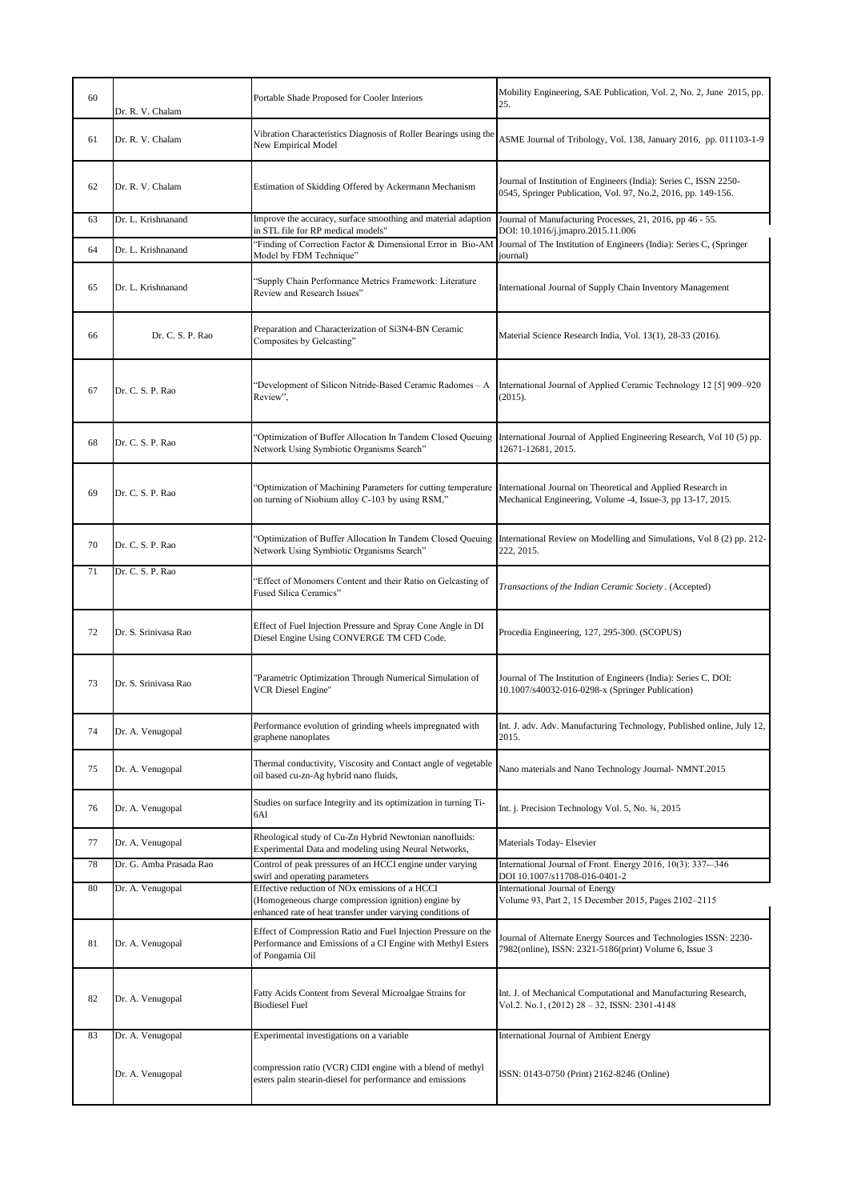| 60 | Dr. R. V. Chalam        | Portable Shade Proposed for Cooler Interiors                                                                                                                                    | Mobility Engineering, SAE Publication, Vol. 2, No. 2, June 2015, pp.<br>25.                                                        |
|----|-------------------------|---------------------------------------------------------------------------------------------------------------------------------------------------------------------------------|------------------------------------------------------------------------------------------------------------------------------------|
| 61 | Dr. R. V. Chalam        | Vibration Characteristics Diagnosis of Roller Bearings using the<br>New Empirical Model                                                                                         | ASME Journal of Tribology, Vol. 138, January 2016, pp. 011103-1-9                                                                  |
| 62 | Dr. R. V. Chalam        | Estimation of Skidding Offered by Ackermann Mechanism                                                                                                                           | Journal of Institution of Engineers (India): Series C, ISSN 2250-<br>0545, Springer Publication, Vol. 97, No.2, 2016, pp. 149-156. |
| 63 | Dr. L. Krishnanand      | Improve the accuracy, surface smoothing and material adaption<br>in STL file for RP medical models"                                                                             | Journal of Manufacturing Processes, 21, 2016, pp 46 - 55.<br>DOI: 10.1016/j.jmapro.2015.11.006                                     |
| 64 | Dr. L. Krishnanand      | "Finding of Correction Factor & Dimensional Error in Bio-AM<br>Model by FDM Technique"                                                                                          | Journal of The Institution of Engineers (India): Series C, (Springer<br>journal)                                                   |
| 65 | Dr. L. Krishnanand      | 'Supply Chain Performance Metrics Framework: Literature<br>Review and Research Issues"                                                                                          | International Journal of Supply Chain Inventory Management                                                                         |
| 66 | Dr. C. S. P. Rao        | Preparation and Characterization of Si3N4-BN Ceramic<br>Composites by Gelcasting"                                                                                               | Material Science Research India, Vol. 13(1), 28-33 (2016).                                                                         |
| 67 | Dr. C. S. P. Rao        | 'Development of Silicon Nitride-Based Ceramic Radomes - A<br>Review",                                                                                                           | International Journal of Applied Ceramic Technology 12 [5] 909-920<br>(2015).                                                      |
| 68 | Dr. C. S. P. Rao        | 'Optimization of Buffer Allocation In Tandem Closed Queuing<br>Network Using Symbiotic Organisms Search"                                                                        | International Journal of Applied Engineering Research, Vol 10 (5) pp.<br>12671-12681, 2015.                                        |
| 69 | Dr. C. S. P. Rao        | 'Optimization of Machining Parameters for cutting temperature International Journal on Theoretical and Applied Research in<br>on turning of Niobium alloy C-103 by using RSM,"  | Mechanical Engineering, Volume -4, Issue-3, pp 13-17, 2015.                                                                        |
| 70 | Dr. C. S. P. Rao        | 'Optimization of Buffer Allocation In Tandem Closed Queuing<br>Network Using Symbiotic Organisms Search"                                                                        | International Review on Modelling and Simulations, Vol 8 (2) pp. 212-<br>222, 2015.                                                |
| 71 | Dr. C. S. P. Rao        | 'Effect of Monomers Content and their Ratio on Gelcasting of<br>Fused Silica Ceramics"                                                                                          | Transactions of the Indian Ceramic Society. (Accepted)                                                                             |
| 72 | Dr. S. Srinivasa Rao    | Effect of Fuel Injection Pressure and Spray Cone Angle in DI<br>Diesel Engine Using CONVERGE TM CFD Code.                                                                       | Procedia Engineering, 127, 295-300. (SCOPUS)                                                                                       |
| 73 | Dr. S. Srinivasa Rao    | 'Parametric Optimization Through Numerical Simulation of<br>VCR Diesel Engine"                                                                                                  | Journal of The Institution of Engineers (India): Series C. DOI:<br>10.1007/s40032-016-0298-x (Springer Publication)                |
| 74 | Dr. A. Venugopal        | Performance evolution of grinding wheels impregnated with<br>graphene nanoplates                                                                                                | Int. J. adv. Adv. Manufacturing Technology, Published online, July 12,<br>2015.                                                    |
| 75 | Dr. A. Venugopal        | Thermal conductivity, Viscosity and Contact angle of vegetable<br>oil based cu-zn-Ag hybrid nano fluids,                                                                        | Nano materials and Nano Technology Journal- NMNT.2015                                                                              |
| 76 | Dr. A. Venugopal        | Studies on surface Integrity and its optimization in turning Ti-<br>6Al                                                                                                         | Int. j. Precision Technology Vol. 5, No. 34, 2015                                                                                  |
| 77 | Dr. A. Venugopal        | Rheological study of Cu-Zn Hybrid Newtonian nanofluids:<br>Experimental Data and modeling using Neural Networks,                                                                | Materials Today- Elsevier                                                                                                          |
| 78 | Dr. G. Amba Prasada Rao | Control of peak pressures of an HCCI engine under varying<br>swirl and operating parameters                                                                                     | International Journal of Front. Energy 2016, 10(3): 337-346<br>DOI 10.1007/s11708-016-0401-2                                       |
| 80 | Dr. A. Venugopal        | Effective reduction of NO <sub>x</sub> emissions of a HCCI<br>(Homogeneous charge compression ignition) engine by<br>enhanced rate of heat transfer under varying conditions of | International Journal of Energy<br>Volume 93, Part 2, 15 December 2015, Pages 2102-2115                                            |
| 81 | Dr. A. Venugopal        | Effect of Compression Ratio and Fuel Injection Pressure on the<br>Performance and Emissions of a CI Engine with Methyl Esters<br>of Pongamia Oil                                | Journal of Alternate Energy Sources and Technologies ISSN: 2230-<br>7982(online), ISSN: 2321-5186(print) Volume 6, Issue 3         |
| 82 | Dr. A. Venugopal        | Fatty Acids Content from Several Microalgae Strains for<br><b>Biodiesel Fuel</b>                                                                                                | Int. J. of Mechanical Computational and Manufacturing Research,<br>Vol.2. No.1, (2012) 28 - 32, ISSN: 2301-4148                    |
| 83 | Dr. A. Venugopal        | Experimental investigations on a variable                                                                                                                                       | International Journal of Ambient Energy                                                                                            |
|    | Dr. A. Venugopal        | compression ratio (VCR) CIDI engine with a blend of methyl<br>esters palm stearin-diesel for performance and emissions                                                          | ISSN: 0143-0750 (Print) 2162-8246 (Online)                                                                                         |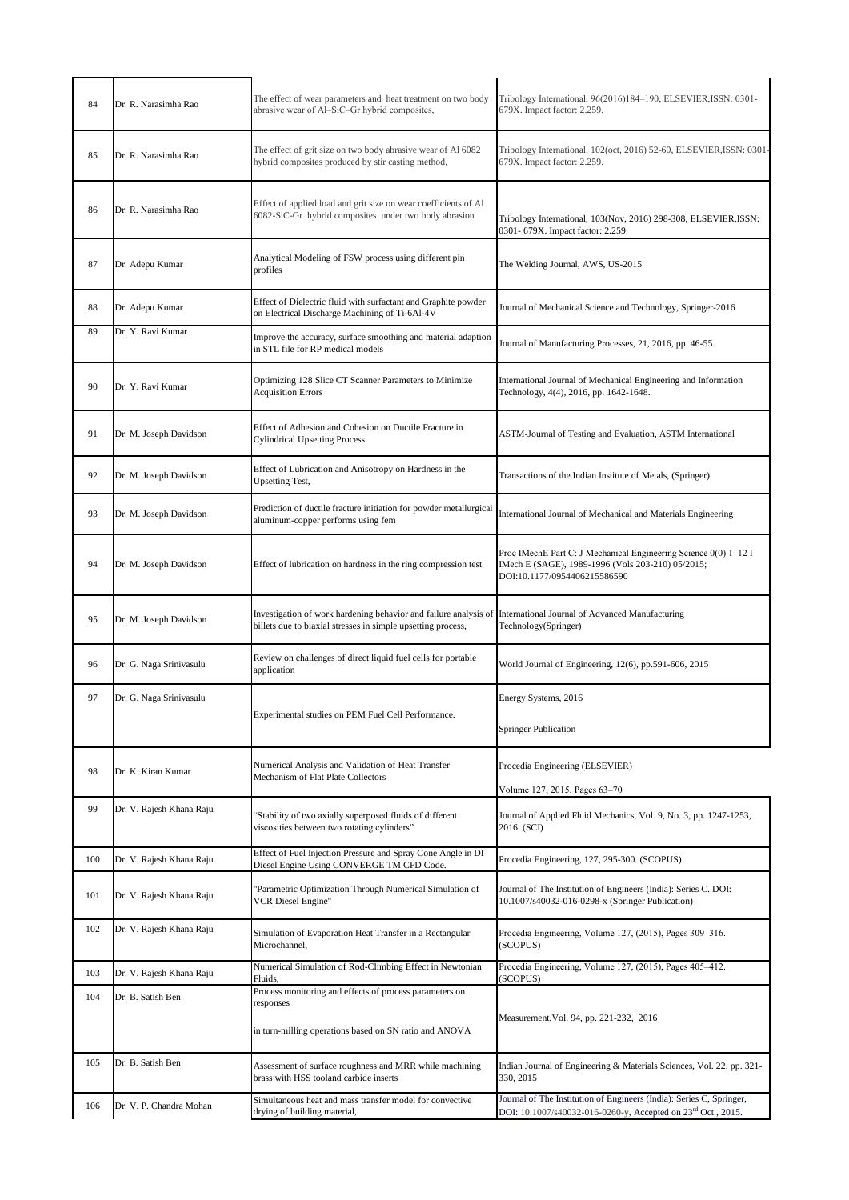| 84  | Dr. R. Narasimha Rao     | The effect of wear parameters and heat treatment on two body<br>abrasive wear of Al-SiC-Gr hybrid composites,                                                                    | Tribology International, 96(2016)184-190, ELSEVIER, ISSN: 0301-<br>679X. Impact factor: 2.259.                                                        |
|-----|--------------------------|----------------------------------------------------------------------------------------------------------------------------------------------------------------------------------|-------------------------------------------------------------------------------------------------------------------------------------------------------|
| 85  | Dr. R. Narasimha Rao     | The effect of grit size on two body abrasive wear of Al 6082<br>hybrid composites produced by stir casting method,                                                               | Tribology International, 102(oct, 2016) 52-60, ELSEVIER, ISSN: 0301-<br>679X. Impact factor: 2.259.                                                   |
| 86  | Dr. R. Narasimha Rao     | Effect of applied load and grit size on wear coefficients of Al<br>6082-SiC-Gr hybrid composites under two body abrasion                                                         | Tribology International, 103(Nov, 2016) 298-308, ELSEVIER, ISSN:<br>0301-679X. Impact factor: 2.259.                                                  |
| 87  | Dr. Adepu Kumar          | Analytical Modeling of FSW process using different pin<br>profiles                                                                                                               | The Welding Journal, AWS, US-2015                                                                                                                     |
| 88  | Dr. Adepu Kumar          | Effect of Dielectric fluid with surfactant and Graphite powder<br>on Electrical Discharge Machining of Ti-6Al-4V                                                                 | Journal of Mechanical Science and Technology, Springer-2016                                                                                           |
| 89  | Dr. Y. Ravi Kumar        | Improve the accuracy, surface smoothing and material adaption<br>in STL file for RP medical models                                                                               | Journal of Manufacturing Processes, 21, 2016, pp. 46-55.                                                                                              |
| 90  | Dr. Y. Ravi Kumar        | Optimizing 128 Slice CT Scanner Parameters to Minimize<br><b>Acquisition Errors</b>                                                                                              | International Journal of Mechanical Engineering and Information<br>Technology, 4(4), 2016, pp. 1642-1648.                                             |
| 91  | Dr. M. Joseph Davidson   | Effect of Adhesion and Cohesion on Ductile Fracture in<br><b>Cylindrical Upsetting Process</b>                                                                                   | ASTM-Journal of Testing and Evaluation, ASTM International                                                                                            |
| 92  | Dr. M. Joseph Davidson   | Effect of Lubrication and Anisotropy on Hardness in the<br><b>Upsetting Test,</b>                                                                                                | Transactions of the Indian Institute of Metals, (Springer)                                                                                            |
| 93  | Dr. M. Joseph Davidson   | Prediction of ductile fracture initiation for powder metallurgical<br>aluminum-copper performs using fem                                                                         | International Journal of Mechanical and Materials Engineering                                                                                         |
| 94  | Dr. M. Joseph Davidson   | Effect of lubrication on hardness in the ring compression test                                                                                                                   | Proc IMechE Part C: J Mechanical Engineering Science 0(0) 1-12 I<br>IMech E (SAGE), 1989-1996 (Vols 203-210) 05/2015;<br>DOI:10.1177/0954406215586590 |
| 95  | Dr. M. Joseph Davidson   | Investigation of work hardening behavior and failure analysis of International Journal of Advanced Manufacturing<br>billets due to biaxial stresses in simple upsetting process, | Technology(Springer)                                                                                                                                  |
| 96  | Dr. G. Naga Srinivasulu  | Review on challenges of direct liquid fuel cells for portable<br>application                                                                                                     | World Journal of Engineering, 12(6), pp.591-606, 2015                                                                                                 |
| 97  | Dr. G. Naga Srinivasulu  | Experimental studies on PEM Fuel Cell Performance.                                                                                                                               | Energy Systems, 2016<br><b>Springer Publication</b>                                                                                                   |
| 98  | Dr. K. Kiran Kumar       | Numerical Analysis and Validation of Heat Transfer<br>Mechanism of Flat Plate Collectors                                                                                         | Procedia Engineering (ELSEVIER)                                                                                                                       |
| 99  | Dr. V. Rajesh Khana Raju | Stability of two axially superposed fluids of different<br>viscosities between two rotating cylinders"                                                                           | Volume 127, 2015, Pages 63-70<br>Journal of Applied Fluid Mechanics, Vol. 9, No. 3, pp. 1247-1253,<br>2016. (SCI)                                     |
| 100 | Dr. V. Rajesh Khana Raju | Effect of Fuel Injection Pressure and Spray Cone Angle in DI<br>Diesel Engine Using CONVERGE TM CFD Code.                                                                        | Procedia Engineering, 127, 295-300. (SCOPUS)                                                                                                          |
| 101 | Dr. V. Rajesh Khana Raju | Parametric Optimization Through Numerical Simulation of<br>VCR Diesel Engine"                                                                                                    | Journal of The Institution of Engineers (India): Series C. DOI:<br>10.1007/s40032-016-0298-x (Springer Publication)                                   |
| 102 | Dr. V. Rajesh Khana Raju | Simulation of Evaporation Heat Transfer in a Rectangular<br>Microchannel,                                                                                                        | Procedia Engineering, Volume 127, (2015), Pages 309–316.<br>(SCOPUS)                                                                                  |
| 103 | Dr. V. Rajesh Khana Raju | Numerical Simulation of Rod-Climbing Effect in Newtonian<br>Fluids,                                                                                                              | Procedia Engineering, Volume 127, (2015), Pages 405-412.<br>(SCOPUS)                                                                                  |
| 104 | Dr. B. Satish Ben        | Process monitoring and effects of process parameters on<br>responses<br>in turn-milling operations based on SN ratio and ANOVA                                                   | Measurement, Vol. 94, pp. 221-232, 2016                                                                                                               |
| 105 | Dr. B. Satish Ben        | Assessment of surface roughness and MRR while machining<br>brass with HSS tooland carbide inserts                                                                                | Indian Journal of Engineering & Materials Sciences, Vol. 22, pp. 321-<br>330, 2015                                                                    |
| 106 | Dr. V. P. Chandra Mohan  | Simultaneous heat and mass transfer model for convective<br>drying of building material,                                                                                         | Journal of The Institution of Engineers (India): Series C, Springer,<br>DOI: 10.1007/s40032-016-0260-y, Accepted on 23 <sup>rd</sup> Oct., 2015.      |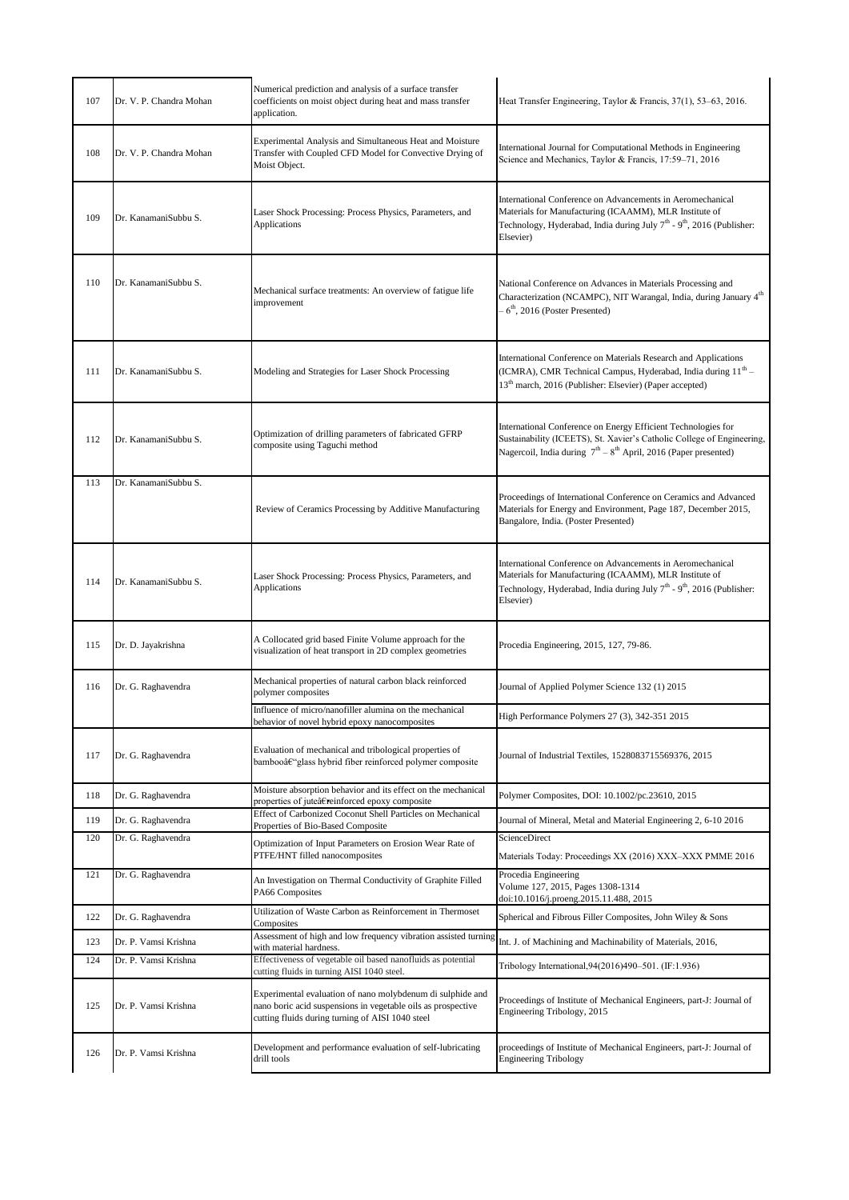| 107 | Dr. V. P. Chandra Mohan | Numerical prediction and analysis of a surface transfer<br>coefficients on moist object during heat and mass transfer<br>application.                                          | Heat Transfer Engineering, Taylor & Francis, 37(1), 53–63, 2016.                                                                                                                                                                   |
|-----|-------------------------|--------------------------------------------------------------------------------------------------------------------------------------------------------------------------------|------------------------------------------------------------------------------------------------------------------------------------------------------------------------------------------------------------------------------------|
| 108 | Dr. V. P. Chandra Mohan | Experimental Analysis and Simultaneous Heat and Moisture<br>Transfer with Coupled CFD Model for Convective Drying of<br>Moist Object.                                          | International Journal for Computational Methods in Engineering<br>Science and Mechanics, Taylor & Francis, 17:59-71, 2016                                                                                                          |
| 109 | Dr. KanamaniSubbu S.    | Laser Shock Processing: Process Physics, Parameters, and<br>Applications                                                                                                       | International Conference on Advancements in Aeromechanical<br>Materials for Manufacturing (ICAAMM), MLR Institute of<br>Technology, Hyderabad, India during July $7th$ - $9th$ , 2016 (Publisher:<br>Elsevier)                     |
| 110 | Dr. KanamaniSubbu S.    | Mechanical surface treatments: An overview of fatigue life<br>improvement                                                                                                      | National Conference on Advances in Materials Processing and<br>Characterization (NCAMPC), NIT Warangal, India, during January 4 <sup>th</sup><br>$-6th$ , 2016 (Poster Presented)                                                  |
| 111 | Dr. KanamaniSubbu S.    | Modeling and Strategies for Laser Shock Processing                                                                                                                             | International Conference on Materials Research and Applications<br>(ICMRA), CMR Technical Campus, Hyderabad, India during 11 <sup>th</sup> -<br>13 <sup>th</sup> march, 2016 (Publisher: Elsevier) (Paper accepted)                |
| 112 | Dr. KanamaniSubbu S.    | Optimization of drilling parameters of fabricated GFRP<br>composite using Taguchi method                                                                                       | International Conference on Energy Efficient Technologies for<br>Sustainability (ICEETS), St. Xavier's Catholic College of Engineering,<br>Nagercoil, India during 7 <sup>th</sup> - 8 <sup>th</sup> April, 2016 (Paper presented) |
| 113 | Dr. KanamaniSubbu S.    | Review of Ceramics Processing by Additive Manufacturing                                                                                                                        | Proceedings of International Conference on Ceramics and Advanced<br>Materials for Energy and Environment, Page 187, December 2015,<br>Bangalore, India. (Poster Presented)                                                         |
| 114 | Dr. KanamaniSubbu S.    | Laser Shock Processing: Process Physics, Parameters, and<br>Applications                                                                                                       | International Conference on Advancements in Aeromechanical<br>Materials for Manufacturing (ICAAMM), MLR Institute of<br>Technology, Hyderabad, India during July $7^{th}$ - $9^{th}$ , 2016 (Publisher:<br>Elsevier)               |
| 115 | Dr. D. Jayakrishna      | A Collocated grid based Finite Volume approach for the<br>visualization of heat transport in 2D complex geometries                                                             | Procedia Engineering, 2015, 127, 79-86.                                                                                                                                                                                            |
| 116 | Dr. G. Raghavendra      | Mechanical properties of natural carbon black reinforced<br>polymer composites                                                                                                 | Journal of Applied Polymer Science 132 (1) 2015                                                                                                                                                                                    |
|     |                         | Influence of micro/nanofiller alumina on the mechanical<br>behavior of novel hybrid epoxy nanocomposites                                                                       | High Performance Polymers 27 (3), 342-351 2015                                                                                                                                                                                     |
| 117 | Dr. G. Raghavendra      | Evaluation of mechanical and tribological properties of<br>bamboo–glass hybrid fiber reinforced polymer composite                                                              | Journal of Industrial Textiles, 1528083715569376, 2015                                                                                                                                                                             |
| 118 | Dr. G. Raghavendra      | Moisture absorption behavior and its effect on the mechanical<br>properties of juteâ€reinforced epoxy composite                                                                | Polymer Composites, DOI: 10.1002/pc.23610, 2015                                                                                                                                                                                    |
| 119 | Dr. G. Raghavendra      | Effect of Carbonized Coconut Shell Particles on Mechanical<br>Properties of Bio-Based Composite                                                                                | Journal of Mineral, Metal and Material Engineering 2, 6-10 2016                                                                                                                                                                    |
| 120 | Dr. G. Raghavendra      | Optimization of Input Parameters on Erosion Wear Rate of<br>PTFE/HNT filled nanocomposites                                                                                     | <b>ScienceDirect</b><br>Materials Today: Proceedings XX (2016) XXX-XXX PMME 2016                                                                                                                                                   |
| 121 | Dr. G. Raghavendra      | An Investigation on Thermal Conductivity of Graphite Filled<br>PA66 Composites                                                                                                 | Procedia Engineering<br>Volume 127, 2015, Pages 1308-1314<br>doi:10.1016/j.proeng.2015.11.488, 2015                                                                                                                                |
| 122 | Dr. G. Raghavendra      | Utilization of Waste Carbon as Reinforcement in Thermoset<br>Composites                                                                                                        | Spherical and Fibrous Filler Composites, John Wiley & Sons                                                                                                                                                                         |
| 123 | Dr. P. Vamsi Krishna    | Assessment of high and low frequency vibration assisted turning<br>with material hardness.                                                                                     | Int. J. of Machining and Machinability of Materials, 2016,                                                                                                                                                                         |
| 124 | Dr. P. Vamsi Krishna    | Effectiveness of vegetable oil based nanofluids as potential<br>cutting fluids in turning AISI 1040 steel.                                                                     | Tribology International, 94(2016) 490-501. (IF:1.936)                                                                                                                                                                              |
| 125 | Dr. P. Vamsi Krishna    | Experimental evaluation of nano molybdenum di sulphide and<br>nano boric acid suspensions in vegetable oils as prospective<br>cutting fluids during turning of AISI 1040 steel | Proceedings of Institute of Mechanical Engineers, part-J: Journal of<br>Engineering Tribology, 2015                                                                                                                                |
| 126 | Dr. P. Vamsi Krishna    | Development and performance evaluation of self-lubricating<br>drill tools                                                                                                      | proceedings of Institute of Mechanical Engineers, part-J: Journal of<br><b>Engineering Tribology</b>                                                                                                                               |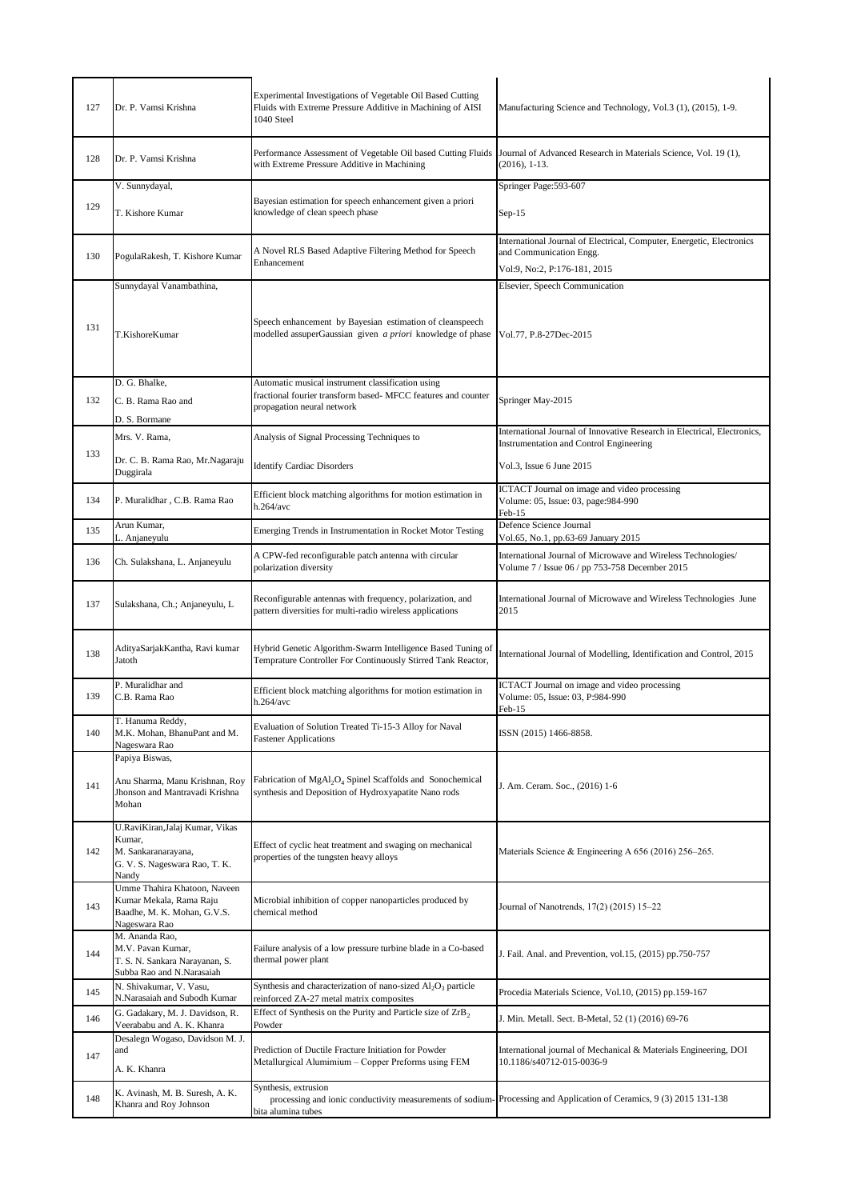| 127 | Dr. P. Vamsi Krishna                                                                                       | Experimental Investigations of Vegetable Oil Based Cutting<br>Fluids with Extreme Pressure Additive in Machining of AISI<br>1040 Steel           | Manufacturing Science and Technology, Vol.3 (1), (2015), 1-9.                                                                    |
|-----|------------------------------------------------------------------------------------------------------------|--------------------------------------------------------------------------------------------------------------------------------------------------|----------------------------------------------------------------------------------------------------------------------------------|
| 128 | Dr. P. Vamsi Krishna                                                                                       | Performance Assessment of Vegetable Oil based Cutting Fluids<br>with Extreme Pressure Additive in Machining                                      | Journal of Advanced Research in Materials Science, Vol. 19 (1),<br>$(2016), 1-13.$                                               |
|     | V. Sunnydayal,                                                                                             |                                                                                                                                                  | Springer Page: 593-607                                                                                                           |
| 129 | T. Kishore Kumar                                                                                           | Bayesian estimation for speech enhancement given a priori<br>knowledge of clean speech phase                                                     | $Sep-15$                                                                                                                         |
| 130 | PogulaRakesh, T. Kishore Kumar                                                                             | A Novel RLS Based Adaptive Filtering Method for Speech<br>Enhancement                                                                            | International Journal of Electrical, Computer, Energetic, Electronics<br>and Communication Engg.<br>Vol:9, No:2, P:176-181, 2015 |
|     | Sunnydayal Vanambathina,                                                                                   |                                                                                                                                                  | Elsevier, Speech Communication                                                                                                   |
| 131 | T.KishoreKumar                                                                                             | Speech enhancement by Bayesian estimation of cleanspeech<br>modelled assuperGaussian given a priori knowledge of phase Vol.77, P.8-27Dec-2015    |                                                                                                                                  |
| 132 | D. G. Bhalke,<br>C. B. Rama Rao and<br>D. S. Bormane                                                       | Automatic musical instrument classification using<br>fractional fourier transform based- MFCC features and counter<br>propagation neural network | Springer May-2015                                                                                                                |
| 133 | Mrs. V. Rama,                                                                                              | Analysis of Signal Processing Techniques to                                                                                                      | International Journal of Innovative Research in Electrical, Electronics,<br>Instrumentation and Control Engineering              |
|     | Dr. C. B. Rama Rao, Mr. Nagaraju<br>Duggirala                                                              | <b>Identify Cardiac Disorders</b>                                                                                                                | Vol.3, Issue 6 June 2015                                                                                                         |
| 134 | P. Muralidhar, C.B. Rama Rao                                                                               | Efficient block matching algorithms for motion estimation in<br>h.264/avc                                                                        | ICTACT Journal on image and video processing<br>Volume: 05, Issue: 03, page: 984-990<br>Feb-15                                   |
| 135 | Arun Kumar,<br>L. Anjaneyulu                                                                               | Emerging Trends in Instrumentation in Rocket Motor Testing                                                                                       | Defence Science Journal<br>Vol.65, No.1, pp.63-69 January 2015                                                                   |
| 136 | Ch. Sulakshana, L. Anjaneyulu                                                                              | A CPW-fed reconfigurable patch antenna with circular<br>polarization diversity                                                                   | International Journal of Microwave and Wireless Technologies/<br>Volume 7 / Issue 06 / pp 753-758 December 2015                  |
| 137 | Sulakshana, Ch.; Anjaneyulu, L                                                                             | Reconfigurable antennas with frequency, polarization, and<br>pattern diversities for multi-radio wireless applications                           | International Journal of Microwave and Wireless Technologies June<br>2015                                                        |
| 138 | AdityaSarjakKantha, Ravi kumar<br>Jatoth                                                                   | Hybrid Genetic Algorithm-Swarm Intelligence Based Tuning of<br>Temprature Controller For Continuously Stirred Tank Reactor,                      | International Journal of Modelling, Identification and Control, 2015                                                             |
| 139 | P. Muralidhar and<br>C.B. Rama Rao                                                                         | Efficient block matching algorithms for motion estimation in<br>h.264/ave                                                                        | ICTACT Journal on image and video processing<br>Volume: 05, Issue: 03, P:984-990<br>Feb-15                                       |
| 140 | T. Hanuma Reddy,<br>M.K. Mohan, BhanuPant and M.<br>Nageswara Rao                                          | Evaluation of Solution Treated Ti-15-3 Alloy for Naval<br><b>Fastener Applications</b>                                                           | ISSN (2015) 1466-8858.                                                                                                           |
|     | Papiya Biswas,                                                                                             |                                                                                                                                                  |                                                                                                                                  |
| 141 | Anu Sharma, Manu Krishnan, Roy<br>Jhonson and Mantravadi Krishna<br>Mohan                                  | Fabrication of MgAl <sub>2</sub> O <sub>4</sub> Spinel Scaffolds and Sonochemical<br>synthesis and Deposition of Hydroxyapatite Nano rods        | J. Am. Ceram. Soc., (2016) 1-6                                                                                                   |
| 142 | U.RaviKiran, Jalaj Kumar, Vikas<br>Kumar,<br>M. Sankaranarayana,<br>G. V. S. Nageswara Rao, T. K.<br>Nandy | Effect of cyclic heat treatment and swaging on mechanical<br>properties of the tungsten heavy alloys                                             | Materials Science & Engineering A 656 (2016) 256-265.                                                                            |
| 143 | Umme Thahira Khatoon, Naveen<br>Kumar Mekala, Rama Raju<br>Baadhe, M. K. Mohan, G.V.S.<br>Nageswara Rao    | Microbial inhibition of copper nanoparticles produced by<br>chemical method                                                                      | Journal of Nanotrends, 17(2) (2015) 15–22                                                                                        |
| 144 | M. Ananda Rao,<br>M.V. Pavan Kumar,<br>T. S. N. Sankara Narayanan, S.<br>Subba Rao and N.Narasaiah         | Failure analysis of a low pressure turbine blade in a Co-based<br>thermal power plant                                                            | J. Fail. Anal. and Prevention, vol.15, (2015) pp.750-757                                                                         |
| 145 | N. Shivakumar, V. Vasu,<br>N.Narasaiah and Subodh Kumar                                                    | Synthesis and characterization of nano-sized Al <sub>2</sub> O <sub>3</sub> particle<br>reinforced ZA-27 metal matrix composites                 | Procedia Materials Science, Vol.10, (2015) pp.159-167                                                                            |
| 146 | G. Gadakary, M. J. Davidson, R.<br>Veerababu and A. K. Khanra                                              | Effect of Synthesis on the Purity and Particle size of ZrB2<br>Powder                                                                            | J. Min. Metall. Sect. B-Metal, 52 (1) (2016) 69-76                                                                               |
| 147 | Desalegn Wogaso, Davidson M. J.<br>and<br>A. K. Khanra                                                     | Prediction of Ductile Fracture Initiation for Powder<br>Metallurgical Alumimium - Copper Preforms using FEM                                      | International journal of Mechanical & Materials Engineering, DOI<br>10.1186/s40712-015-0036-9                                    |
| 148 | K. Avinash, M. B. Suresh, A. K.<br>Khanra and Roy Johnson                                                  | Synthesis, extrusion<br>bita alumina tubes                                                                                                       | processing and ionic conductivity measurements of sodium-Processing and Application of Ceramics, 9 (3) 2015 131-138              |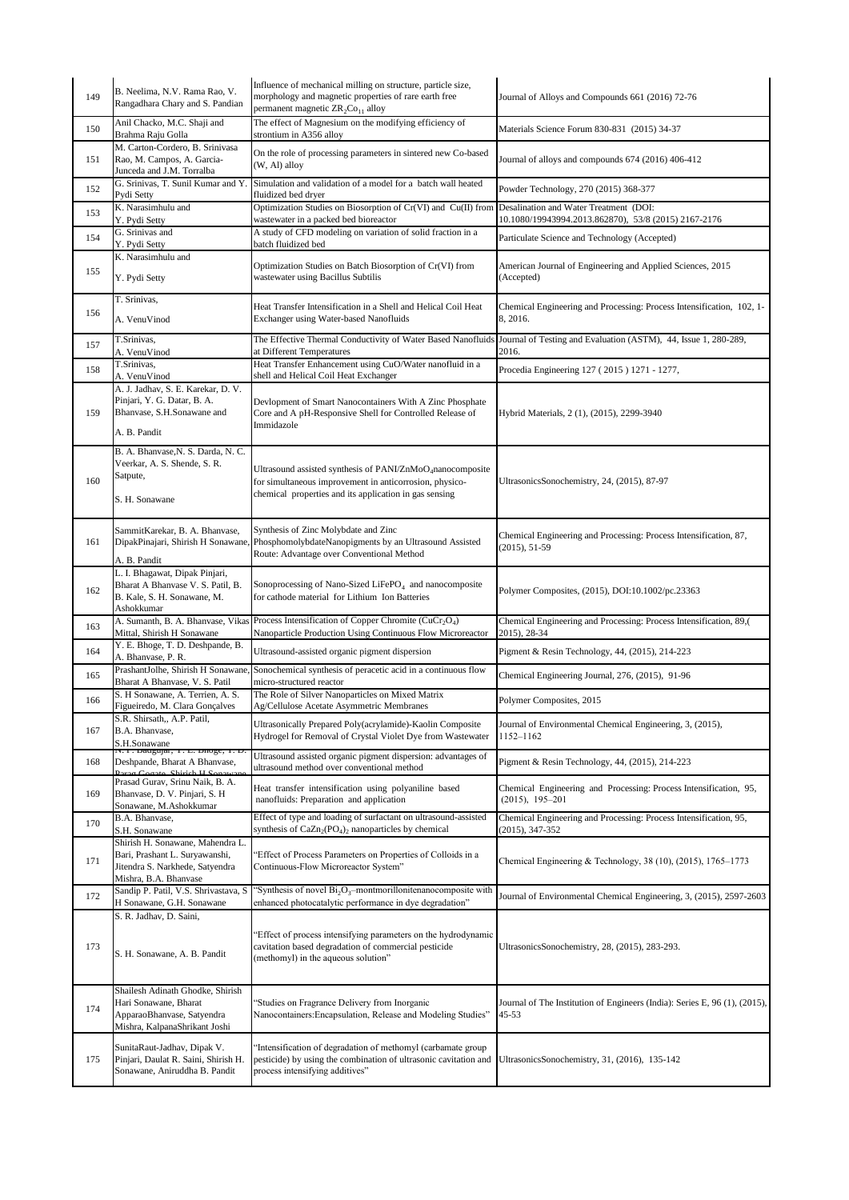| 149 | B. Neelima, N.V. Rama Rao, V.<br>Rangadhara Chary and S. Pandian                                                               | Influence of mechanical milling on structure, particle size,<br>morphology and magnetic properties of rare earth free<br>permanent magnetic ZR <sub>2</sub> Co <sub>11</sub> alloy          | Journal of Alloys and Compounds 661 (2016) 72-76                                               |
|-----|--------------------------------------------------------------------------------------------------------------------------------|---------------------------------------------------------------------------------------------------------------------------------------------------------------------------------------------|------------------------------------------------------------------------------------------------|
| 150 | Anil Chacko, M.C. Shaji and<br>Brahma Raju Golla                                                                               | The effect of Magnesium on the modifying efficiency of<br>strontium in A356 alloy                                                                                                           | Materials Science Forum 830-831 (2015) 34-37                                                   |
| 151 | M. Carton-Cordero, B. Srinivasa<br>Rao, M. Campos, A. Garcia-<br>Junceda and J.M. Torralba                                     | On the role of processing parameters in sintered new Co-based<br>(W, Al) alloy                                                                                                              | Journal of alloys and compounds 674 (2016) 406-412                                             |
| 152 | G. Srinivas, T. Sunil Kumar and Y.<br>Pydi Setty                                                                               | Simulation and validation of a model for a batch wall heated<br>fluidized bed dryer                                                                                                         | Powder Technology, 270 (2015) 368-377                                                          |
| 153 | K. Narasimhulu and<br>Y. Pydi Setty                                                                                            | Optimization Studies on Biosorption of Cr(VI) and Cu(II) from<br>wastewater in a packed bed bioreactor                                                                                      | Desalination and Water Treatment (DOI:<br>10.1080/19943994.2013.862870), 53/8 (2015) 2167-2176 |
| 154 | G. Srinivas and<br>Y. Pydi Setty                                                                                               | A study of CFD modeling on variation of solid fraction in a<br>batch fluidized bed                                                                                                          | Particulate Science and Technology (Accepted)                                                  |
| 155 | K. Narasimhulu and<br>Y. Pydi Setty                                                                                            | Optimization Studies on Batch Biosorption of Cr(VI) from<br>wastewater using Bacillus Subtilis                                                                                              | American Journal of Engineering and Applied Sciences, 2015<br>(Accepted)                       |
| 156 | T. Srinivas,<br>A. VenuVinod                                                                                                   | Heat Transfer Intensification in a Shell and Helical Coil Heat<br>Exchanger using Water-based Nanofluids                                                                                    | Chemical Engineering and Processing: Process Intensification, 102, 1-<br>8, 2016.              |
| 157 | T.Srinivas,<br>A. VenuVinod                                                                                                    | The Effective Thermal Conductivity of Water Based Nanofluids<br>at Different Temperatures                                                                                                   | Journal of Testing and Evaluation (ASTM), 44, Issue 1, 280-289,<br>2016.                       |
| 158 | T.Srinivas,<br>A. VenuVinod                                                                                                    | Heat Transfer Enhancement using CuO/Water nanofluid in a<br>shell and Helical Coil Heat Exchanger                                                                                           | Procedia Engineering 127 (2015) 1271 - 1277,                                                   |
| 159 | A. J. Jadhav, S. E. Karekar, D. V.<br>Pinjari, Y. G. Datar, B. A.<br>Bhanvase, S.H.Sonawane and<br>A. B. Pandit                | Devlopment of Smart Nanocontainers With A Zinc Phosphate<br>Core and A pH-Responsive Shell for Controlled Release of<br>Immidazole                                                          | Hybrid Materials, 2 (1), (2015), 2299-3940                                                     |
| 160 | B. A. Bhanvase, N. S. Darda, N. C.<br>Veerkar, A. S. Shende, S. R.<br>Satpute,<br>S. H. Sonawane                               | Ultrasound assisted synthesis of PANI/ZnMoO <sub>4</sub> nanocomposite<br>for simultaneous improvement in anticorrosion, physico-<br>chemical properties and its application in gas sensing | UltrasonicsSonochemistry, 24, (2015), 87-97                                                    |
| 161 | SammitKarekar, B. A. Bhanvase,<br>DipakPinajari, Shirish H Sonawane,<br>A. B. Pandit                                           | Synthesis of Zinc Molybdate and Zinc<br>PhosphomolybdateNanopigments by an Ultrasound Assisted<br>Route: Advantage over Conventional Method                                                 | Chemical Engineering and Processing: Process Intensification, 87,<br>$(2015), 51-59$           |
| 162 | L. I. Bhagawat, Dipak Pinjari,<br>Bharat A Bhanvase V. S. Patil, B.<br>B. Kale, S. H. Sonawane, M.<br>Ashokkumar               | Sonoprocessing of Nano-Sized LiFePO <sub>4</sub> and nanocomposite<br>for cathode material for Lithium Ion Batteries                                                                        | Polymer Composites, (2015), DOI:10.1002/pc.23363                                               |
| 163 | A. Sumanth, B. A. Bhanvase, Vikas<br>Mittal, Shirish H Sonawane                                                                | Process Intensification of Copper Chromite (CuCr <sub>2</sub> O <sub>4</sub> )<br>Nanoparticle Production Using Continuous Flow Microreactor                                                | Chemical Engineering and Processing: Process Intensification, 89,(<br>2015), 28-34             |
| 164 | Y. E. Bhoge, T. D. Deshpande, B.<br>A. Bhanvase, P. R.                                                                         | Ultrasound-assisted organic pigment dispersion                                                                                                                                              | Pigment & Resin Technology, 44, (2015), 214-223                                                |
| 165 | PrashantJolhe, Shirish H Sonawane,<br>Bharat A Bhanvase, V. S. Patil                                                           | Sonochemical synthesis of peracetic acid in a continuous flow<br>micro-structured reactor                                                                                                   | Chemical Engineering Journal, 276, (2015), 91-96                                               |
| 166 | S. H Sonawane, A. Terrien, A. S.<br>Figueiredo, M. Clara Gonçalves                                                             | The Role of Silver Nanoparticles on Mixed Matrix<br>Ag/Cellulose Acetate Asymmetric Membranes                                                                                               | Polymer Composites, 2015                                                                       |
| 167 | S.R. Shirsath,, A.P. Patil,<br>B.A. Bhanvase,<br>S.H.Sonawane                                                                  | Ultrasonically Prepared Poly(acrylamide)-Kaolin Composite<br>Hydrogel for Removal of Crystal Violet Dye from Wastewater                                                                     | Journal of Environmental Chemical Engineering, 3, (2015),<br>1152-1162                         |
| 168 | г. Бандијан, т. е. вподе, т. в<br>Deshpande, Bharat A Bhanvase,<br>Chirich II C                                                | Ultrasound assisted organic pigment dispersion: advantages of<br>ultrasound method over conventional method                                                                                 | Pigment & Resin Technology, 44, (2015), 214-223                                                |
| 169 | Prasad Gurav, Srinu Naik, B. A.<br>Bhanvase, D. V. Pinjari, S. H.<br>Sonawane, M.Ashokkumar                                    | Heat transfer intensification using polyaniline based<br>nanofluids: Preparation and application                                                                                            | Chemical Engineering and Processing: Process Intensification, 95,<br>$(2015), 195 - 201$       |
| 170 | B.A. Bhanvase,<br>S.H. Sonawane                                                                                                | Effect of type and loading of surfactant on ultrasound-assisted<br>synthesis of $CaZn_2(PO_4)$ , nanoparticles by chemical                                                                  | Chemical Engineering and Processing: Process Intensification, 95,<br>(2015), 347-352           |
| 171 | Shirish H. Sonawane, Mahendra L.<br>Bari, Prashant L. Suryawanshi,<br>Jitendra S. Narkhede, Satyendra<br>Mishra, B.A. Bhanvase | 'Effect of Process Parameters on Properties of Colloids in a<br>Continuous-Flow Microreactor System"                                                                                        | Chemical Engineering & Technology, 38 (10), (2015), 1765-1773                                  |
| 172 | Sandip P. Patil, V.S. Shrivastava, S<br>H Sonawane, G.H. Sonawane                                                              | "Synthesis of novel $Bi2O3$ -montmorillonitenanocomposite with<br>enhanced photocatalytic performance in dye degradation"                                                                   | Journal of Environmental Chemical Engineering, 3, (2015), 2597-2603                            |
| 173 | S. R. Jadhav, D. Saini,<br>S. H. Sonawane, A. B. Pandit                                                                        | Effect of process intensifying parameters on the hydrodynamic<br>cavitation based degradation of commercial pesticide<br>(methomyl) in the aqueous solution"                                | UltrasonicsSonochemistry, 28, (2015), 283-293.                                                 |
| 174 | Shailesh Adinath Ghodke, Shirish<br>Hari Sonawane, Bharat<br>ApparaoBhanvase, Satyendra<br>Mishra, KalpanaShrikant Joshi       | 'Studies on Fragrance Delivery from Inorganic<br>Nanocontainers: Encapsulation, Release and Modeling Studies"                                                                               | Journal of The Institution of Engineers (India): Series E, 96 (1), (2015),<br>45-53            |
| 175 | SunitaRaut-Jadhav, Dipak V.<br>Pinjari, Daulat R. Saini, Shirish H.<br>Sonawane, Aniruddha B. Pandit                           | 'Intensification of degradation of methomyl (carbamate group<br>pesticide) by using the combination of ultrasonic cavitation and<br>process intensifying additives"                         | UltrasonicsSonochemistry, 31, (2016), 135-142                                                  |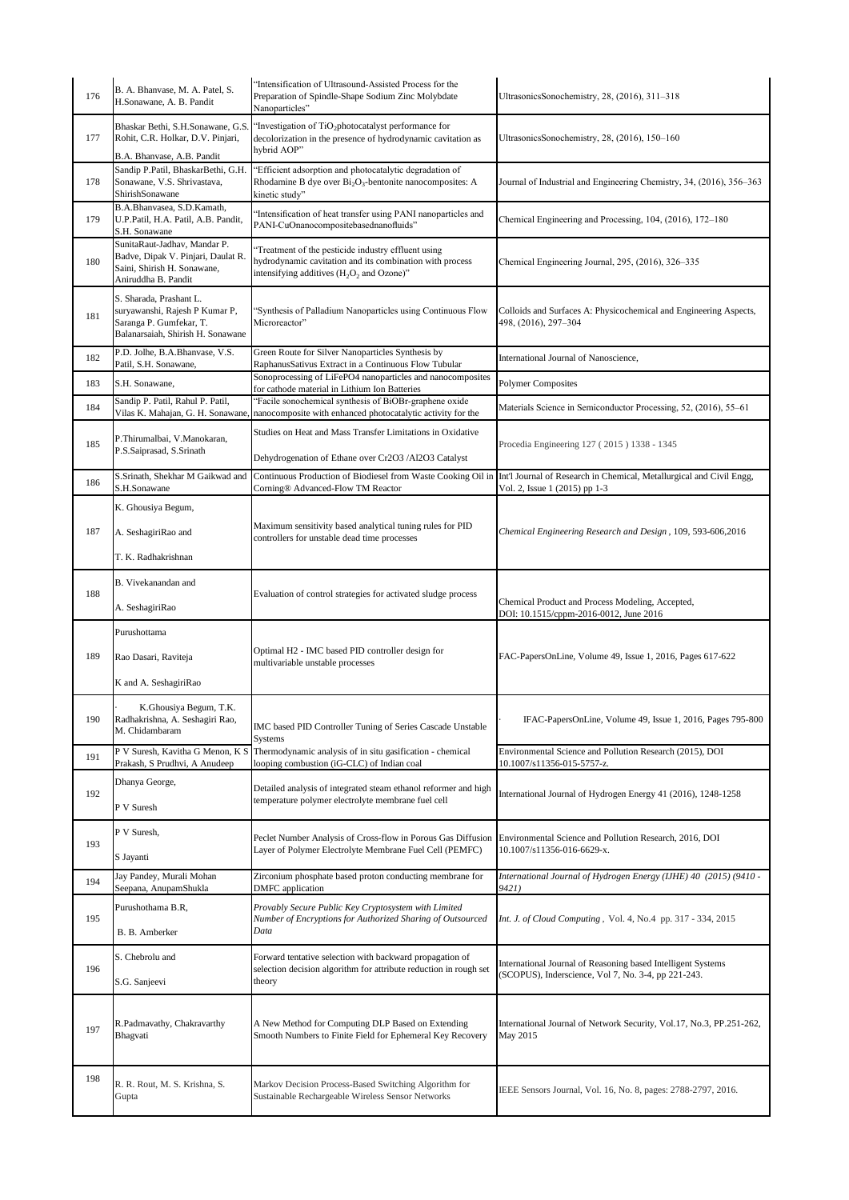| 176 | B. A. Bhanvase, M. A. Patel, S.<br>H.Sonawane, A. B. Pandit                                                               | 'Intensification of Ultrasound-Assisted Process for the<br>Preparation of Spindle-Shape Sodium Zinc Molybdate<br>Nanoparticles"                              | UltrasonicsSonochemistry, 28, (2016), 311-318                                                                                     |
|-----|---------------------------------------------------------------------------------------------------------------------------|--------------------------------------------------------------------------------------------------------------------------------------------------------------|-----------------------------------------------------------------------------------------------------------------------------------|
| 177 | Bhaskar Bethi, S.H.Sonawane, G.S.<br>Rohit, C.R. Holkar, D.V. Pinjari,<br>B.A. Bhanvase, A.B. Pandit                      | 'Investigation of TiO <sub>2</sub> photocatalyst performance for<br>decolorization in the presence of hydrodynamic cavitation as<br>hybrid AOP"              | UltrasonicsSonochemistry, 28, (2016), 150-160                                                                                     |
| 178 | Sandip P.Patil, BhaskarBethi, G.H.<br>Sonawane, V.S. Shrivastava,<br>ShirishSonawane                                      | "Efficient adsorption and photocatalytic degradation of<br>Rhodamine B dye over $Bi_2O_3$ -bentonite nanocomposites: A<br>kinetic study"                     | Journal of Industrial and Engineering Chemistry, 34, (2016), 356-363                                                              |
| 179 | B.A.Bhanvasea, S.D.Kamath,<br>U.P.Patil, H.A. Patil, A.B. Pandit,<br>S.H. Sonawane                                        | 'Intensification of heat transfer using PANI nanoparticles and<br>PANI-CuOnanocompositebasednanofluids"                                                      | Chemical Engineering and Processing, 104, (2016), 172–180                                                                         |
| 180 | SunitaRaut-Jadhav, Mandar P.<br>Badve, Dipak V. Pinjari, Daulat R.<br>Saini, Shirish H. Sonawane,<br>Aniruddha B. Pandit  | Treatment of the pesticide industry effluent using<br>hydrodynamic cavitation and its combination with process<br>intensifying additives $(H2O2$ and Ozone)" | Chemical Engineering Journal, 295, (2016), 326–335                                                                                |
| 181 | S. Sharada, Prashant L.<br>suryawanshi, Rajesh P Kumar P,<br>Saranga P. Gumfekar, T.<br>Balanarsaiah, Shirish H. Sonawane | 'Synthesis of Palladium Nanoparticles using Continuous Flow<br>Microreactor"                                                                                 | Colloids and Surfaces A: Physicochemical and Engineering Aspects,<br>498, (2016), 297-304                                         |
| 182 | P.D. Jolhe, B.A.Bhanvase, V.S.<br>Patil, S.H. Sonawane,                                                                   | Green Route for Silver Nanoparticles Synthesis by<br>RaphanusSativus Extract in a Continuous Flow Tubular                                                    | International Journal of Nanoscience,                                                                                             |
| 183 | S.H. Sonawane,                                                                                                            | Sonoprocessing of LiFePO4 nanoparticles and nanocomposites<br>for cathode material in Lithium Ion Batteries                                                  | <b>Polymer Composites</b>                                                                                                         |
| 184 | Sandip P. Patil, Rahul P. Patil,<br>Vilas K. Mahajan, G. H. Sonawane,                                                     | "Facile sonochemical synthesis of BiOBr-graphene oxide<br>nanocomposite with enhanced photocatalytic activity for the                                        | Materials Science in Semiconductor Processing, 52, (2016), 55–61                                                                  |
|     |                                                                                                                           | Studies on Heat and Mass Transfer Limitations in Oxidative                                                                                                   |                                                                                                                                   |
| 185 | P.Thirumalbai, V.Manokaran,<br>P.S.Saiprasad, S.Srinath                                                                   | Dehydrogenation of Ethane over Cr2O3 /Al2O3 Catalyst                                                                                                         | Procedia Engineering 127 (2015) 1338 - 1345                                                                                       |
| 186 | S.Srinath, Shekhar M Gaikwad and                                                                                          |                                                                                                                                                              | Continuous Production of Biodiesel from Waste Cooking Oil in Int'l Journal of Research in Chemical, Metallurgical and Civil Engg, |
|     | S.H.Sonawane<br>K. Ghousiya Begum,                                                                                        | Corning® Advanced-Flow TM Reactor                                                                                                                            | Vol. 2, Issue 1 (2015) pp 1-3                                                                                                     |
|     |                                                                                                                           | Maximum sensitivity based analytical tuning rules for PID                                                                                                    |                                                                                                                                   |
| 187 | A. SeshagiriRao and                                                                                                       | controllers for unstable dead time processes                                                                                                                 | Chemical Engineering Research and Design, 109, 593-606,2016                                                                       |
|     | T. K. Radhakrishnan                                                                                                       |                                                                                                                                                              |                                                                                                                                   |
| 188 | B. Vivekanandan and                                                                                                       | Evaluation of control strategies for activated sludge process                                                                                                |                                                                                                                                   |
|     | A. SeshagiriRao                                                                                                           |                                                                                                                                                              | Chemical Product and Process Modeling, Accepted,<br>DOI: 10.1515/cppm-2016-0012, June 2016                                        |
|     | Purushottama                                                                                                              |                                                                                                                                                              |                                                                                                                                   |
| 189 | Rao Dasari, Raviteja                                                                                                      | Optimal H2 - IMC based PID controller design for<br>multivariable unstable processes                                                                         | FAC-PapersOnLine, Volume 49, Issue 1, 2016, Pages 617-622                                                                         |
|     | K and A. SeshagiriRao                                                                                                     |                                                                                                                                                              |                                                                                                                                   |
| 190 | K.Ghousiya Begum, T.K.<br>Radhakrishna, A. Seshagiri Rao,<br>M. Chidambaram                                               | IMC based PID Controller Tuning of Series Cascade Unstable<br><b>Systems</b>                                                                                 | IFAC-PapersOnLine, Volume 49, Issue 1, 2016, Pages 795-800                                                                        |
| 191 | P V Suresh, Kavitha G Menon, K S<br>Prakash, S Prudhvi, A Anudeep                                                         | Thermodynamic analysis of in situ gasification - chemical<br>looping combustion (iG-CLC) of Indian coal                                                      | Environmental Science and Pollution Research (2015), DOI<br>10.1007/s11356-015-5757-z.                                            |
| 192 | Dhanya George,                                                                                                            | Detailed analysis of integrated steam ethanol reformer and high                                                                                              |                                                                                                                                   |
|     | P V Suresh                                                                                                                | temperature polymer electrolyte membrane fuel cell                                                                                                           | International Journal of Hydrogen Energy 41 (2016), 1248-1258                                                                     |
|     | P V Suresh,                                                                                                               | Peclet Number Analysis of Cross-flow in Porous Gas Diffusion Environmental Science and Pollution Research, 2016, DOI                                         |                                                                                                                                   |
| 193 | S Jayanti                                                                                                                 | Layer of Polymer Electrolyte Membrane Fuel Cell (PEMFC)                                                                                                      | 10.1007/s11356-016-6629-x.                                                                                                        |
| 194 | Jay Pandey, Murali Mohan<br>Seepana, AnupamShukla                                                                         | Zirconium phosphate based proton conducting membrane for<br>DMFC application                                                                                 | International Journal of Hydrogen Energy (IJHE) 40 (2015) (9410 -<br>9421)                                                        |
|     | Purushothama B.R,                                                                                                         | Provably Secure Public Key Cryptosystem with Limited                                                                                                         |                                                                                                                                   |
| 195 | B. B. Amberker                                                                                                            | Number of Encryptions for Authorized Sharing of Outsourced<br>Data                                                                                           | Int. J. of Cloud Computing, Vol. 4, No.4 pp. 317 - 334, 2015                                                                      |
|     | S. Chebrolu and                                                                                                           | Forward tentative selection with backward propagation of                                                                                                     | International Journal of Reasoning based Intelligent Systems                                                                      |
| 196 | S.G. Sanjeevi                                                                                                             | selection decision algorithm for attribute reduction in rough set<br>theory                                                                                  | (SCOPUS), Inderscience, Vol 7, No. 3-4, pp 221-243.                                                                               |
| 197 | R.Padmavathy, Chakravarthy<br>Bhagvati                                                                                    | A New Method for Computing DLP Based on Extending<br>Smooth Numbers to Finite Field for Ephemeral Key Recovery                                               | International Journal of Network Security, Vol.17, No.3, PP.251-262,<br>May 2015                                                  |
| 198 | R. R. Rout, M. S. Krishna, S.<br>Gupta                                                                                    | Markov Decision Process-Based Switching Algorithm for<br>Sustainable Rechargeable Wireless Sensor Networks                                                   | IEEE Sensors Journal, Vol. 16, No. 8, pages: 2788-2797, 2016.                                                                     |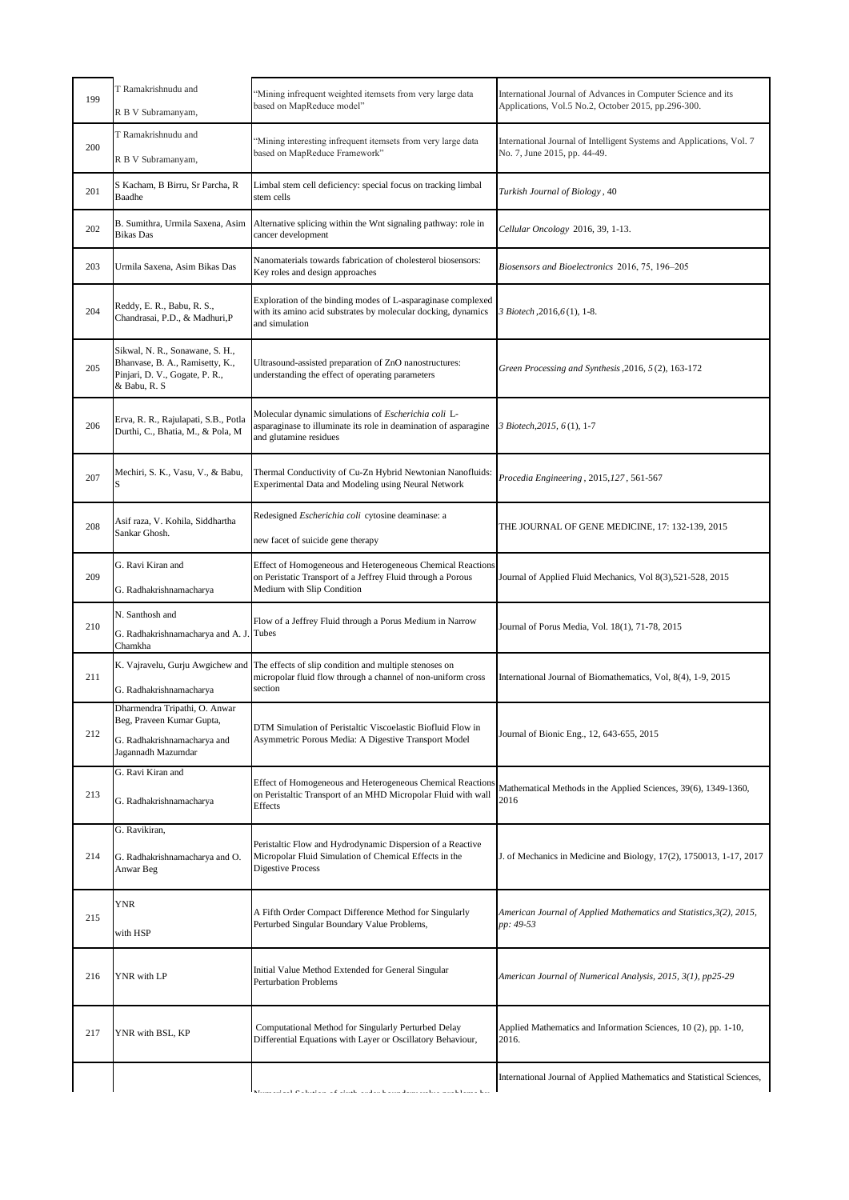| 199 | T Ramakrishnudu and<br>R B V Subramanyam,                                                                            | 'Mining infrequent weighted itemsets from very large data<br>based on MapReduce model"                                                                              | International Journal of Advances in Computer Science and its<br>Applications, Vol.5 No.2, October 2015, pp.296-300. |
|-----|----------------------------------------------------------------------------------------------------------------------|---------------------------------------------------------------------------------------------------------------------------------------------------------------------|----------------------------------------------------------------------------------------------------------------------|
| 200 | T Ramakrishnudu and<br>R B V Subramanyam,                                                                            | 'Mining interesting infrequent itemsets from very large data<br>based on MapReduce Framework"                                                                       | International Journal of Intelligent Systems and Applications, Vol. 7<br>No. 7, June 2015, pp. 44-49.                |
| 201 | S Kacham, B Birru, Sr Parcha, R<br>Baadhe                                                                            | Limbal stem cell deficiency: special focus on tracking limbal<br>stem cells                                                                                         | Turkish Journal of Biology, 40                                                                                       |
| 202 | B. Sumithra, Urmila Saxena, Asim<br>Bikas Das                                                                        | Alternative splicing within the Wnt signaling pathway: role in<br>cancer development                                                                                | Cellular Oncology 2016, 39, 1-13.                                                                                    |
| 203 | Urmila Saxena, Asim Bikas Das                                                                                        | Nanomaterials towards fabrication of cholesterol biosensors:<br>Key roles and design approaches                                                                     | Biosensors and Bioelectronics 2016, 75, 196-205                                                                      |
| 204 | Reddy, E. R., Babu, R. S.,<br>Chandrasai, P.D., & Madhuri, P                                                         | Exploration of the binding modes of L-asparaginase complexed<br>with its amino acid substrates by molecular docking, dynamics<br>and simulation                     | 3 Biotech, 2016, 6(1), 1-8.                                                                                          |
| 205 | Sikwal, N. R., Sonawane, S. H.,<br>Bhanvase, B. A., Ramisetty, K.,<br>Pinjari, D. V., Gogate, P. R.,<br>& Babu, R. S | Ultrasound-assisted preparation of ZnO nanostructures:<br>understanding the effect of operating parameters                                                          | Green Processing and Synthesis , 2016, 5(2), 163-172                                                                 |
| 206 | Erva, R. R., Rajulapati, S.B., Potla<br>Durthi, C., Bhatia, M., & Pola, M.                                           | Molecular dynamic simulations of Escherichia coli L-<br>asparaginase to illuminate its role in deamination of asparagine<br>and glutamine residues                  | 3 Biotech, 2015, 6(1), 1-7                                                                                           |
| 207 | Mechiri, S. K., Vasu, V., & Babu,<br>s                                                                               | Thermal Conductivity of Cu-Zn Hybrid Newtonian Nanofluids:<br>Experimental Data and Modeling using Neural Network                                                   | Procedia Engineering, 2015,127, 561-567                                                                              |
| 208 | Asif raza, V. Kohila, Siddhartha<br>Sankar Ghosh.                                                                    | Redesigned Escherichia coli cytosine deaminase: a<br>new facet of suicide gene therapy                                                                              | THE JOURNAL OF GENE MEDICINE, 17: 132-139, 2015                                                                      |
| 209 | G. Ravi Kiran and<br>G. Radhakrishnamacharya                                                                         | Effect of Homogeneous and Heterogeneous Chemical Reactions<br>on Peristatic Transport of a Jeffrey Fluid through a Porous<br>Medium with Slip Condition             | Journal of Applied Fluid Mechanics, Vol 8(3),521-528, 2015                                                           |
| 210 | N. Santhosh and<br>G. Radhakrishnamacharya and A. J.<br>Chamkha                                                      | Flow of a Jeffrey Fluid through a Porus Medium in Narrow<br>Tubes                                                                                                   | Journal of Porus Media, Vol. 18(1), 71-78, 2015                                                                      |
| 211 | K. Vajravelu, Gurju Awgichew and<br>G. Radhakrishnamacharya                                                          | The effects of slip condition and multiple stenoses on<br>micropolar fluid flow through a channel of non-uniform cross<br>section                                   | International Journal of Biomathematics, Vol, 8(4), 1-9, 2015                                                        |
| 212 | Dharmendra Tripathi, O. Anwar<br>Beg, Praveen Kumar Gupta,<br>G. Radhakrishnamacharya and<br>Jagannadh Mazumdar      | DTM Simulation of Peristaltic Viscoelastic Biofluid Flow in<br>Asymmetric Porous Media: A Digestive Transport Model                                                 | Journal of Bionic Eng., 12, 643-655, 2015                                                                            |
| 213 | G. Ravi Kiran and<br>G. Radhakrishnamacharya                                                                         | Effect of Homogeneous and Heterogeneous Chemical Reactions<br>on Peristaltic Transport of an MHD Micropolar Fluid with wall<br>Effects                              | Mathematical Methods in the Applied Sciences, 39(6), 1349-1360,<br>2016                                              |
| 214 | G. Ravikiran,<br>G. Radhakrishnamacharya and O.<br>Anwar Beg                                                         | Peristaltic Flow and Hydrodynamic Dispersion of a Reactive<br>Micropolar Fluid Simulation of Chemical Effects in the<br><b>Digestive Process</b>                    | J. of Mechanics in Medicine and Biology, 17(2), 1750013, 1-17, 2017                                                  |
| 215 | <b>YNR</b><br>with HSP                                                                                               | A Fifth Order Compact Difference Method for Singularly<br>Perturbed Singular Boundary Value Problems,                                                               | American Journal of Applied Mathematics and Statistics, 3(2), 2015,<br>pp: 49-53                                     |
| 216 | YNR with LP                                                                                                          | Initial Value Method Extended for General Singular<br><b>Perturbation Problems</b>                                                                                  | American Journal of Numerical Analysis, 2015, 3(1), pp25-29                                                          |
| 217 | YNR with BSL, KP                                                                                                     | Computational Method for Singularly Perturbed Delay<br>Differential Equations with Layer or Oscillatory Behaviour,                                                  | Applied Mathematics and Information Sciences, 10 (2), pp. 1-10,<br>2016.                                             |
|     |                                                                                                                      | $\mathcal{C} \subset \mathcal{A}$ . $\mathcal{O} \subset \mathcal{A} \subset \mathcal{A}^*$<br>$\mathcal{O} \rightarrow \mathcal{O} \rightarrow \mathcal{O}$<br>1.1 | International Journal of Applied Mathematics and Statistical Sciences,                                               |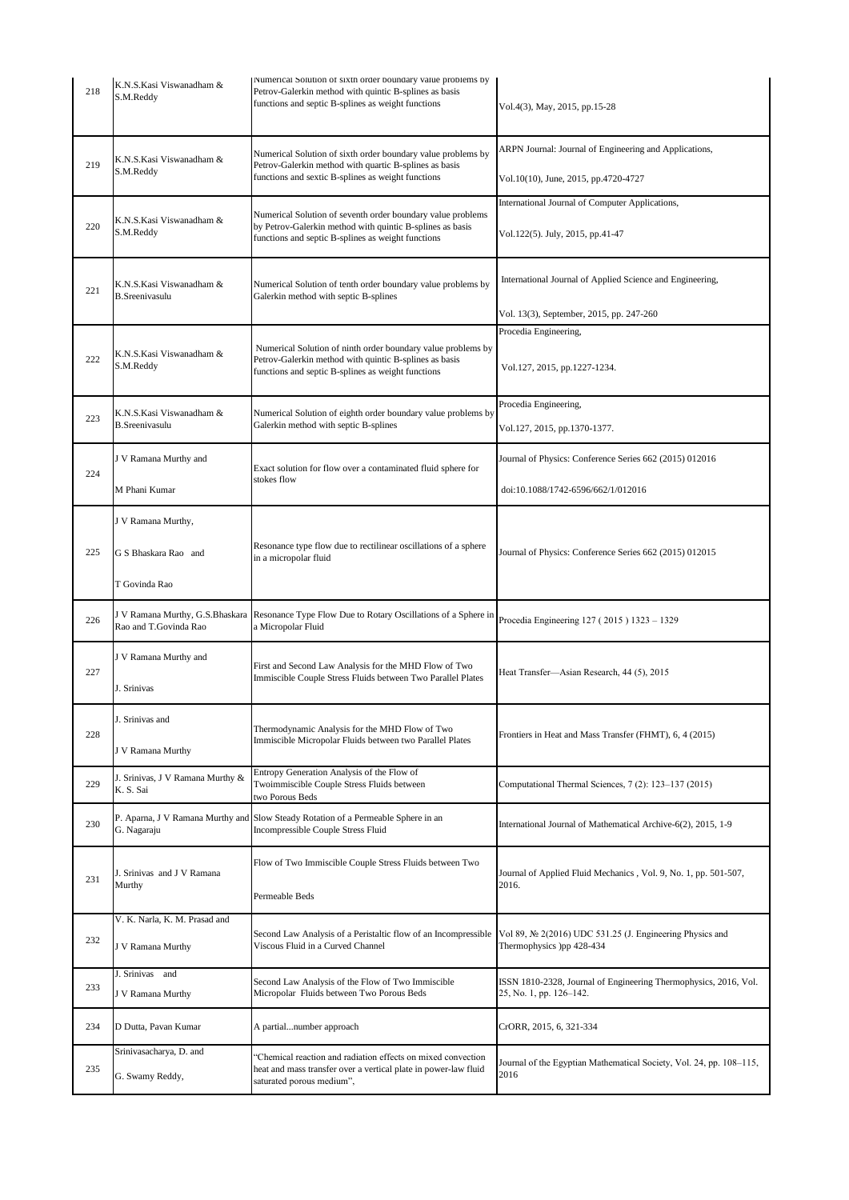| 218 | K.N.S.Kasi Viswanadham &<br>S.M.Reddy             | Numerical Solution of sixth order boundary value problems by<br>Petrov-Galerkin method with quintic B-splines as basis<br>functions and septic B-splines as weight functions | Vol.4(3), May, 2015, pp.15-28                                                                      |
|-----|---------------------------------------------------|------------------------------------------------------------------------------------------------------------------------------------------------------------------------------|----------------------------------------------------------------------------------------------------|
|     | K.N.S.Kasi Viswanadham &                          | Numerical Solution of sixth order boundary value problems by                                                                                                                 | ARPN Journal: Journal of Engineering and Applications,                                             |
| 219 | S.M.Reddy                                         | Petrov-Galerkin method with quartic B-splines as basis<br>functions and sextic B-splines as weight functions                                                                 | Vol.10(10), June, 2015, pp.4720-4727                                                               |
|     | K.N.S.Kasi Viswanadham &                          | Numerical Solution of seventh order boundary value problems                                                                                                                  | International Journal of Computer Applications,                                                    |
| 220 | S.M.Reddy                                         | by Petrov-Galerkin method with quintic B-splines as basis<br>functions and septic B-splines as weight functions                                                              | Vol.122(5). July, 2015, pp.41-47                                                                   |
| 221 | K.N.S.Kasi Viswanadham &<br><b>B.Sreenivasulu</b> | Numerical Solution of tenth order boundary value problems by<br>Galerkin method with septic B-splines                                                                        | International Journal of Applied Science and Engineering,                                          |
|     |                                                   |                                                                                                                                                                              | Vol. 13(3), September, 2015, pp. 247-260<br>Procedia Engineering,                                  |
| 222 | K.N.S.Kasi Viswanadham &<br>S.M.Reddy             | Numerical Solution of ninth order boundary value problems by<br>Petrov-Galerkin method with quintic B-splines as basis<br>functions and septic B-splines as weight functions | Vol.127, 2015, pp.1227-1234.                                                                       |
|     | K.N.S.Kasi Viswanadham &                          | Numerical Solution of eighth order boundary value problems by                                                                                                                | Procedia Engineering,                                                                              |
| 223 | <b>B.Sreenivasulu</b>                             | Galerkin method with septic B-splines                                                                                                                                        | Vol.127, 2015, pp.1370-1377.                                                                       |
| 224 | J V Ramana Murthy and                             | Exact solution for flow over a contaminated fluid sphere for                                                                                                                 | Journal of Physics: Conference Series 662 (2015) 012016                                            |
|     | M Phani Kumar                                     | stokes flow                                                                                                                                                                  | doi:10.1088/1742-6596/662/1/012016                                                                 |
|     | J V Ramana Murthy,                                |                                                                                                                                                                              |                                                                                                    |
| 225 | G S Bhaskara Rao and                              | Resonance type flow due to rectilinear oscillations of a sphere<br>in a micropolar fluid                                                                                     | Journal of Physics: Conference Series 662 (2015) 012015                                            |
|     | T Govinda Rao                                     |                                                                                                                                                                              |                                                                                                    |
| 226 | Rao and T.Govinda Rao                             | J V Ramana Murthy, G.S.Bhaskara Resonance Type Flow Due to Rotary Oscillations of a Sphere in<br>a Micropolar Fluid                                                          | Procedia Engineering 127 (2015) 1323 - 1329                                                        |
| 227 | J V Ramana Murthy and<br>J. Srinivas              | First and Second Law Analysis for the MHD Flow of Two<br>Immiscible Couple Stress Fluids between Two Parallel Plates                                                         | Heat Transfer-Asian Research, 44 (5), 2015                                                         |
| 228 | J. Srinivas and<br>J V Ramana Murthy              | Thermodynamic Analysis for the MHD Flow of Two<br>Immiscible Micropolar Fluids between two Parallel Plates                                                                   | Frontiers in Heat and Mass Transfer (FHMT), 6, 4 (2015)                                            |
| 229 | J. Srinivas, J V Ramana Murthy &<br>K. S. Sai     | Entropy Generation Analysis of the Flow of<br>Twoimmiscible Couple Stress Fluids between<br>two Porous Beds                                                                  | Computational Thermal Sciences, 7 (2): 123-137 (2015)                                              |
| 230 | G. Nagaraju                                       | P. Aparna, J V Ramana Murthy and Slow Steady Rotation of a Permeable Sphere in an<br>Incompressible Couple Stress Fluid                                                      | International Journal of Mathematical Archive-6(2), 2015, 1-9                                      |
| 231 | J. Srinivas and J V Ramana<br>Murthy              | Flow of Two Immiscible Couple Stress Fluids between Two<br>Permeable Beds                                                                                                    | Journal of Applied Fluid Mechanics, Vol. 9, No. 1, pp. 501-507,<br>2016.                           |
|     | V. K. Narla, K. M. Prasad and                     |                                                                                                                                                                              |                                                                                                    |
| 232 | J V Ramana Murthy                                 | Second Law Analysis of a Peristaltic flow of an Incompressible<br>Viscous Fluid in a Curved Channel                                                                          | Vol 89, $\mathbb{N}^2$ 2(2016) UDC 531.25 (J. Engineering Physics and<br>Thermophysics )pp 428-434 |
| 233 | J. Srinivas and<br>J V Ramana Murthy              | Second Law Analysis of the Flow of Two Immiscible<br>Micropolar Fluids between Two Porous Beds                                                                               | ISSN 1810-2328, Journal of Engineering Thermophysics, 2016, Vol.<br>25, No. 1, pp. 126–142.        |
| 234 | D Dutta, Pavan Kumar                              | A partialnumber approach                                                                                                                                                     | CrORR, 2015, 6, 321-334                                                                            |
| 235 | Srinivasacharya, D. and<br>G. Swamy Reddy,        | Chemical reaction and radiation effects on mixed convection<br>heat and mass transfer over a vertical plate in power-law fluid<br>saturated porous medium",                  | Journal of the Egyptian Mathematical Society, Vol. 24, pp. 108-115,<br>2016                        |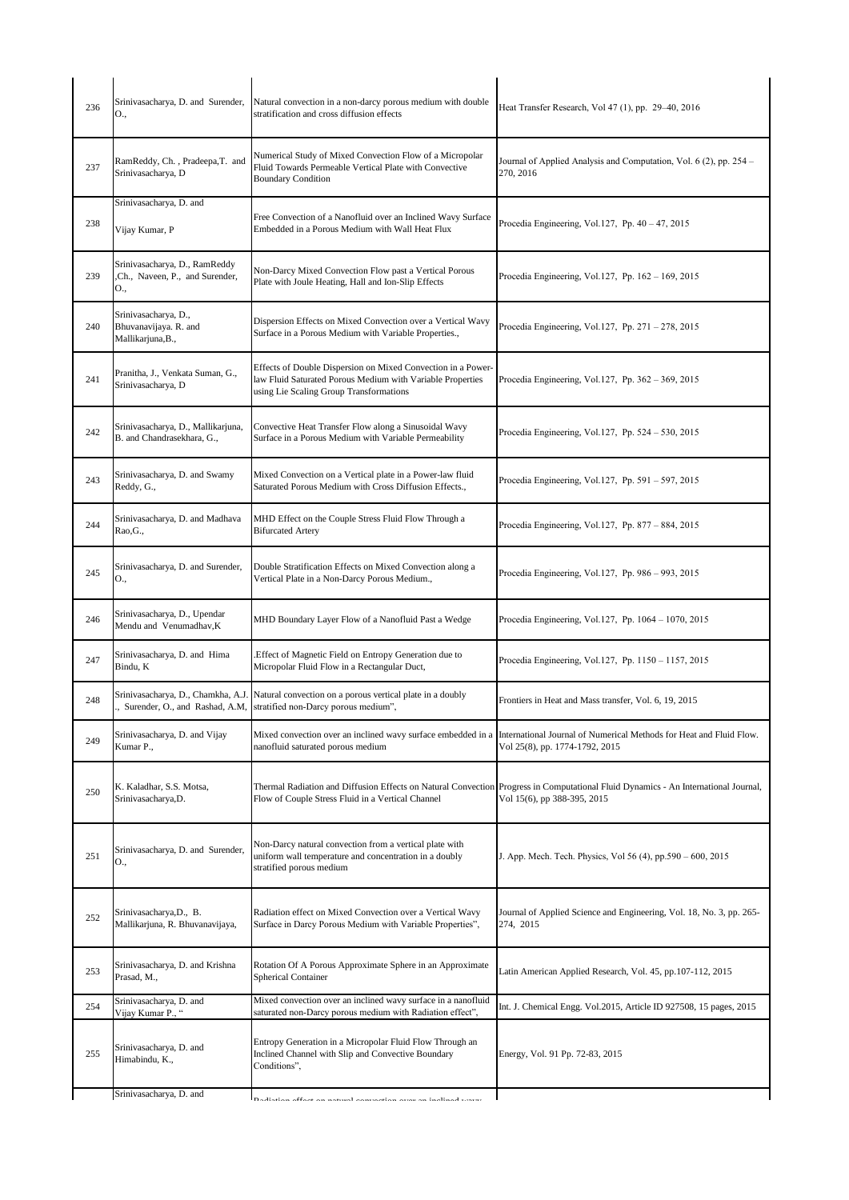| 236 | Srinivasacharya, D. and Surender,<br>O.,                               | Natural convection in a non-darcy porous medium with double<br>stratification and cross diffusion effects                                                             | Heat Transfer Research, Vol 47 (1), pp. 29-40, 2016                                                                                                                |
|-----|------------------------------------------------------------------------|-----------------------------------------------------------------------------------------------------------------------------------------------------------------------|--------------------------------------------------------------------------------------------------------------------------------------------------------------------|
| 237 | RamReddy, Ch., Pradeepa,T. and<br>Srinivasacharya, D                   | Numerical Study of Mixed Convection Flow of a Micropolar<br>Fluid Towards Permeable Vertical Plate with Convective<br><b>Boundary Condition</b>                       | Journal of Applied Analysis and Computation, Vol. 6 (2), pp. 254 –<br>270, 2016                                                                                    |
| 238 | Srinivasacharya, D. and<br>Vijay Kumar, P                              | Free Convection of a Nanofluid over an Inclined Wavy Surface<br>Embedded in a Porous Medium with Wall Heat Flux                                                       | Procedia Engineering, Vol.127, Pp. $40 - 47$ , 2015                                                                                                                |
| 239 | Srinivasacharya, D., RamReddy<br>Ch., Naveen, P., and Surender,<br>O., | Non-Darcy Mixed Convection Flow past a Vertical Porous<br>Plate with Joule Heating, Hall and Ion-Slip Effects                                                         | Procedia Engineering, Vol.127, Pp. 162 - 169, 2015                                                                                                                 |
| 240 | Srinivasacharya, D.,<br>Bhuvanavijaya. R. and<br>Mallikarjuna, B.,     | Dispersion Effects on Mixed Convection over a Vertical Wavy<br>Surface in a Porous Medium with Variable Properties.,                                                  | Procedia Engineering, Vol.127, Pp. 271 - 278, 2015                                                                                                                 |
| 241 | Pranitha, J., Venkata Suman, G.,<br>Srinivasacharya, D                 | Effects of Double Dispersion on Mixed Convection in a Power-<br>law Fluid Saturated Porous Medium with Variable Properties<br>using Lie Scaling Group Transformations | Procedia Engineering, Vol.127, Pp. 362 - 369, 2015                                                                                                                 |
| 242 | Srinivasacharya, D., Mallikarjuna,<br>B. and Chandrasekhara, G.,       | Convective Heat Transfer Flow along a Sinusoidal Wavy<br>Surface in a Porous Medium with Variable Permeability                                                        | Procedia Engineering, Vol.127, Pp. 524 - 530, 2015                                                                                                                 |
| 243 | Srinivasacharya, D. and Swamy<br>Reddy, G.,                            | Mixed Convection on a Vertical plate in a Power-law fluid<br>Saturated Porous Medium with Cross Diffusion Effects.,                                                   | Procedia Engineering, Vol.127, Pp. 591 - 597, 2015                                                                                                                 |
| 244 | Srinivasacharya, D. and Madhava<br>Rao, G.,                            | MHD Effect on the Couple Stress Fluid Flow Through a<br><b>Bifurcated Artery</b>                                                                                      | Procedia Engineering, Vol.127, Pp. 877 - 884, 2015                                                                                                                 |
| 245 | Srinivasacharya, D. and Surender,<br>O.,                               | Double Stratification Effects on Mixed Convection along a<br>Vertical Plate in a Non-Darcy Porous Medium.,                                                            | Procedia Engineering, Vol.127, Pp. 986 - 993, 2015                                                                                                                 |
| 246 | Srinivasacharya, D., Upendar<br>Mendu and Venumadhav, K                | MHD Boundary Layer Flow of a Nanofluid Past a Wedge                                                                                                                   | Procedia Engineering, Vol.127, Pp. 1064 - 1070, 2015                                                                                                               |
| 247 | Srinivasacharya, D. and Hima<br>Bindu, K                               | Effect of Magnetic Field on Entropy Generation due to<br>Micropolar Fluid Flow in a Rectangular Duct,                                                                 | Procedia Engineering, Vol.127, Pp. 1150 - 1157, 2015                                                                                                               |
| 248 |                                                                        | Srinivasacharya, D., Chamkha, A.J. Natural convection on a porous vertical plate in a doubly<br>Surender, O., and Rashad, A.M, stratified non-Darcy porous medium",   | Frontiers in Heat and Mass transfer, Vol. 6, 19, 2015                                                                                                              |
| 249 | Srinivasacharya, D. and Vijay<br>Kumar P.,                             | nanofluid saturated porous medium                                                                                                                                     | Mixed convection over an inclined wavy surface embedded in a International Journal of Numerical Methods for Heat and Fluid Flow.<br>Vol 25(8), pp. 1774-1792, 2015 |
| 250 | K. Kaladhar, S.S. Motsa,<br>Srinivasacharya, D.                        | Flow of Couple Stress Fluid in a Vertical Channel                                                                                                                     | Thermal Radiation and Diffusion Effects on Natural Convection Progress in Computational Fluid Dynamics - An International Journal,<br>Vol 15(6), pp 388-395, 2015  |
| 251 | Srinivasacharya, D. and Surender,<br>O.,                               | Non-Darcy natural convection from a vertical plate with<br>uniform wall temperature and concentration in a doubly<br>stratified porous medium                         | J. App. Mech. Tech. Physics, Vol 56 (4), pp.590 – 600, 2015                                                                                                        |
| 252 | Srinivasacharya, D., B.<br>Mallikarjuna, R. Bhuvanavijaya,             | Radiation effect on Mixed Convection over a Vertical Wavy<br>Surface in Darcy Porous Medium with Variable Properties",                                                | Journal of Applied Science and Engineering, Vol. 18, No. 3, pp. 265-<br>274, 2015                                                                                  |
| 253 | Srinivasacharya, D. and Krishna<br>Prasad, M.,                         | Rotation Of A Porous Approximate Sphere in an Approximate<br><b>Spherical Container</b>                                                                               | Latin American Applied Research, Vol. 45, pp.107-112, 2015                                                                                                         |
| 254 | Srinivasacharya, D. and<br>Vijay Kumar P., "                           | Mixed convection over an inclined wavy surface in a nanofluid<br>saturated non-Darcy porous medium with Radiation effect",                                            | Int. J. Chemical Engg. Vol.2015, Article ID 927508, 15 pages, 2015                                                                                                 |
| 255 | Srinivasacharya, D. and<br>Himabindu, K.,                              | Entropy Generation in a Micropolar Fluid Flow Through an<br>Inclined Channel with Slip and Convective Boundary<br>Conditions",                                        | Energy, Vol. 91 Pp. 72-83, 2015                                                                                                                                    |
|     | Srinivasacharya, D. and                                                |                                                                                                                                                                       |                                                                                                                                                                    |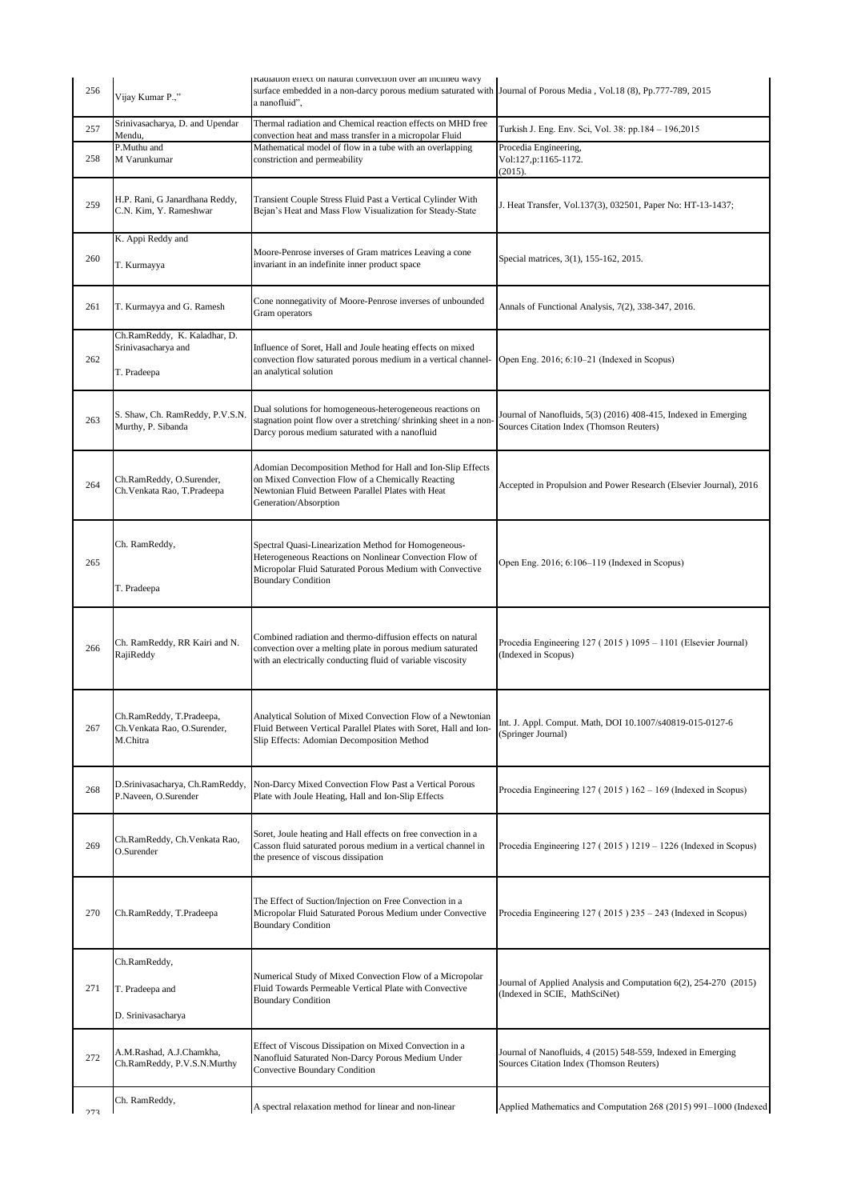| 256 | Vijay Kumar P.,"                                                      | Kadiation effect on natural convection over an inclined wavy<br>surface embedded in a non-darcy porous medium saturated with Journal of Porous Media, Vol.18 (8), Pp.777-789, 2015<br>a nanofluid",      |                                                                                                             |
|-----|-----------------------------------------------------------------------|----------------------------------------------------------------------------------------------------------------------------------------------------------------------------------------------------------|-------------------------------------------------------------------------------------------------------------|
| 257 | Srinivasacharya, D. and Upendar                                       | Thermal radiation and Chemical reaction effects on MHD free                                                                                                                                              | Turkish J. Eng. Env. Sci, Vol. 38: pp.184 - 196,2015                                                        |
| 258 | Mendu,<br>P.Muthu and<br>M Varunkumar                                 | convection heat and mass transfer in a micropolar Fluid<br>Mathematical model of flow in a tube with an overlapping<br>constriction and permeability                                                     | Procedia Engineering,<br>Vol:127,p:1165-1172.<br>(2015).                                                    |
| 259 | H.P. Rani, G Janardhana Reddy,<br>C.N. Kim, Y. Rameshwar              | Transient Couple Stress Fluid Past a Vertical Cylinder With<br>Bejan's Heat and Mass Flow Visualization for Steady-State                                                                                 | J. Heat Transfer, Vol.137(3), 032501, Paper No: HT-13-1437;                                                 |
| 260 | K. Appi Reddy and<br>T. Kurmayya                                      | Moore-Penrose inverses of Gram matrices Leaving a cone<br>invariant in an indefinite inner product space                                                                                                 | Special matrices, 3(1), 155-162, 2015.                                                                      |
| 261 | T. Kurmayya and G. Ramesh                                             | Cone nonnegativity of Moore-Penrose inverses of unbounded<br>Gram operators                                                                                                                              | Annals of Functional Analysis, 7(2), 338-347, 2016.                                                         |
| 262 | Ch.RamReddy, K. Kaladhar, D.<br>Srinivasacharya and<br>T. Pradeepa    | Influence of Soret, Hall and Joule heating effects on mixed<br>convection flow saturated porous medium in a vertical channel-<br>an analytical solution                                                  | Open Eng. 2016; 6:10–21 (Indexed in Scopus)                                                                 |
| 263 | S. Shaw, Ch. RamReddy, P.V.S.N.<br>Murthy, P. Sibanda                 | Dual solutions for homogeneous-heterogeneous reactions on<br>stagnation point flow over a stretching/shrinking sheet in a non-<br>Darcy porous medium saturated with a nanofluid                         | Journal of Nanofluids, 5(3) (2016) 408-415, Indexed in Emerging<br>Sources Citation Index (Thomson Reuters) |
| 264 | Ch.RamReddy, O.Surender,<br>Ch. Venkata Rao, T. Pradeepa              | Adomian Decomposition Method for Hall and Ion-Slip Effects<br>on Mixed Convection Flow of a Chemically Reacting<br>Newtonian Fluid Between Parallel Plates with Heat<br>Generation/Absorption            | Accepted in Propulsion and Power Research (Elsevier Journal), 2016                                          |
| 265 | Ch. RamReddy,<br>T. Pradeepa                                          | Spectral Quasi-Linearization Method for Homogeneous-<br>Heterogeneous Reactions on Nonlinear Convection Flow of<br>Micropolar Fluid Saturated Porous Medium with Convective<br><b>Boundary Condition</b> | Open Eng. 2016; 6:106–119 (Indexed in Scopus)                                                               |
| 266 | Ch. RamReddy, RR Kairi and N.<br>RajiReddy                            | Combined radiation and thermo-diffusion effects on natural<br>convection over a melting plate in porous medium saturated<br>with an electrically conducting fluid of variable viscosity                  | Procedia Engineering 127 (2015) 1095 - 1101 (Elsevier Journal)<br>(Indexed in Scopus)                       |
| 267 | Ch.RamReddy, T.Pradeepa,<br>Ch. Venkata Rao, O. Surender,<br>M.Chitra | Analytical Solution of Mixed Convection Flow of a Newtonian<br>Fluid Between Vertical Parallel Plates with Soret, Hall and Ion-<br>Slip Effects: Adomian Decomposition Method                            | Int. J. Appl. Comput. Math, DOI 10.1007/s40819-015-0127-6<br>(Springer Journal)                             |
| 268 | D.Srinivasacharya, Ch.RamReddy,<br>P.Naveen, O.Surender               | Non-Darcy Mixed Convection Flow Past a Vertical Porous<br>Plate with Joule Heating, Hall and Ion-Slip Effects                                                                                            | Procedia Engineering $127(2015)162 - 169$ (Indexed in Scopus)                                               |
| 269 | Ch.RamReddy, Ch.Venkata Rao,<br>O.Surender                            | Soret, Joule heating and Hall effects on free convection in a<br>Casson fluid saturated porous medium in a vertical channel in<br>the presence of viscous dissipation                                    | Procedia Engineering 127 (2015) 1219 - 1226 (Indexed in Scopus)                                             |
| 270 | Ch.RamReddy, T.Pradeepa                                               | The Effect of Suction/Injection on Free Convection in a<br>Micropolar Fluid Saturated Porous Medium under Convective<br><b>Boundary Condition</b>                                                        | Procedia Engineering 127 (2015) 235 – 243 (Indexed in Scopus)                                               |
| 271 | Ch.RamReddy,<br>T. Pradeepa and<br>D. Srinivasacharya                 | Numerical Study of Mixed Convection Flow of a Micropolar<br>Fluid Towards Permeable Vertical Plate with Convective<br><b>Boundary Condition</b>                                                          | Journal of Applied Analysis and Computation 6(2), 254-270 (2015)<br>(Indexed in SCIE, MathSciNet)           |
| 272 | A.M.Rashad, A.J.Chamkha,<br>Ch.RamReddy, P.V.S.N.Murthy               | Effect of Viscous Dissipation on Mixed Convection in a<br>Nanofluid Saturated Non-Darcy Porous Medium Under<br>Convective Boundary Condition                                                             | Journal of Nanofluids, 4 (2015) 548-559, Indexed in Emerging<br>Sources Citation Index (Thomson Reuters)    |
| 273 | Ch. RamReddy,                                                         | A spectral relaxation method for linear and non-linear                                                                                                                                                   | Applied Mathematics and Computation 268 (2015) 991-1000 (Indexed                                            |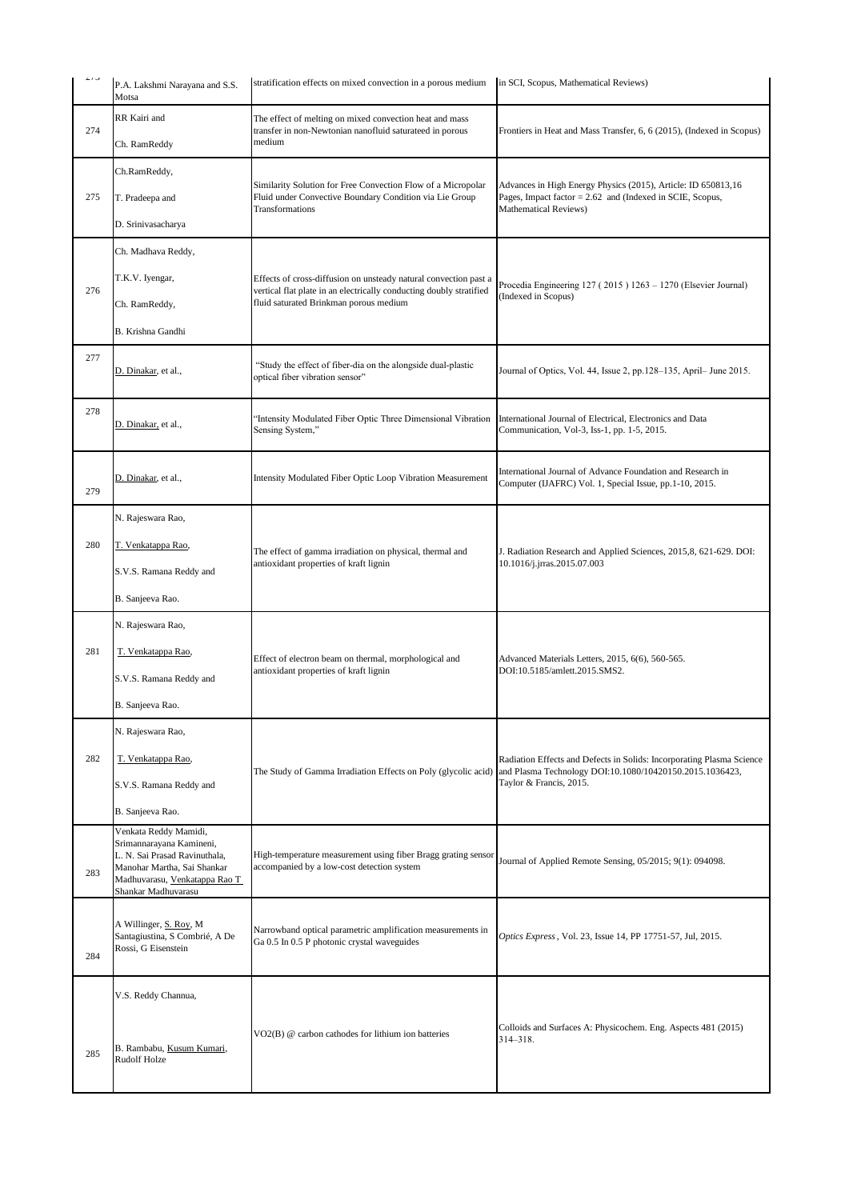| $\omega$ $\iota$ $\omega$ | P.A. Lakshmi Narayana and S.S.<br>Motsa                                                                                                                                   | stratification effects on mixed convection in a porous medium                                                                                                                     | in SCI, Scopus, Mathematical Reviews)                                                                                                                                                                                       |
|---------------------------|---------------------------------------------------------------------------------------------------------------------------------------------------------------------------|-----------------------------------------------------------------------------------------------------------------------------------------------------------------------------------|-----------------------------------------------------------------------------------------------------------------------------------------------------------------------------------------------------------------------------|
| 274                       | RR Kairi and<br>Ch. RamReddy                                                                                                                                              | The effect of melting on mixed convection heat and mass<br>transfer in non-Newtonian nanofluid saturateed in porous<br>medium                                                     | Frontiers in Heat and Mass Transfer, 6, 6 (2015), (Indexed in Scopus)                                                                                                                                                       |
| 275                       | Ch.RamReddy,<br>T. Pradeepa and<br>D. Srinivasacharya                                                                                                                     | Similarity Solution for Free Convection Flow of a Micropolar<br>Fluid under Convective Boundary Condition via Lie Group<br>Transformations                                        | Advances in High Energy Physics (2015), Article: ID 650813,16<br>Pages, Impact factor $= 2.62$ and (Indexed in SCIE, Scopus,<br><b>Mathematical Reviews)</b>                                                                |
| 276                       | Ch. Madhava Reddy,<br>T.K.V. Iyengar,<br>Ch. RamReddy,<br>B. Krishna Gandhi                                                                                               | Effects of cross-diffusion on unsteady natural convection past a<br>vertical flat plate in an electrically conducting doubly stratified<br>fluid saturated Brinkman porous medium | Procedia Engineering 127 (2015) 1263 - 1270 (Elsevier Journal)<br>(Indexed in Scopus)                                                                                                                                       |
| 277                       | D. Dinakar, et al.,                                                                                                                                                       | "Study the effect of fiber-dia on the alongside dual-plastic<br>optical fiber vibration sensor"                                                                                   | Journal of Optics, Vol. 44, Issue 2, pp.128-135, April- June 2015.                                                                                                                                                          |
| 278                       | D. Dinakar, et al.,                                                                                                                                                       | Intensity Modulated Fiber Optic Three Dimensional Vibration<br>Sensing System,"                                                                                                   | International Journal of Electrical, Electronics and Data<br>Communication, Vol-3, Iss-1, pp. 1-5, 2015.                                                                                                                    |
| 279                       | D. Dinakar, et al.,                                                                                                                                                       | Intensity Modulated Fiber Optic Loop Vibration Measurement                                                                                                                        | International Journal of Advance Foundation and Research in<br>Computer (IJAFRC) Vol. 1, Special Issue, pp.1-10, 2015.                                                                                                      |
| 280                       | N. Rajeswara Rao,<br>T. Venkatappa Rao,<br>S.V.S. Ramana Reddy and<br>B. Sanjeeva Rao.                                                                                    | The effect of gamma irradiation on physical, thermal and<br>antioxidant properties of kraft lignin                                                                                | J. Radiation Research and Applied Sciences, 2015,8, 621-629. DOI:<br>10.1016/j.jrras.2015.07.003                                                                                                                            |
| 281                       | N. Rajeswara Rao,<br>T. Venkatappa Rao,<br>S.V.S. Ramana Reddy and<br>B. Sanjeeva Rao.                                                                                    | Effect of electron beam on thermal, morphological and<br>antioxidant properties of kraft lignin                                                                                   | Advanced Materials Letters, 2015, 6(6), 560-565.<br>DOI:10.5185/amlett.2015.SMS2.                                                                                                                                           |
| 282                       | N. Rajeswara Rao,<br>T. Venkatappa Rao,<br>S.V.S. Ramana Reddy and<br>B. Sanjeeva Rao.                                                                                    |                                                                                                                                                                                   | Radiation Effects and Defects in Solids: Incorporating Plasma Science<br>The Study of Gamma Irradiation Effects on Poly (glycolic acid) and Plasma Technology DOI:10.1080/10420150.2015.1036423,<br>Taylor & Francis, 2015. |
| 283                       | Venkata Reddy Mamidi,<br>Srimannarayana Kamineni,<br>L. N. Sai Prasad Ravinuthala,<br>Manohar Martha, Sai Shankar<br>Madhuvarasu, Venkatappa Rao T<br>Shankar Madhuvarasu | High-temperature measurement using fiber Bragg grating sensor<br>accompanied by a low-cost detection system                                                                       | Journal of Applied Remote Sensing, 05/2015; 9(1): 094098.                                                                                                                                                                   |
| 284                       | A Willinger, S. Roy, M<br>Santagiustina, S Combrié, A De<br>Rossi, G Eisenstein                                                                                           | Narrowband optical parametric amplification measurements in<br>Ga 0.5 In 0.5 P photonic crystal waveguides                                                                        | Optics Express, Vol. 23, Issue 14, PP 17751-57, Jul, 2015.                                                                                                                                                                  |
| 285                       | V.S. Reddy Channua,<br>B. Rambabu, Kusum Kumari,<br>Rudolf Holze                                                                                                          | VO2(B) @ carbon cathodes for lithium ion batteries                                                                                                                                | Colloids and Surfaces A: Physicochem. Eng. Aspects 481 (2015)<br>314-318.                                                                                                                                                   |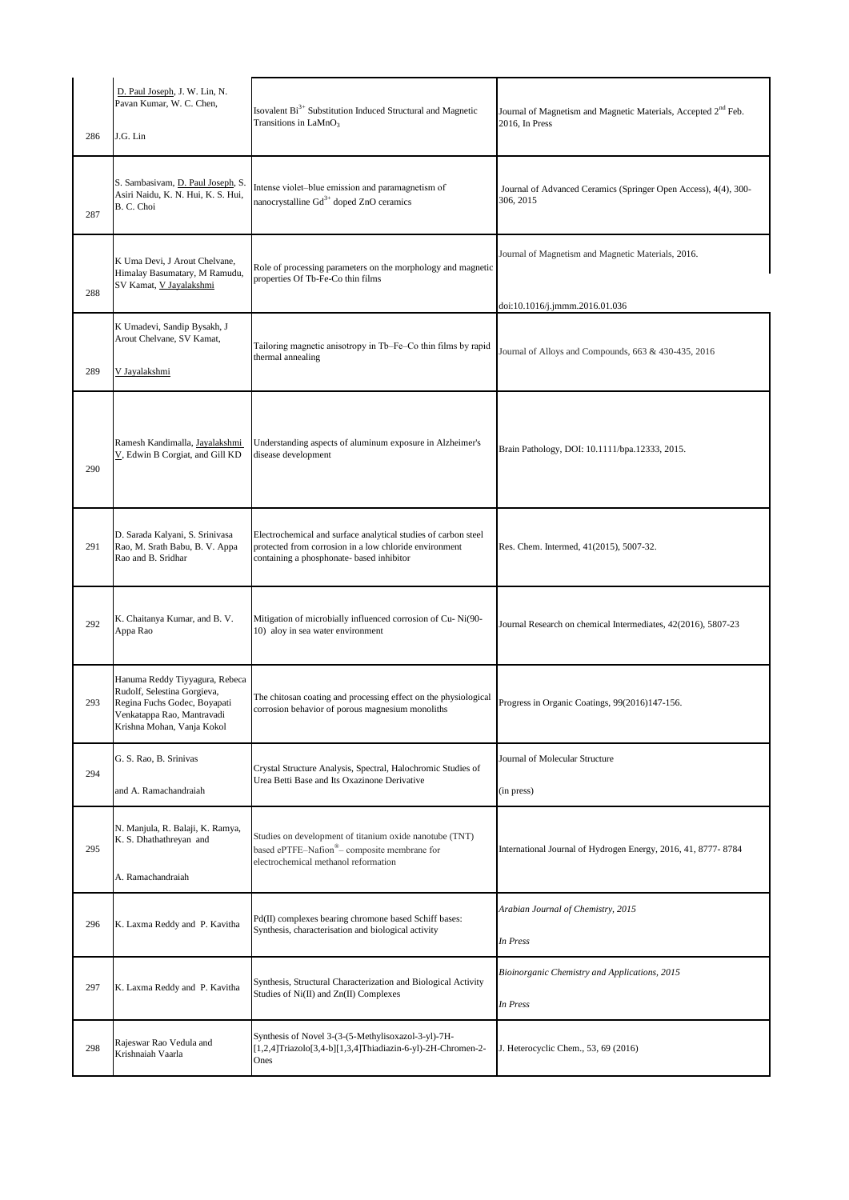| 286 | D. Paul Joseph, J. W. Lin, N.<br>Pavan Kumar, W. C. Chen,<br>J.G. Lin                                                                                     | Isovalent Bi <sup>3+</sup> Substitution Induced Structural and Magnetic<br>Transitions in LaMnO <sub>3</sub>                                                          | Journal of Magnetism and Magnetic Materials, Accepted 2 <sup>nd</sup> Feb.<br>2016, In Press |
|-----|-----------------------------------------------------------------------------------------------------------------------------------------------------------|-----------------------------------------------------------------------------------------------------------------------------------------------------------------------|----------------------------------------------------------------------------------------------|
| 287 | S. Sambasivam, D. Paul Joseph, S.<br>Asiri Naidu, K. N. Hui, K. S. Hui,<br>B. C. Choi                                                                     | Intense violet-blue emission and paramagnetism of<br>nanocrystalline Gd <sup>3+</sup> doped ZnO ceramics                                                              | Journal of Advanced Ceramics (Springer Open Access), 4(4), 300-<br>306, 2015                 |
| 288 | K Uma Devi, J Arout Chelvane,<br>Himalay Basumatary, M Ramudu,<br>SV Kamat, V Jayalakshmi                                                                 | Role of processing parameters on the morphology and magnetic<br>properties Of Tb-Fe-Co thin films                                                                     | Journal of Magnetism and Magnetic Materials, 2016.<br>doi:10.1016/j.jmmm.2016.01.036         |
| 289 | K Umadevi, Sandip Bysakh, J<br>Arout Chelvane, SV Kamat,<br>V Jayalakshmi                                                                                 | Tailoring magnetic anisotropy in Tb-Fe-Co thin films by rapid<br>thermal annealing                                                                                    | Journal of Alloys and Compounds, 663 & 430-435, 2016                                         |
| 290 | Ramesh Kandimalla, Jayalakshmi<br>V, Edwin B Corgiat, and Gill KD                                                                                         | Understanding aspects of aluminum exposure in Alzheimer's<br>disease development                                                                                      | Brain Pathology, DOI: 10.1111/bpa.12333, 2015.                                               |
| 291 | D. Sarada Kalyani, S. Srinivasa<br>Rao, M. Srath Babu, B. V. Appa<br>Rao and B. Sridhar                                                                   | Electrochemical and surface analytical studies of carbon steel<br>protected from corrosion in a low chloride environment<br>containing a phosphonate- based inhibitor | Res. Chem. Intermed, 41(2015), 5007-32.                                                      |
| 292 | K. Chaitanya Kumar, and B. V.<br>Appa Rao                                                                                                                 | Mitigation of microbially influenced corrosion of Cu-Ni(90-<br>10) aloy in sea water environment                                                                      | Journal Research on chemical Intermediates, 42(2016), 5807-23                                |
| 293 | Hanuma Reddy Tiyyagura, Rebeca<br>Rudolf, Selestina Gorgieva,<br>Regina Fuchs Godec, Boyapati<br>Venkatappa Rao, Mantravadi<br>Krishna Mohan, Vanja Kokol | The chitosan coating and processing effect on the physiological<br>corrosion behavior of porous magnesium monoliths                                                   | Progress in Organic Coatings, 99(2016)147-156.                                               |
| 294 | G. S. Rao, B. Srinivas<br>and A. Ramachandraiah                                                                                                           | Crystal Structure Analysis, Spectral, Halochromic Studies of<br>Urea Betti Base and Its Oxazinone Derivative                                                          | Journal of Molecular Structure<br>(in press)                                                 |
| 295 | N. Manjula, R. Balaji, K. Ramya,<br>K. S. Dhathathreyan and<br>A. Ramachandraiah                                                                          | Studies on development of titanium oxide nanotube (TNT)<br>based ePTFE-Nafion®-composite membrane for<br>electrochemical methanol reformation                         | International Journal of Hydrogen Energy, 2016, 41, 8777-8784                                |
| 296 | K. Laxma Reddy and P. Kavitha                                                                                                                             | Pd(II) complexes bearing chromone based Schiff bases:<br>Synthesis, characterisation and biological activity                                                          | Arabian Journal of Chemistry, 2015<br>In Press                                               |
| 297 | K. Laxma Reddy and P. Kavitha                                                                                                                             | Synthesis, Structural Characterization and Biological Activity<br>Studies of Ni(II) and Zn(II) Complexes                                                              | Bioinorganic Chemistry and Applications, 2015<br>In Press                                    |
| 298 | Rajeswar Rao Vedula and<br>Krishnaiah Vaarla                                                                                                              | Synthesis of Novel 3-(3-(5-Methylisoxazol-3-yl)-7H-<br>[1,2,4]Triazolo[3,4-b][1,3,4]Thiadiazin-6-yl)-2H-Chromen-2-<br>Ones                                            | J. Heterocyclic Chem., 53, 69 (2016)                                                         |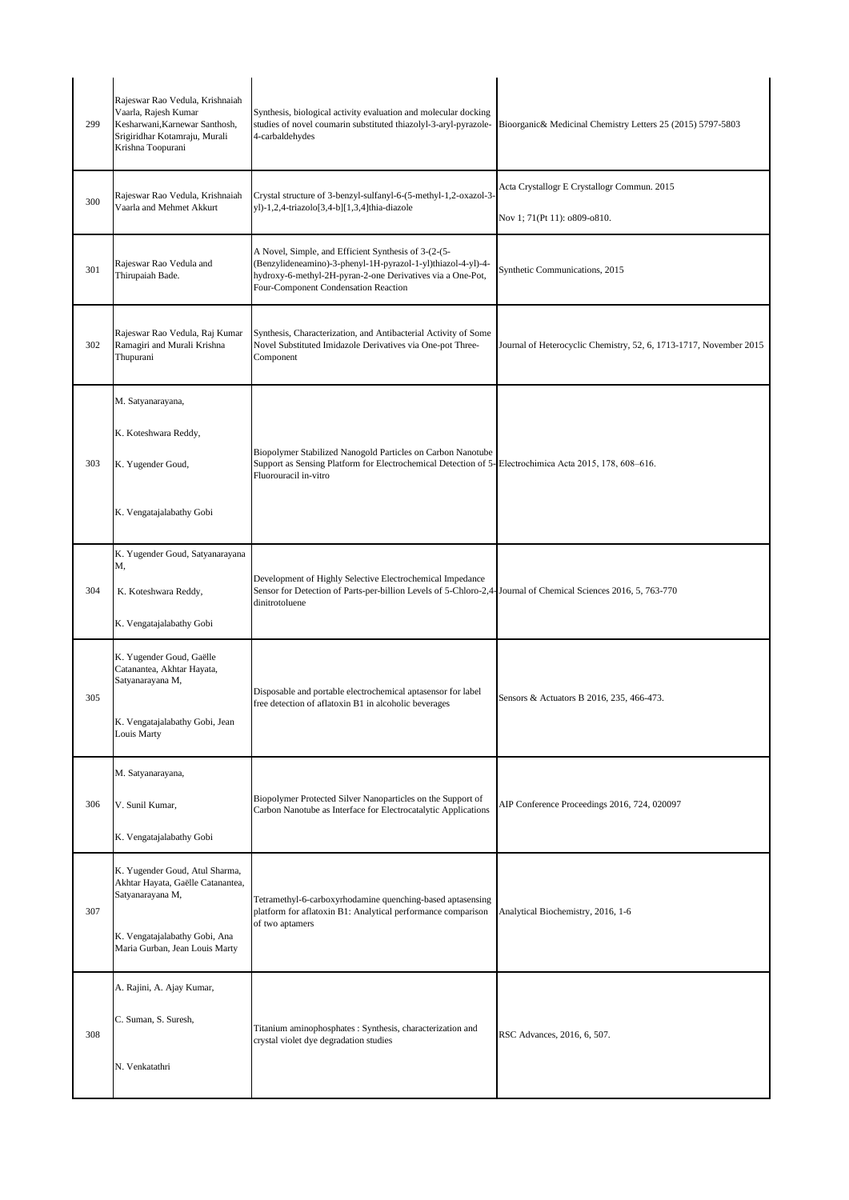| 299 | Rajeswar Rao Vedula, Krishnaiah<br>Vaarla, Rajesh Kumar<br>Kesharwani, Karnewar Santhosh,<br>Srigiridhar Kotamraju, Murali<br>Krishna Toopurani            | Synthesis, biological activity evaluation and molecular docking<br>studies of novel coumarin substituted thiazolyl-3-aryl-pyrazole-<br>4-carbaldehydes                                                                     | Bioorganic& Medicinal Chemistry Letters 25 (2015) 5797-5803                 |
|-----|------------------------------------------------------------------------------------------------------------------------------------------------------------|----------------------------------------------------------------------------------------------------------------------------------------------------------------------------------------------------------------------------|-----------------------------------------------------------------------------|
| 300 | Rajeswar Rao Vedula, Krishnaiah<br>Vaarla and Mehmet Akkurt                                                                                                | Crystal structure of 3-benzyl-sulfanyl-6-(5-methyl-1,2-oxazol-3<br>yl)-1,2,4-triazolo[3,4-b][1,3,4]thia-diazole                                                                                                            | Acta Crystallogr E Crystallogr Commun. 2015<br>Nov 1; 71(Pt 11): o809-o810. |
| 301 | Rajeswar Rao Vedula and<br>Thirupaiah Bade.                                                                                                                | A Novel, Simple, and Efficient Synthesis of 3-(2-(5-<br>(Benzylideneamino)-3-phenyl-1H-pyrazol-1-yl)thiazol-4-yl)-4-<br>hydroxy-6-methyl-2H-pyran-2-one Derivatives via a One-Pot,<br>Four-Component Condensation Reaction | Synthetic Communications, 2015                                              |
| 302 | Rajeswar Rao Vedula, Raj Kumar<br>Ramagiri and Murali Krishna<br>Thupurani                                                                                 | Synthesis, Characterization, and Antibacterial Activity of Some<br>Novel Substituted Imidazole Derivatives via One-pot Three-<br>Component                                                                                 | Journal of Heterocyclic Chemistry, 52, 6, 1713-1717, November 2015          |
| 303 | M. Satyanarayana,<br>K. Koteshwara Reddy,<br>K. Yugender Goud,<br>K. Vengatajalabathy Gobi                                                                 | Biopolymer Stabilized Nanogold Particles on Carbon Nanotube<br>Support as Sensing Platform for Electrochemical Detection of 5-Electrochimica Acta 2015, 178, 608-616.<br>Fluorouracil in-vitro                             |                                                                             |
| 304 | K. Yugender Goud, Satyanarayana<br>М,<br>K. Koteshwara Reddy,<br>K. Vengatajalabathy Gobi                                                                  | Development of Highly Selective Electrochemical Impedance<br>Sensor for Detection of Parts-per-billion Levels of 5-Chloro-2,4-Journal of Chemical Sciences 2016, 5, 763-770<br>dinitrotoluene                              |                                                                             |
| 305 | K. Yugender Goud, Gaëlle<br>Catanantea, Akhtar Hayata,<br>Satyanarayana M,<br>K. Vengatajalabathy Gobi, Jean<br>Louis Marty                                | Disposable and portable electrochemical aptasensor for label<br>free detection of aflatoxin B1 in alcoholic beverages                                                                                                      | Sensors & Actuators B 2016, 235, 466-473.                                   |
| 306 | M. Satyanarayana,<br>V. Sunil Kumar,<br>K. Vengatajalabathy Gobi                                                                                           | Biopolymer Protected Silver Nanoparticles on the Support of<br>Carbon Nanotube as Interface for Electrocatalytic Applications                                                                                              | AIP Conference Proceedings 2016, 724, 020097                                |
| 307 | K. Yugender Goud, Atul Sharma,<br>Akhtar Hayata, Gaëlle Catanantea,<br>Satyanarayana M,<br>K. Vengatajalabathy Gobi, Ana<br>Maria Gurban, Jean Louis Marty | Tetramethyl-6-carboxyrhodamine quenching-based aptasensing<br>platform for aflatoxin B1: Analytical performance comparison<br>of two aptamers                                                                              | Analytical Biochemistry, 2016, 1-6                                          |
| 308 | A. Rajini, A. Ajay Kumar,<br>C. Suman, S. Suresh,<br>N. Venkatathri                                                                                        | Titanium aminophosphates : Synthesis, characterization and<br>crystal violet dye degradation studies                                                                                                                       | RSC Advances, 2016, 6, 507.                                                 |
|     |                                                                                                                                                            |                                                                                                                                                                                                                            |                                                                             |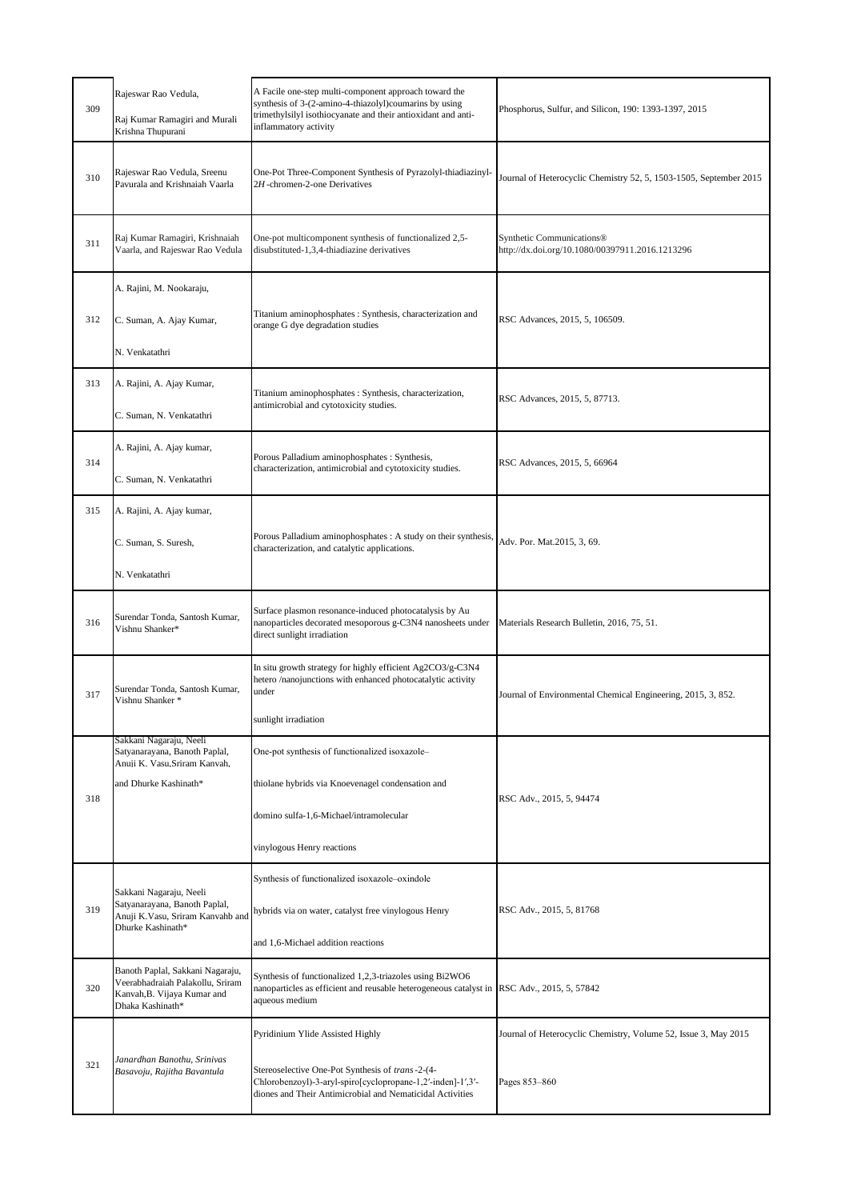| 309 | Rajeswar Rao Vedula,<br>Raj Kumar Ramagiri and Murali<br>Krishna Thupurani                                              | A Facile one-step multi-component approach toward the<br>synthesis of 3-(2-amino-4-thiazolyl)coumarins by using<br>trimethylsilyl isothiocyanate and their antioxidant and anti-<br>inflammatory activity | Phosphorus, Sulfur, and Silicon, 190: 1393-1397, 2015                        |
|-----|-------------------------------------------------------------------------------------------------------------------------|-----------------------------------------------------------------------------------------------------------------------------------------------------------------------------------------------------------|------------------------------------------------------------------------------|
| 310 | Rajeswar Rao Vedula, Sreenu<br>Pavurala and Krishnaiah Vaarla                                                           | One-Pot Three-Component Synthesis of Pyrazolyl-thiadiazinyl-<br>2H-chromen-2-one Derivatives                                                                                                              | Journal of Heterocyclic Chemistry 52, 5, 1503-1505, September 2015           |
| 311 | Raj Kumar Ramagiri, Krishnaiah<br>Vaarla, and Rajeswar Rao Vedula                                                       | One-pot multicomponent synthesis of functionalized 2,5-<br>disubstituted-1,3,4-thiadiazine derivatives                                                                                                    | Synthetic Communications®<br>http://dx.doi.org/10.1080/00397911.2016.1213296 |
|     | A. Rajini, M. Nookaraju,                                                                                                |                                                                                                                                                                                                           |                                                                              |
| 312 | C. Suman, A. Ajay Kumar,                                                                                                | Titanium aminophosphates : Synthesis, characterization and<br>orange G dye degradation studies                                                                                                            | RSC Advances, 2015, 5, 106509.                                               |
|     | N. Venkatathri                                                                                                          |                                                                                                                                                                                                           |                                                                              |
| 313 | A. Rajini, A. Ajay Kumar,                                                                                               | Titanium aminophosphates : Synthesis, characterization,<br>antimicrobial and cytotoxicity studies.                                                                                                        | RSC Advances, 2015, 5, 87713.                                                |
|     | C. Suman, N. Venkatathri                                                                                                |                                                                                                                                                                                                           |                                                                              |
| 314 | A. Rajini, A. Ajay kumar,<br>C. Suman, N. Venkatathri                                                                   | Porous Palladium aminophosphates : Synthesis,<br>characterization, antimicrobial and cytotoxicity studies.                                                                                                | RSC Advances, 2015, 5, 66964                                                 |
| 315 | A. Rajini, A. Ajay kumar,                                                                                               |                                                                                                                                                                                                           |                                                                              |
|     | C. Suman, S. Suresh,                                                                                                    | Porous Palladium aminophosphates : A study on their synthesis,<br>characterization, and catalytic applications.                                                                                           | Adv. Por. Mat.2015, 3, 69.                                                   |
|     | N. Venkatathri                                                                                                          |                                                                                                                                                                                                           |                                                                              |
| 316 | Surendar Tonda, Santosh Kumar,<br>Vishnu Shanker*                                                                       | Surface plasmon resonance-induced photocatalysis by Au<br>nanoparticles decorated mesoporous g-C3N4 nanosheets under<br>direct sunlight irradiation                                                       | Materials Research Bulletin, 2016, 75, 51.                                   |
| 317 | Surendar Tonda, Santosh Kumar,<br>Vishnu Shanker*                                                                       | In situ growth strategy for highly efficient Ag2CO3/g-C3N4<br>hetero /nanojunctions with enhanced photocatalytic activity<br>under                                                                        | Journal of Environmental Chemical Engineering, 2015, 3, 852.                 |
|     | Sakkani Nagaraju, Neeli                                                                                                 | sunlight irradiation                                                                                                                                                                                      |                                                                              |
|     | Satyanarayana, Banoth Paplal,<br>Anuii K. Vasu.Sriram Kanvah.                                                           | One-pot synthesis of functionalized isoxazole-                                                                                                                                                            |                                                                              |
| 318 | and Dhurke Kashinath*                                                                                                   | thiolane hybrids via Knoevenagel condensation and                                                                                                                                                         | RSC Adv., 2015, 5, 94474                                                     |
|     |                                                                                                                         | domino sulfa-1,6-Michael/intramolecular                                                                                                                                                                   |                                                                              |
|     |                                                                                                                         | vinylogous Henry reactions                                                                                                                                                                                |                                                                              |
|     | Sakkani Nagaraju, Neeli                                                                                                 | Synthesis of functionalized isoxazole-oxindole                                                                                                                                                            |                                                                              |
| 319 | Satyanarayana, Banoth Paplal,<br>Anuji K.Vasu, Sriram Kanvahb and                                                       | hybrids via on water, catalyst free vinylogous Henry                                                                                                                                                      | RSC Adv., 2015, 5, 81768                                                     |
|     | Dhurke Kashinath*                                                                                                       | and 1,6-Michael addition reactions                                                                                                                                                                        |                                                                              |
| 320 | Banoth Paplal, Sakkani Nagaraju,<br>Veerabhadraiah Palakollu, Sriram<br>Kanvah, B. Vijaya Kumar and<br>Dhaka Kashinath* | Synthesis of functionalized 1,2,3-triazoles using Bi2WO6<br>nanoparticles as efficient and reusable heterogeneous catalyst in RSC Adv., 2015, 5, 57842<br>aqueous medium                                  |                                                                              |
|     |                                                                                                                         | Pyridinium Ylide Assisted Highly                                                                                                                                                                          | Journal of Heterocyclic Chemistry, Volume 52, Issue 3, May 2015              |
| 321 | Janardhan Banothu, Srinivas<br>Basavoju, Rajitha Bavantula                                                              | Stereoselective One-Pot Synthesis of trans-2-(4-<br>Chlorobenzoyl)-3-aryl-spiro[cyclopropane-1,2'-inden]-1',3'-<br>diones and Their Antimicrobial and Nematicidal Activities                              | Pages 853-860                                                                |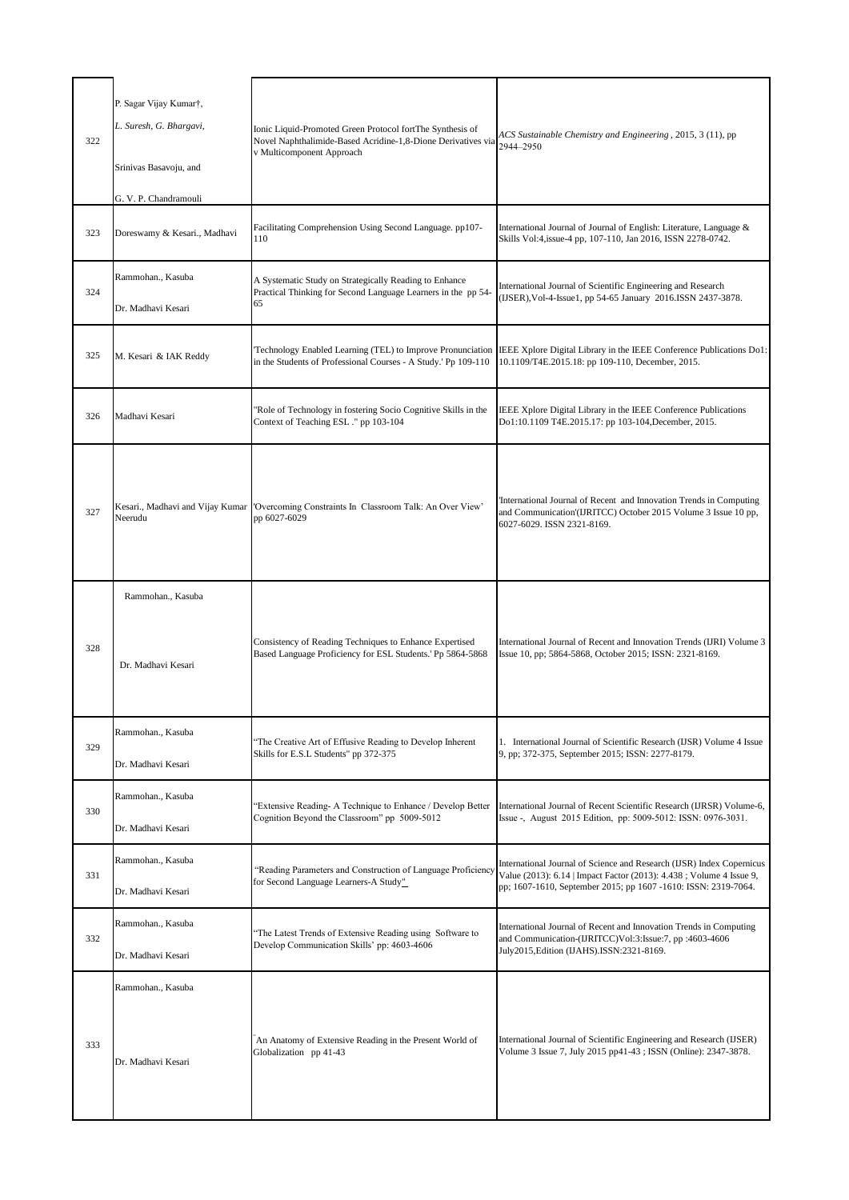| 322 | P. Sagar Vijay Kumar†,<br>L. Suresh, G. Bhargavi,<br>Srinivas Basavoju, and<br>G. V. P. Chandramouli | Ionic Liquid-Promoted Green Protocol fortThe Synthesis of<br>Novel Naphthalimide-Based Acridine-1,8-Dione Derivatives via<br>v Multicomponent Approach | ACS Sustainable Chemistry and Engineering, 2015, 3 (11), pp<br>2944-2950                                                                                                                                       |
|-----|------------------------------------------------------------------------------------------------------|--------------------------------------------------------------------------------------------------------------------------------------------------------|----------------------------------------------------------------------------------------------------------------------------------------------------------------------------------------------------------------|
| 323 | Doreswamy & Kesari., Madhavi                                                                         | Facilitating Comprehension Using Second Language. pp107-<br>110                                                                                        | International Journal of Journal of English: Literature, Language &<br>Skills Vol:4, issue-4 pp, 107-110, Jan 2016, ISSN 2278-0742.                                                                            |
| 324 | Rammohan., Kasuba<br>Dr. Madhavi Kesari                                                              | A Systematic Study on Strategically Reading to Enhance<br>Practical Thinking for Second Language Learners in the pp 54-<br>65                          | International Journal of Scientific Engineering and Research<br>(IJSER), Vol-4-Issue1, pp 54-65 January 2016. ISSN 2437-3878.                                                                                  |
| 325 | M. Kesari & IAK Reddy                                                                                | in the Students of Professional Courses - A Study.' Pp 109-110                                                                                         | Technology Enabled Learning (TEL) to Improve Pronunciation IEEE Xplore Digital Library in the IEEE Conference Publications Do1:<br>10.1109/T4E.2015.18: pp 109-110, December, 2015.                            |
| 326 | Madhavi Kesari                                                                                       | 'Role of Technology in fostering Socio Cognitive Skills in the<br>Context of Teaching ESL ." pp 103-104                                                | IEEE Xplore Digital Library in the IEEE Conference Publications<br>Do1:10.1109 T4E.2015.17: pp 103-104, December, 2015.                                                                                        |
| 327 | Neerudu                                                                                              | Kesari., Madhavi and Vijay Kumar   'Overcoming Constraints In Classroom Talk: An Over View'<br>pp 6027-6029                                            | 'International Journal of Recent and Innovation Trends in Computing<br>and Communication'(IJRITCC) October 2015 Volume 3 Issue 10 pp,<br>6027-6029. ISSN 2321-8169.                                            |
| 328 | Rammohan., Kasuba<br>Dr. Madhavi Kesari                                                              | Consistency of Reading Techniques to Enhance Expertised<br>Based Language Proficiency for ESL Students.' Pp 5864-5868                                  | International Journal of Recent and Innovation Trends (IJRI) Volume 3<br>Issue 10, pp; 5864-5868, October 2015; ISSN: 2321-8169.                                                                               |
| 329 | Rammohan., Kasuba<br>Dr. Madhavi Kesari                                                              | 'The Creative Art of Effusive Reading to Develop Inherent<br>Skills for E.S.L Students" pp 372-375                                                     | 1. International Journal of Scientific Research (IJSR) Volume 4 Issue<br>9, pp; 372-375, September 2015; ISSN: 2277-8179.                                                                                      |
| 330 | Rammohan., Kasuba<br>Dr. Madhavi Kesari                                                              | 'Extensive Reading- A Technique to Enhance / Develop Better<br>Cognition Beyond the Classroom" pp 5009-5012                                            | International Journal of Recent Scientific Research (IJRSR) Volume-6,<br>Issue -, August 2015 Edition, pp: 5009-5012: ISSN: 0976-3031.                                                                         |
| 331 | Rammohan., Kasuba<br>Dr. Madhavi Kesari                                                              | 'Reading Parameters and Construction of Language Proficiency<br>for Second Language Learners-A Study"                                                  | International Journal of Science and Research (IJSR) Index Copernicus<br>Value (2013): 6.14   Impact Factor (2013): 4.438 ; Volume 4 Issue 9,<br>pp; 1607-1610, September 2015; pp 1607-1610: ISSN: 2319-7064. |
| 332 | Rammohan., Kasuba<br>Dr. Madhavi Kesari                                                              | The Latest Trends of Extensive Reading using Software to<br>Develop Communication Skills' pp: 4603-4606                                                | International Journal of Recent and Innovation Trends in Computing<br>and Communication-(IJRITCC)Vol:3:Issue:7, pp :4603-4606<br>July2015, Edition (IJAHS). ISSN: 2321-8169.                                   |
| 333 | Rammohan., Kasuba<br>Dr. Madhavi Kesari                                                              | An Anatomy of Extensive Reading in the Present World of<br>Globalization pp 41-43                                                                      | International Journal of Scientific Engineering and Research (IJSER)<br>Volume 3 Issue 7, July 2015 pp41-43 ; ISSN (Online): 2347-3878.                                                                        |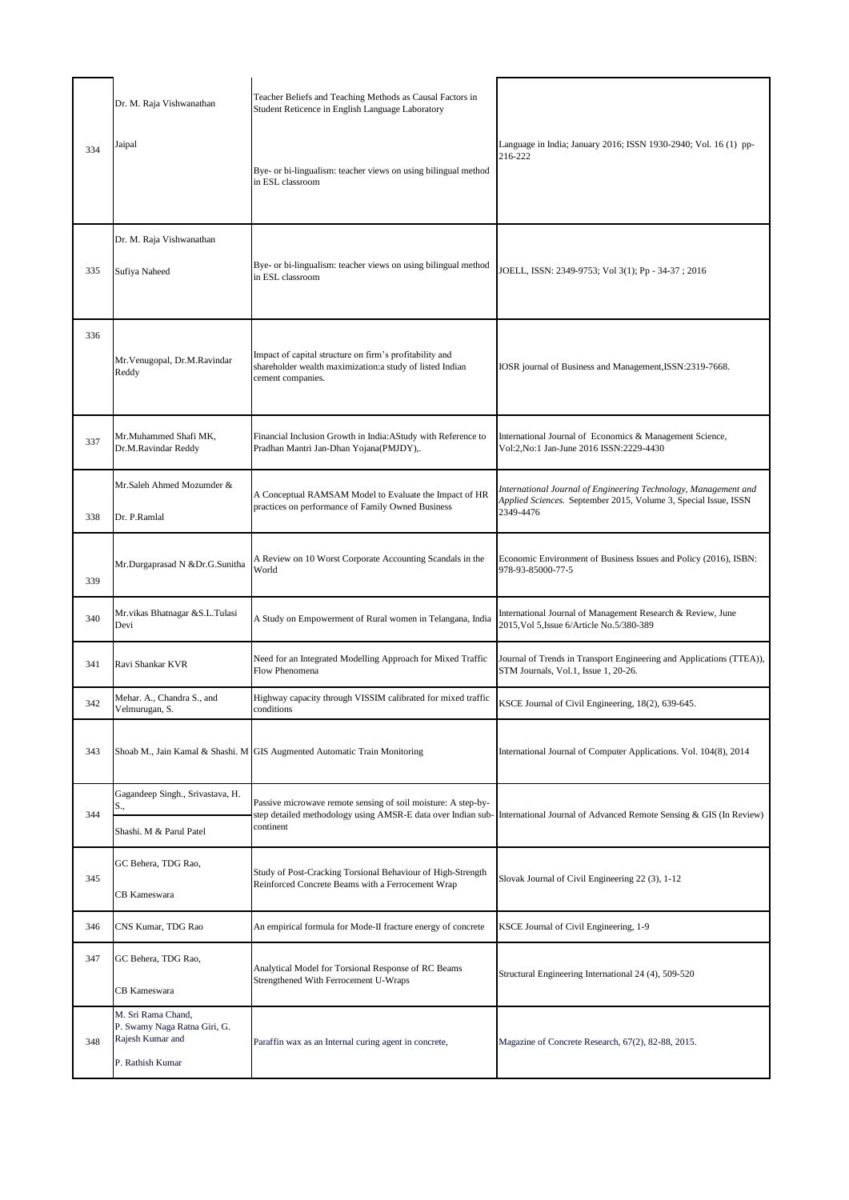| Teacher Beliefs and Teaching Methods as Causal Factors in<br>Dr. M. Raja Vishwanathan<br>Student Reticence in English Language Laboratory<br>Language in India; January 2016; ISSN 1930-2940; Vol. 16 (1) pp-<br>Jaipal<br>334<br>216-222<br>Bye- or bi-lingualism: teacher views on using bilingual method<br>in ESL classroom<br>Dr. M. Raja Vishwanathan<br>Bye- or bi-lingualism: teacher views on using bilingual method<br>335<br>JOELL, ISSN: 2349-9753; Vol 3(1); Pp - 34-37; 2016<br>Sufiya Naheed<br>in ESL classroom<br>336<br>Impact of capital structure on firm's profitability and<br>Mr. Venugopal, Dr.M. Ravindar<br>shareholder wealth maximization: a study of listed Indian<br>IOSR journal of Business and Management, ISSN: 2319-7668.<br>Reddy<br>cement companies.<br>Mr.Muhammed Shafi MK,<br>Financial Inclusion Growth in India:AStudy with Reference to<br>International Journal of Economics & Management Science,<br>337<br>Dr.M.Ravindar Reddy<br>Pradhan Mantri Jan-Dhan Yojana(PMJDY),.<br>Vol:2, No:1 Jan-June 2016 ISSN: 2229-4430<br>Mr.Saleh Ahmed Mozumder &<br>International Journal of Engineering Technology, Management and<br>A Conceptual RAMSAM Model to Evaluate the Impact of HR<br>Applied Sciences. September 2015, Volume 3, Special Issue, ISSN<br>practices on performance of Family Owned Business<br>2349-4476<br>Dr. P.Ramlal<br>338<br>A Review on 10 Worst Corporate Accounting Scandals in the<br>Economic Environment of Business Issues and Policy (2016), ISBN:<br>Mr.Durgaprasad N &Dr.G.Sunitha<br>World<br>978-93-85000-77-5<br>339<br>Mr. vikas Bhatnagar & S.L. Tulasi<br>International Journal of Management Research & Review, June<br>340<br>A Study on Empowerment of Rural women in Telangana, India<br>2015, Vol 5, Issue 6/Article No.5/380-389<br>Devi<br>Need for an Integrated Modelling Approach for Mixed Traffic<br>Journal of Trends in Transport Engineering and Applications (TTEA)),<br>341<br>Ravi Shankar KVR<br>Flow Phenomena<br>STM Journals, Vol.1, Issue 1, 20-26.<br>Highway capacity through VISSIM calibrated for mixed traffic<br>Mehar. A., Chandra S., and<br>342<br>KSCE Journal of Civil Engineering, 18(2), 639-645.<br>Velmurugan, S.<br>conditions<br>343<br>Shoab M., Jain Kamal & Shashi. M GIS Augmented Automatic Train Monitoring<br>International Journal of Computer Applications. Vol. 104(8), 2014<br>Gagandeep Singh., Srivastava, H.<br>Passive microwave remote sensing of soil moisture: A step-by-<br>S.,<br>344<br>step detailed methodology using AMSR-E data over Indian sub-<br>International Journal of Advanced Remote Sensing & GIS (In Review)<br>continent<br>Shashi. M & Parul Patel<br>GC Behera, TDG Rao,<br>Study of Post-Cracking Torsional Behaviour of High-Strength<br>345<br>Slovak Journal of Civil Engineering 22 (3), 1-12<br>Reinforced Concrete Beams with a Ferrocement Wrap<br>CB Kameswara<br>346<br>CNS Kumar, TDG Rao<br>An empirical formula for Mode-II fracture energy of concrete<br>KSCE Journal of Civil Engineering, 1-9<br>347<br>GC Behera, TDG Rao,<br>Analytical Model for Torsional Response of RC Beams<br>Structural Engineering International 24 (4), 509-520<br>Strengthened With Ferrocement U-Wraps<br>CB Kameswara<br>M. Sri Rama Chand,<br>P. Swamy Naga Ratna Giri, G.<br>Rajesh Kumar and<br>348<br>Paraffin wax as an Internal curing agent in concrete,<br>Magazine of Concrete Research, 67(2), 82-88, 2015. |                  |  |
|--------------------------------------------------------------------------------------------------------------------------------------------------------------------------------------------------------------------------------------------------------------------------------------------------------------------------------------------------------------------------------------------------------------------------------------------------------------------------------------------------------------------------------------------------------------------------------------------------------------------------------------------------------------------------------------------------------------------------------------------------------------------------------------------------------------------------------------------------------------------------------------------------------------------------------------------------------------------------------------------------------------------------------------------------------------------------------------------------------------------------------------------------------------------------------------------------------------------------------------------------------------------------------------------------------------------------------------------------------------------------------------------------------------------------------------------------------------------------------------------------------------------------------------------------------------------------------------------------------------------------------------------------------------------------------------------------------------------------------------------------------------------------------------------------------------------------------------------------------------------------------------------------------------------------------------------------------------------------------------------------------------------------------------------------------------------------------------------------------------------------------------------------------------------------------------------------------------------------------------------------------------------------------------------------------------------------------------------------------------------------------------------------------------------------------------------------------------------------------------------------------------------------------------------------------------------------------------------------------------------------------------------------------------------------------------------------------------------------------------------------------------------------------------------------------------------------------------------------------------------------------------------------------------------------------------------------------------------------------------------------------------------------------------------------------------------------------------------------------------------------------------------------------------------------------------------------------------------------------------------------------------------------------------------------------------------------------------------------------------------------------------------------------------------------------------------------------------------------------------|------------------|--|
|                                                                                                                                                                                                                                                                                                                                                                                                                                                                                                                                                                                                                                                                                                                                                                                                                                                                                                                                                                                                                                                                                                                                                                                                                                                                                                                                                                                                                                                                                                                                                                                                                                                                                                                                                                                                                                                                                                                                                                                                                                                                                                                                                                                                                                                                                                                                                                                                                                                                                                                                                                                                                                                                                                                                                                                                                                                                                                                                                                                                                                                                                                                                                                                                                                                                                                                                                                                                                                                                                      |                  |  |
|                                                                                                                                                                                                                                                                                                                                                                                                                                                                                                                                                                                                                                                                                                                                                                                                                                                                                                                                                                                                                                                                                                                                                                                                                                                                                                                                                                                                                                                                                                                                                                                                                                                                                                                                                                                                                                                                                                                                                                                                                                                                                                                                                                                                                                                                                                                                                                                                                                                                                                                                                                                                                                                                                                                                                                                                                                                                                                                                                                                                                                                                                                                                                                                                                                                                                                                                                                                                                                                                                      |                  |  |
|                                                                                                                                                                                                                                                                                                                                                                                                                                                                                                                                                                                                                                                                                                                                                                                                                                                                                                                                                                                                                                                                                                                                                                                                                                                                                                                                                                                                                                                                                                                                                                                                                                                                                                                                                                                                                                                                                                                                                                                                                                                                                                                                                                                                                                                                                                                                                                                                                                                                                                                                                                                                                                                                                                                                                                                                                                                                                                                                                                                                                                                                                                                                                                                                                                                                                                                                                                                                                                                                                      |                  |  |
|                                                                                                                                                                                                                                                                                                                                                                                                                                                                                                                                                                                                                                                                                                                                                                                                                                                                                                                                                                                                                                                                                                                                                                                                                                                                                                                                                                                                                                                                                                                                                                                                                                                                                                                                                                                                                                                                                                                                                                                                                                                                                                                                                                                                                                                                                                                                                                                                                                                                                                                                                                                                                                                                                                                                                                                                                                                                                                                                                                                                                                                                                                                                                                                                                                                                                                                                                                                                                                                                                      |                  |  |
|                                                                                                                                                                                                                                                                                                                                                                                                                                                                                                                                                                                                                                                                                                                                                                                                                                                                                                                                                                                                                                                                                                                                                                                                                                                                                                                                                                                                                                                                                                                                                                                                                                                                                                                                                                                                                                                                                                                                                                                                                                                                                                                                                                                                                                                                                                                                                                                                                                                                                                                                                                                                                                                                                                                                                                                                                                                                                                                                                                                                                                                                                                                                                                                                                                                                                                                                                                                                                                                                                      |                  |  |
|                                                                                                                                                                                                                                                                                                                                                                                                                                                                                                                                                                                                                                                                                                                                                                                                                                                                                                                                                                                                                                                                                                                                                                                                                                                                                                                                                                                                                                                                                                                                                                                                                                                                                                                                                                                                                                                                                                                                                                                                                                                                                                                                                                                                                                                                                                                                                                                                                                                                                                                                                                                                                                                                                                                                                                                                                                                                                                                                                                                                                                                                                                                                                                                                                                                                                                                                                                                                                                                                                      |                  |  |
|                                                                                                                                                                                                                                                                                                                                                                                                                                                                                                                                                                                                                                                                                                                                                                                                                                                                                                                                                                                                                                                                                                                                                                                                                                                                                                                                                                                                                                                                                                                                                                                                                                                                                                                                                                                                                                                                                                                                                                                                                                                                                                                                                                                                                                                                                                                                                                                                                                                                                                                                                                                                                                                                                                                                                                                                                                                                                                                                                                                                                                                                                                                                                                                                                                                                                                                                                                                                                                                                                      |                  |  |
|                                                                                                                                                                                                                                                                                                                                                                                                                                                                                                                                                                                                                                                                                                                                                                                                                                                                                                                                                                                                                                                                                                                                                                                                                                                                                                                                                                                                                                                                                                                                                                                                                                                                                                                                                                                                                                                                                                                                                                                                                                                                                                                                                                                                                                                                                                                                                                                                                                                                                                                                                                                                                                                                                                                                                                                                                                                                                                                                                                                                                                                                                                                                                                                                                                                                                                                                                                                                                                                                                      |                  |  |
|                                                                                                                                                                                                                                                                                                                                                                                                                                                                                                                                                                                                                                                                                                                                                                                                                                                                                                                                                                                                                                                                                                                                                                                                                                                                                                                                                                                                                                                                                                                                                                                                                                                                                                                                                                                                                                                                                                                                                                                                                                                                                                                                                                                                                                                                                                                                                                                                                                                                                                                                                                                                                                                                                                                                                                                                                                                                                                                                                                                                                                                                                                                                                                                                                                                                                                                                                                                                                                                                                      |                  |  |
|                                                                                                                                                                                                                                                                                                                                                                                                                                                                                                                                                                                                                                                                                                                                                                                                                                                                                                                                                                                                                                                                                                                                                                                                                                                                                                                                                                                                                                                                                                                                                                                                                                                                                                                                                                                                                                                                                                                                                                                                                                                                                                                                                                                                                                                                                                                                                                                                                                                                                                                                                                                                                                                                                                                                                                                                                                                                                                                                                                                                                                                                                                                                                                                                                                                                                                                                                                                                                                                                                      |                  |  |
|                                                                                                                                                                                                                                                                                                                                                                                                                                                                                                                                                                                                                                                                                                                                                                                                                                                                                                                                                                                                                                                                                                                                                                                                                                                                                                                                                                                                                                                                                                                                                                                                                                                                                                                                                                                                                                                                                                                                                                                                                                                                                                                                                                                                                                                                                                                                                                                                                                                                                                                                                                                                                                                                                                                                                                                                                                                                                                                                                                                                                                                                                                                                                                                                                                                                                                                                                                                                                                                                                      |                  |  |
|                                                                                                                                                                                                                                                                                                                                                                                                                                                                                                                                                                                                                                                                                                                                                                                                                                                                                                                                                                                                                                                                                                                                                                                                                                                                                                                                                                                                                                                                                                                                                                                                                                                                                                                                                                                                                                                                                                                                                                                                                                                                                                                                                                                                                                                                                                                                                                                                                                                                                                                                                                                                                                                                                                                                                                                                                                                                                                                                                                                                                                                                                                                                                                                                                                                                                                                                                                                                                                                                                      |                  |  |
|                                                                                                                                                                                                                                                                                                                                                                                                                                                                                                                                                                                                                                                                                                                                                                                                                                                                                                                                                                                                                                                                                                                                                                                                                                                                                                                                                                                                                                                                                                                                                                                                                                                                                                                                                                                                                                                                                                                                                                                                                                                                                                                                                                                                                                                                                                                                                                                                                                                                                                                                                                                                                                                                                                                                                                                                                                                                                                                                                                                                                                                                                                                                                                                                                                                                                                                                                                                                                                                                                      |                  |  |
|                                                                                                                                                                                                                                                                                                                                                                                                                                                                                                                                                                                                                                                                                                                                                                                                                                                                                                                                                                                                                                                                                                                                                                                                                                                                                                                                                                                                                                                                                                                                                                                                                                                                                                                                                                                                                                                                                                                                                                                                                                                                                                                                                                                                                                                                                                                                                                                                                                                                                                                                                                                                                                                                                                                                                                                                                                                                                                                                                                                                                                                                                                                                                                                                                                                                                                                                                                                                                                                                                      |                  |  |
|                                                                                                                                                                                                                                                                                                                                                                                                                                                                                                                                                                                                                                                                                                                                                                                                                                                                                                                                                                                                                                                                                                                                                                                                                                                                                                                                                                                                                                                                                                                                                                                                                                                                                                                                                                                                                                                                                                                                                                                                                                                                                                                                                                                                                                                                                                                                                                                                                                                                                                                                                                                                                                                                                                                                                                                                                                                                                                                                                                                                                                                                                                                                                                                                                                                                                                                                                                                                                                                                                      |                  |  |
|                                                                                                                                                                                                                                                                                                                                                                                                                                                                                                                                                                                                                                                                                                                                                                                                                                                                                                                                                                                                                                                                                                                                                                                                                                                                                                                                                                                                                                                                                                                                                                                                                                                                                                                                                                                                                                                                                                                                                                                                                                                                                                                                                                                                                                                                                                                                                                                                                                                                                                                                                                                                                                                                                                                                                                                                                                                                                                                                                                                                                                                                                                                                                                                                                                                                                                                                                                                                                                                                                      |                  |  |
|                                                                                                                                                                                                                                                                                                                                                                                                                                                                                                                                                                                                                                                                                                                                                                                                                                                                                                                                                                                                                                                                                                                                                                                                                                                                                                                                                                                                                                                                                                                                                                                                                                                                                                                                                                                                                                                                                                                                                                                                                                                                                                                                                                                                                                                                                                                                                                                                                                                                                                                                                                                                                                                                                                                                                                                                                                                                                                                                                                                                                                                                                                                                                                                                                                                                                                                                                                                                                                                                                      |                  |  |
|                                                                                                                                                                                                                                                                                                                                                                                                                                                                                                                                                                                                                                                                                                                                                                                                                                                                                                                                                                                                                                                                                                                                                                                                                                                                                                                                                                                                                                                                                                                                                                                                                                                                                                                                                                                                                                                                                                                                                                                                                                                                                                                                                                                                                                                                                                                                                                                                                                                                                                                                                                                                                                                                                                                                                                                                                                                                                                                                                                                                                                                                                                                                                                                                                                                                                                                                                                                                                                                                                      |                  |  |
|                                                                                                                                                                                                                                                                                                                                                                                                                                                                                                                                                                                                                                                                                                                                                                                                                                                                                                                                                                                                                                                                                                                                                                                                                                                                                                                                                                                                                                                                                                                                                                                                                                                                                                                                                                                                                                                                                                                                                                                                                                                                                                                                                                                                                                                                                                                                                                                                                                                                                                                                                                                                                                                                                                                                                                                                                                                                                                                                                                                                                                                                                                                                                                                                                                                                                                                                                                                                                                                                                      |                  |  |
|                                                                                                                                                                                                                                                                                                                                                                                                                                                                                                                                                                                                                                                                                                                                                                                                                                                                                                                                                                                                                                                                                                                                                                                                                                                                                                                                                                                                                                                                                                                                                                                                                                                                                                                                                                                                                                                                                                                                                                                                                                                                                                                                                                                                                                                                                                                                                                                                                                                                                                                                                                                                                                                                                                                                                                                                                                                                                                                                                                                                                                                                                                                                                                                                                                                                                                                                                                                                                                                                                      |                  |  |
|                                                                                                                                                                                                                                                                                                                                                                                                                                                                                                                                                                                                                                                                                                                                                                                                                                                                                                                                                                                                                                                                                                                                                                                                                                                                                                                                                                                                                                                                                                                                                                                                                                                                                                                                                                                                                                                                                                                                                                                                                                                                                                                                                                                                                                                                                                                                                                                                                                                                                                                                                                                                                                                                                                                                                                                                                                                                                                                                                                                                                                                                                                                                                                                                                                                                                                                                                                                                                                                                                      |                  |  |
|                                                                                                                                                                                                                                                                                                                                                                                                                                                                                                                                                                                                                                                                                                                                                                                                                                                                                                                                                                                                                                                                                                                                                                                                                                                                                                                                                                                                                                                                                                                                                                                                                                                                                                                                                                                                                                                                                                                                                                                                                                                                                                                                                                                                                                                                                                                                                                                                                                                                                                                                                                                                                                                                                                                                                                                                                                                                                                                                                                                                                                                                                                                                                                                                                                                                                                                                                                                                                                                                                      |                  |  |
|                                                                                                                                                                                                                                                                                                                                                                                                                                                                                                                                                                                                                                                                                                                                                                                                                                                                                                                                                                                                                                                                                                                                                                                                                                                                                                                                                                                                                                                                                                                                                                                                                                                                                                                                                                                                                                                                                                                                                                                                                                                                                                                                                                                                                                                                                                                                                                                                                                                                                                                                                                                                                                                                                                                                                                                                                                                                                                                                                                                                                                                                                                                                                                                                                                                                                                                                                                                                                                                                                      | P. Rathish Kumar |  |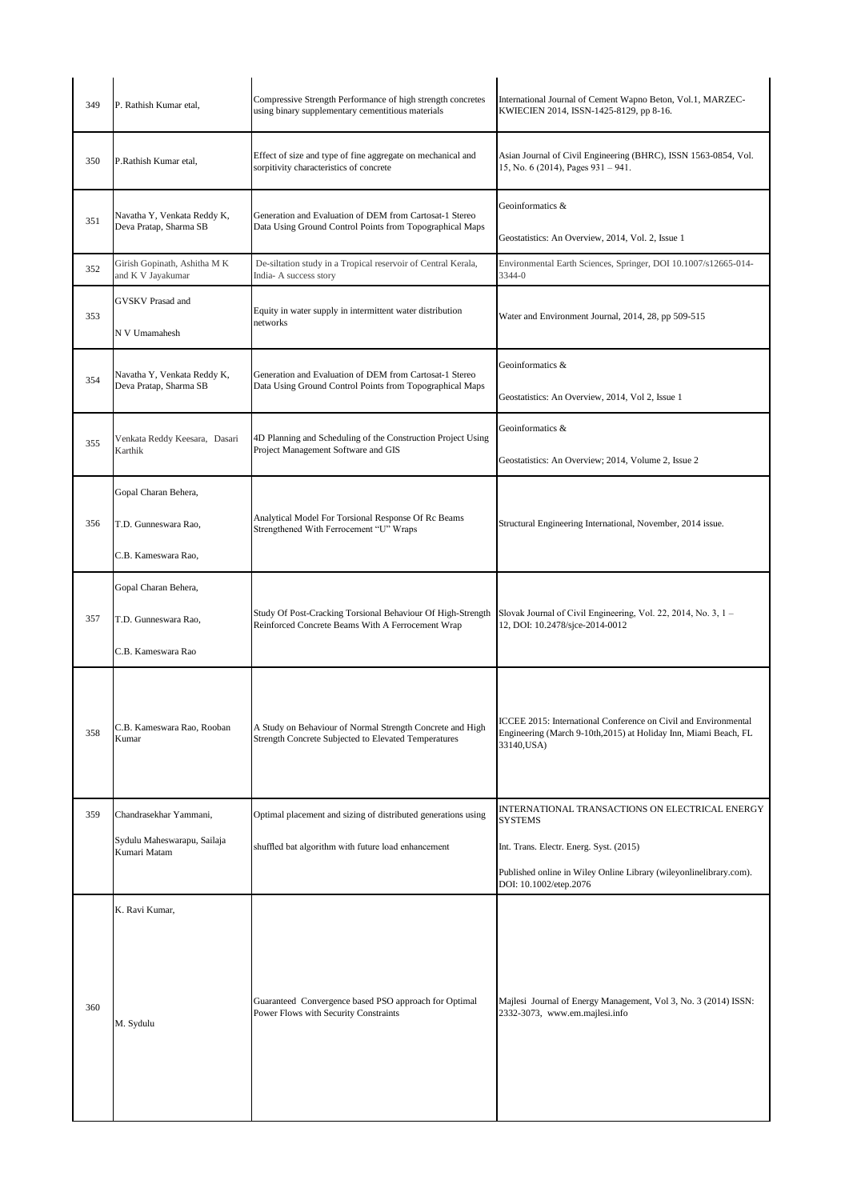| 349 | P. Rathish Kumar etal,                                | Compressive Strength Performance of high strength concretes<br>using binary supplementary cementitious materials    | International Journal of Cement Wapno Beton, Vol.1, MARZEC-<br>KWIECIEN 2014, ISSN-1425-8129, pp 8-16.                                             |
|-----|-------------------------------------------------------|---------------------------------------------------------------------------------------------------------------------|----------------------------------------------------------------------------------------------------------------------------------------------------|
| 350 | P.Rathish Kumar etal.                                 | Effect of size and type of fine aggregate on mechanical and<br>sorpitivity characteristics of concrete              | Asian Journal of Civil Engineering (BHRC), ISSN 1563-0854, Vol.<br>15, No. 6 (2014), Pages $931 - 941$ .                                           |
| 351 | Navatha Y, Venkata Reddy K,<br>Deva Pratap, Sharma SB | Generation and Evaluation of DEM from Cartosat-1 Stereo<br>Data Using Ground Control Points from Topographical Maps | Geoinformatics &<br>Geostatistics: An Overview, 2014, Vol. 2, Issue 1                                                                              |
| 352 | Girish Gopinath, Ashitha M K<br>and K V Jayakumar     | De-siltation study in a Tropical reservoir of Central Kerala,<br>India- A success story                             | Environmental Earth Sciences, Springer, DOI 10.1007/s12665-014-<br>3344-0                                                                          |
| 353 | <b>GVSKV Prasad and</b><br>N V Umamahesh              | Equity in water supply in intermittent water distribution<br>networks                                               | Water and Environment Journal, 2014, 28, pp 509-515                                                                                                |
| 354 | Navatha Y, Venkata Reddy K,<br>Deva Pratap, Sharma SB | Generation and Evaluation of DEM from Cartosat-1 Stereo<br>Data Using Ground Control Points from Topographical Maps | Geoinformatics &<br>Geostatistics: An Overview, 2014, Vol 2, Issue 1                                                                               |
|     | Venkata Reddy Keesara, Dasari                         | 4D Planning and Scheduling of the Construction Project Using                                                        | Geoinformatics &                                                                                                                                   |
| 355 | Karthik                                               | Project Management Software and GIS                                                                                 | Geostatistics: An Overview; 2014, Volume 2, Issue 2                                                                                                |
| 356 | Gopal Charan Behera,<br>T.D. Gunneswara Rao,          | Analytical Model For Torsional Response Of Rc Beams<br>Strengthened With Ferrocement "U" Wraps                      | Structural Engineering International, November, 2014 issue.                                                                                        |
|     | C.B. Kameswara Rao,                                   |                                                                                                                     |                                                                                                                                                    |
| 357 | Gopal Charan Behera,<br>T.D. Gunneswara Rao,          | Study Of Post-Cracking Torsional Behaviour Of High-Strength<br>Reinforced Concrete Beams With A Ferrocement Wrap    | Slovak Journal of Civil Engineering, Vol. 22, 2014, No. 3, 1 -<br>12, DOI: 10.2478/sjce-2014-0012                                                  |
|     | C.B. Kameswara Rao                                    |                                                                                                                     |                                                                                                                                                    |
| 358 | C.B. Kameswara Rao, Rooban<br>Kumar                   | A Study on Behaviour of Normal Strength Concrete and High<br>Strength Concrete Subjected to Elevated Temperatures   | ICCEE 2015: International Conference on Civil and Environmental<br>Engineering (March 9-10th, 2015) at Holiday Inn, Miami Beach, FL<br>33140, USA) |
| 359 | Chandrasekhar Yammani,                                | Optimal placement and sizing of distributed generations using                                                       | INTERNATIONAL TRANSACTIONS ON ELECTRICAL ENERGY<br><b>SYSTEMS</b>                                                                                  |
|     | Sydulu Maheswarapu, Sailaja<br>Kumari Matam           | shuffled bat algorithm with future load enhancement                                                                 | Int. Trans. Electr. Energ. Syst. (2015)                                                                                                            |
|     |                                                       |                                                                                                                     | Published online in Wiley Online Library (wileyonlinelibrary.com).<br>DOI: 10.1002/etep.2076                                                       |
|     | K. Ravi Kumar,                                        |                                                                                                                     |                                                                                                                                                    |
| 360 | M. Sydulu                                             | Guaranteed Convergence based PSO approach for Optimal<br>Power Flows with Security Constraints                      | Majlesi Journal of Energy Management, Vol 3, No. 3 (2014) ISSN:<br>2332-3073, www.em.majlesi.info                                                  |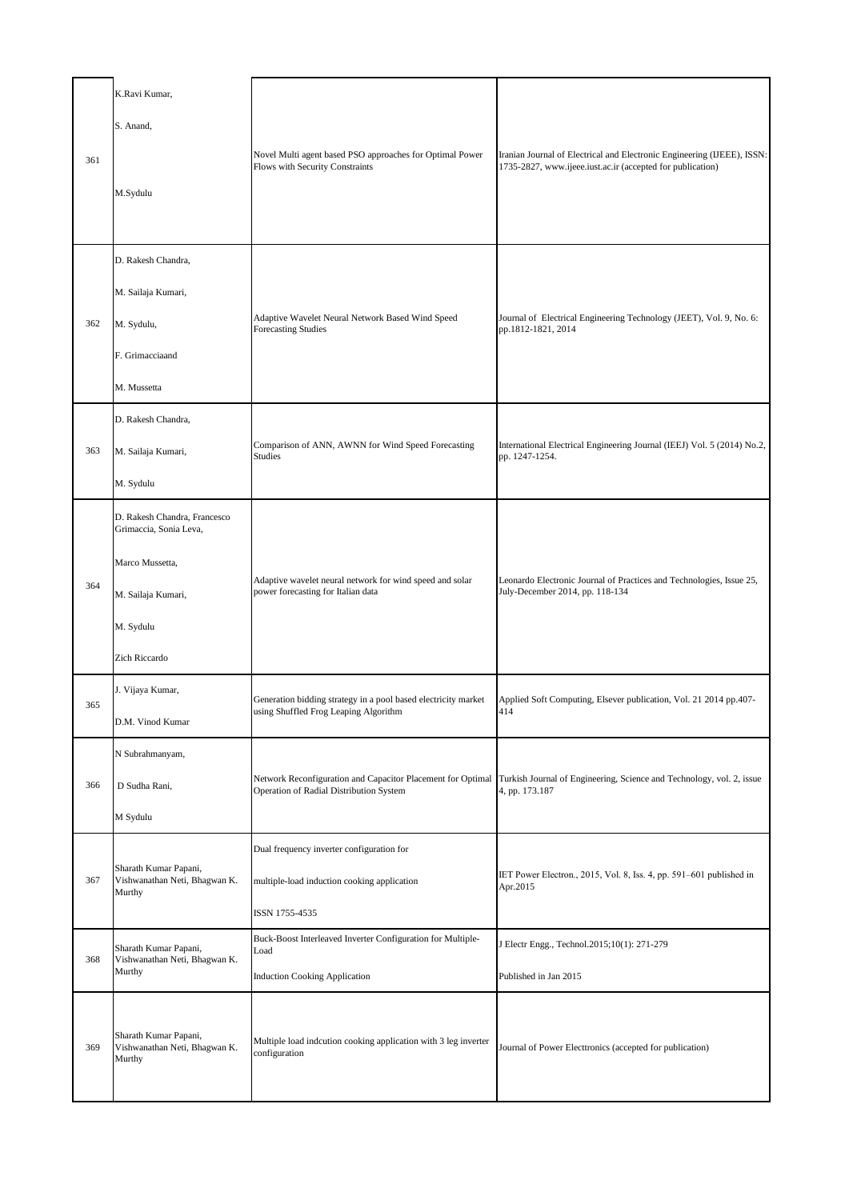| 361 | K.Ravi Kumar,<br>S. Anand,<br>M.Sydulu                                                                                        | Novel Multi agent based PSO approaches for Optimal Power<br>Flows with Security Constraints                 | Iranian Journal of Electrical and Electronic Engineering (IJEEE), ISSN:<br>1735-2827, www.ijeee.iust.ac.ir (accepted for publication)               |
|-----|-------------------------------------------------------------------------------------------------------------------------------|-------------------------------------------------------------------------------------------------------------|-----------------------------------------------------------------------------------------------------------------------------------------------------|
| 362 | D. Rakesh Chandra,<br>M. Sailaja Kumari,<br>M. Sydulu,<br>F. Grimacciaand<br>M. Mussetta                                      | Adaptive Wavelet Neural Network Based Wind Speed<br><b>Forecasting Studies</b>                              | Journal of Electrical Engineering Technology (JEET), Vol. 9, No. 6:<br>pp.1812-1821, 2014                                                           |
| 363 | D. Rakesh Chandra,<br>M. Sailaja Kumari,<br>M. Sydulu                                                                         | Comparison of ANN, AWNN for Wind Speed Forecasting<br>Studies                                               | International Electrical Engineering Journal (IEEJ) Vol. 5 (2014) No.2,<br>pp. 1247-1254.                                                           |
| 364 | D. Rakesh Chandra, Francesco<br>Grimaccia, Sonia Leva,<br>Marco Mussetta,<br>M. Sailaja Kumari,<br>M. Sydulu<br>Zich Riccardo | Adaptive wavelet neural network for wind speed and solar<br>power forecasting for Italian data              | Leonardo Electronic Journal of Practices and Technologies, Issue 25,<br>July-December 2014, pp. 118-134                                             |
| 365 | J. Vijaya Kumar,<br>D.M. Vinod Kumar                                                                                          | Generation bidding strategy in a pool based electricity market<br>using Shuffled Frog Leaping Algorithm     | Applied Soft Computing, Elsever publication, Vol. 21 2014 pp.407-<br>414                                                                            |
| 366 | N Subrahmanyam,<br>D Sudha Rani,<br>M Sydulu                                                                                  | Operation of Radial Distribution System                                                                     | Network Reconfiguration and Capacitor Placement for Optimal Turkish Journal of Engineering, Science and Technology, vol. 2, issue<br>4, pp. 173.187 |
| 367 | Sharath Kumar Papani,<br>Vishwanathan Neti, Bhagwan K.<br>Murthy                                                              | Dual frequency inverter configuration for<br>multiple-load induction cooking application<br>ISSN 1755-4535  | IET Power Electron., 2015, Vol. 8, Iss. 4, pp. 591–601 published in<br>Apr.2015                                                                     |
| 368 | Sharath Kumar Papani,<br>Vishwanathan Neti, Bhagwan K.<br>Murthy                                                              | Buck-Boost Interleaved Inverter Configuration for Multiple-<br>Load<br><b>Induction Cooking Application</b> | J Electr Engg., Technol.2015;10(1): 271-279<br>Published in Jan 2015                                                                                |
| 369 | Sharath Kumar Papani,<br>Vishwanathan Neti, Bhagwan K.<br>Murthy                                                              | Multiple load indcution cooking application with 3 leg inverter<br>configuration                            | Journal of Power Electtronics (accepted for publication)                                                                                            |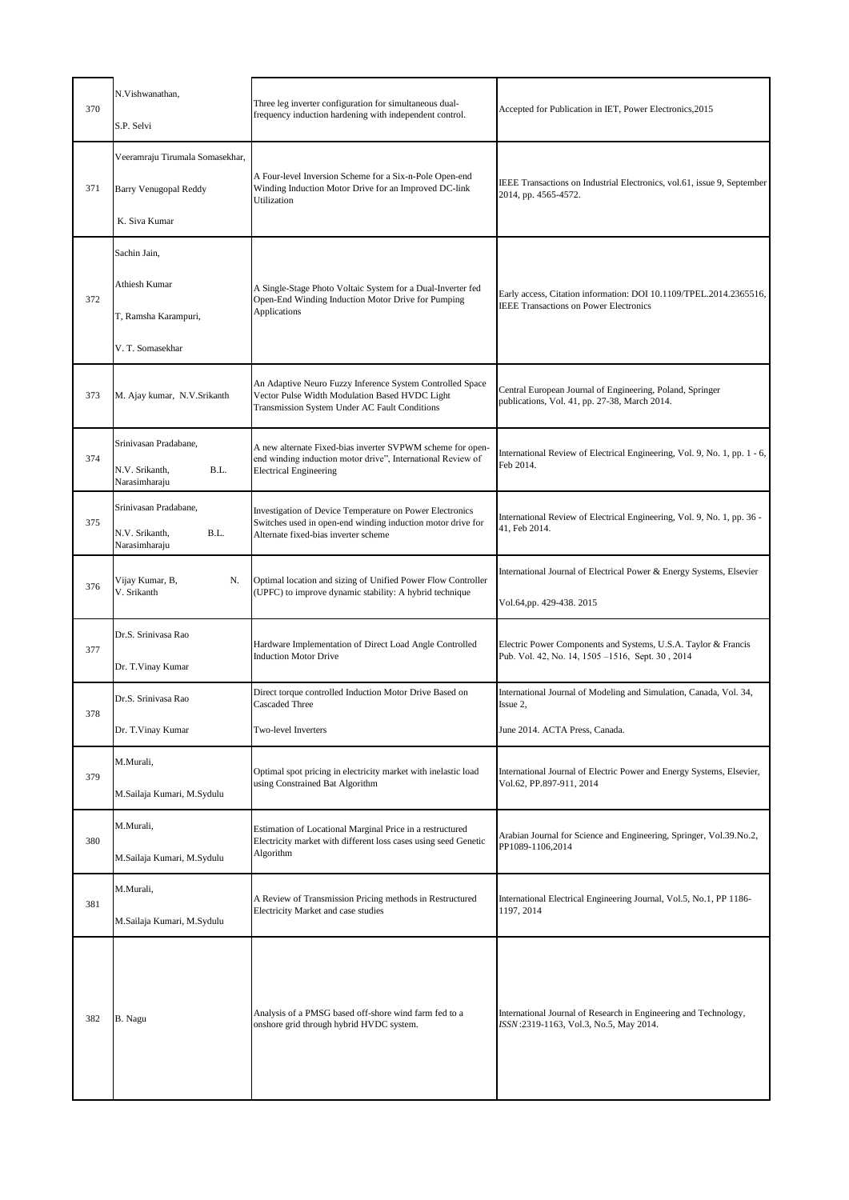| 370 | N.Vishwanathan,<br>S.P. Selvi                                                    | Three leg inverter configuration for simultaneous dual-<br>frequency induction hardening with independent control.                                              | Accepted for Publication in IET, Power Electronics, 2015                                                            |
|-----|----------------------------------------------------------------------------------|-----------------------------------------------------------------------------------------------------------------------------------------------------------------|---------------------------------------------------------------------------------------------------------------------|
| 371 | Veeramraju Tirumala Somasekhar,<br><b>Barry Venugopal Reddy</b><br>K. Siva Kumar | A Four-level Inversion Scheme for a Six-n-Pole Open-end<br>Winding Induction Motor Drive for an Improved DC-link<br>Utilization                                 | IEEE Transactions on Industrial Electronics, vol.61, issue 9, September<br>2014, pp. 4565-4572.                     |
| 372 | Sachin Jain.<br>Athiesh Kumar<br>T, Ramsha Karampuri,<br>V. T. Somasekhar        | A Single-Stage Photo Voltaic System for a Dual-Inverter fed<br>Open-End Winding Induction Motor Drive for Pumping<br><b>Applications</b>                        | Early access, Citation information: DOI 10.1109/TPEL.2014.2365516,<br><b>IEEE Transactions on Power Electronics</b> |
| 373 | M. Ajay kumar, N.V.Srikanth                                                      | An Adaptive Neuro Fuzzy Inference System Controlled Space<br>Vector Pulse Width Modulation Based HVDC Light<br>Transmission System Under AC Fault Conditions    | Central European Journal of Engineering, Poland, Springer<br>publications, Vol. 41, pp. 27-38, March 2014.          |
| 374 | Srinivasan Pradabane,<br>B.L.<br>N.V. Srikanth,<br>Narasimharaju                 | A new alternate Fixed-bias inverter SVPWM scheme for open-<br>end winding induction motor drive", International Review of<br><b>Electrical Engineering</b>      | International Review of Electrical Engineering, Vol. 9, No. 1, pp. 1 - 6,<br>Feb 2014.                              |
| 375 | Srinivasan Pradabane,<br>N.V. Srikanth,<br>B.L.<br>Narasimharaju                 | Investigation of Device Temperature on Power Electronics<br>Switches used in open-end winding induction motor drive for<br>Alternate fixed-bias inverter scheme | International Review of Electrical Engineering, Vol. 9, No. 1, pp. 36 -<br>41, Feb 2014.                            |
| 376 | Vijay Kumar, B,<br>N.<br>V. Srikanth                                             | Optimal location and sizing of Unified Power Flow Controller<br>(UPFC) to improve dynamic stability: A hybrid technique                                         | International Journal of Electrical Power & Energy Systems, Elsevier<br>Vol.64,pp. 429-438. 2015                    |
| 377 | Dr.S. Srinivasa Rao<br>Dr. T. Vinay Kumar                                        | Hardware Implementation of Direct Load Angle Controlled<br><b>Induction Motor Drive</b>                                                                         | Electric Power Components and Systems, U.S.A. Taylor & Francis<br>Pub. Vol. 42, No. 14, 1505 -1516, Sept. 30, 2014  |
| 378 | Dr.S. Srinivasa Rao<br>Dr. T. Vinay Kumar                                        | Direct torque controlled Induction Motor Drive Based on<br>Cascaded Three<br>Two-level Inverters                                                                | International Journal of Modeling and Simulation, Canada, Vol. 34,<br>Issue 2.<br>June 2014. ACTA Press, Canada.    |
| 379 | M.Murali,<br>M.Sailaja Kumari, M.Sydulu                                          | Optimal spot pricing in electricity market with inelastic load<br>using Constrained Bat Algorithm                                                               | International Journal of Electric Power and Energy Systems, Elsevier,<br>Vol.62, PP.897-911, 2014                   |
| 380 | M.Murali,<br>M.Sailaja Kumari, M.Sydulu                                          | Estimation of Locational Marginal Price in a restructured<br>Electricity market with different loss cases using seed Genetic<br>Algorithm                       | Arabian Journal for Science and Engineering, Springer, Vol.39.No.2,<br>PP1089-1106,2014                             |
| 381 | M.Murali,<br>M.Sailaja Kumari, M.Sydulu                                          | A Review of Transmission Pricing methods in Restructured<br>Electricity Market and case studies                                                                 | International Electrical Engineering Journal, Vol.5, No.1, PP 1186-<br>1197, 2014                                   |
| 382 | B. Nagu                                                                          | Analysis of a PMSG based off-shore wind farm fed to a<br>onshore grid through hybrid HVDC system.                                                               | International Journal of Research in Engineering and Technology,<br>ISSN:2319-1163, Vol.3, No.5, May 2014.          |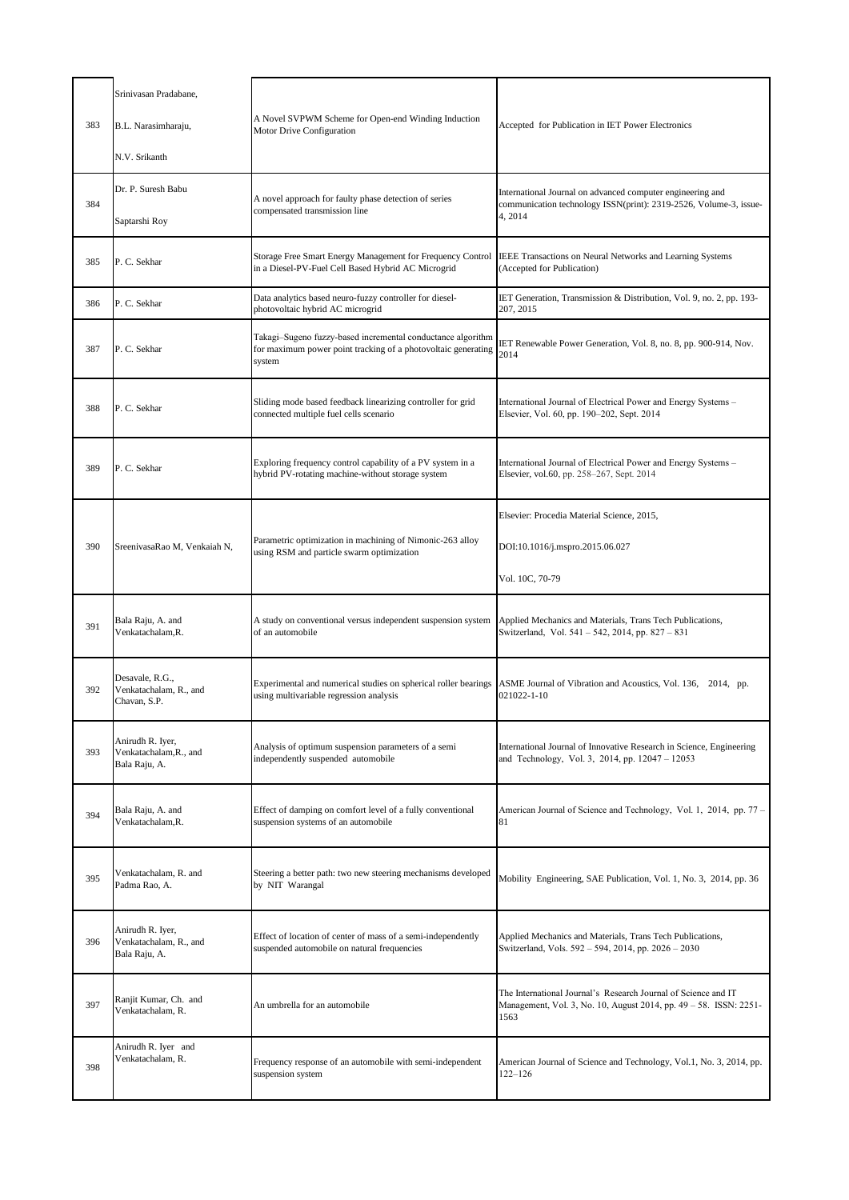| 383 | Srinivasan Pradabane,<br>B.L. Narasimharaju,<br>N.V. Srikanth | A Novel SVPWM Scheme for Open-end Winding Induction<br>Motor Drive Configuration                                                       | Accepted for Publication in IET Power Electronics                                                                                           |
|-----|---------------------------------------------------------------|----------------------------------------------------------------------------------------------------------------------------------------|---------------------------------------------------------------------------------------------------------------------------------------------|
| 384 | Dr. P. Suresh Babu<br>Saptarshi Roy                           | A novel approach for faulty phase detection of series<br>compensated transmission line                                                 | International Journal on advanced computer engineering and<br>communication technology ISSN(print): 2319-2526, Volume-3, issue-<br>4, 2014  |
| 385 | P. C. Sekhar                                                  | Storage Free Smart Energy Management for Frequency Control<br>in a Diesel-PV-Fuel Cell Based Hybrid AC Microgrid                       | IEEE Transactions on Neural Networks and Learning Systems<br>(Accepted for Publication)                                                     |
| 386 | P. C. Sekhar                                                  | Data analytics based neuro-fuzzy controller for diesel-<br>photovoltaic hybrid AC microgrid                                            | IET Generation, Transmission & Distribution, Vol. 9, no. 2, pp. 193-<br>207, 2015                                                           |
| 387 | P. C. Sekhar                                                  | Takagi-Sugeno fuzzy-based incremental conductance algorithm<br>for maximum power point tracking of a photovoltaic generating<br>system | IET Renewable Power Generation, Vol. 8, no. 8, pp. 900-914, Nov.<br>2014                                                                    |
| 388 | P. C. Sekhar                                                  | Sliding mode based feedback linearizing controller for grid<br>connected multiple fuel cells scenario                                  | International Journal of Electrical Power and Energy Systems -<br>Elsevier, Vol. 60, pp. 190-202, Sept. 2014                                |
| 389 | P. C. Sekhar                                                  | Exploring frequency control capability of a PV system in a<br>hybrid PV-rotating machine-without storage system                        | International Journal of Electrical Power and Energy Systems -<br>Elsevier, vol.60, pp. 258-267, Sept. 2014                                 |
|     |                                                               |                                                                                                                                        | Elsevier: Procedia Material Science, 2015,                                                                                                  |
| 390 | SreenivasaRao M, Venkaiah N,                                  | Parametric optimization in machining of Nimonic-263 alloy<br>using RSM and particle swarm optimization                                 | DOI:10.1016/j.mspro.2015.06.027                                                                                                             |
|     |                                                               |                                                                                                                                        | Vol. 10C, 70-79                                                                                                                             |
| 391 | Bala Raju, A. and<br>Venkatachalam, R.                        | A study on conventional versus independent suspension system<br>of an automobile                                                       | Applied Mechanics and Materials, Trans Tech Publications,<br>Switzerland, Vol. 541 - 542, 2014, pp. 827 - 831                               |
| 392 | Desavale, R.G.,<br>Venkatachalam, R., and<br>Chavan, S.P.     | using multivariable regression analysis                                                                                                | Experimental and numerical studies on spherical roller bearings ASME Journal of Vibration and Acoustics, Vol. 136, 2014, pp.<br>021022-1-10 |
| 393 | Anirudh R. Iyer,<br>Venkatachalam, R., and<br>Bala Raju, A.   | Analysis of optimum suspension parameters of a semi<br>independently suspended automobile                                              | International Journal of Innovative Research in Science, Engineering<br>and Technology, Vol. 3, 2014, pp. 12047 - 12053                     |
| 394 | Bala Raju, A. and<br>Venkatachalam, R.                        | Effect of damping on comfort level of a fully conventional<br>suspension systems of an automobile                                      | American Journal of Science and Technology, Vol. 1, 2014, pp. 77 -<br>81                                                                    |
| 395 | Venkatachalam, R. and<br>Padma Rao, A.                        | Steering a better path: two new steering mechanisms developed<br>by NIT Warangal                                                       | Mobility Engineering, SAE Publication, Vol. 1, No. 3, 2014, pp. 36                                                                          |
| 396 | Anirudh R. Iyer,<br>Venkatachalam, R., and<br>Bala Raju, A.   | Effect of location of center of mass of a semi-independently<br>suspended automobile on natural frequencies                            | Applied Mechanics and Materials, Trans Tech Publications,<br>Switzerland, Vols. 592 - 594, 2014, pp. 2026 - 2030                            |
| 397 | Ranjit Kumar, Ch. and<br>Venkatachalam, R.                    | An umbrella for an automobile                                                                                                          | The International Journal's Research Journal of Science and IT<br>Management, Vol. 3, No. 10, August 2014, pp. 49 - 58. ISSN: 2251-<br>1563 |
| 398 | Anirudh R. Iyer and<br>Venkatachalam, R.                      | Frequency response of an automobile with semi-independent<br>suspension system                                                         | American Journal of Science and Technology, Vol.1, No. 3, 2014, pp.<br>$122 - 126$                                                          |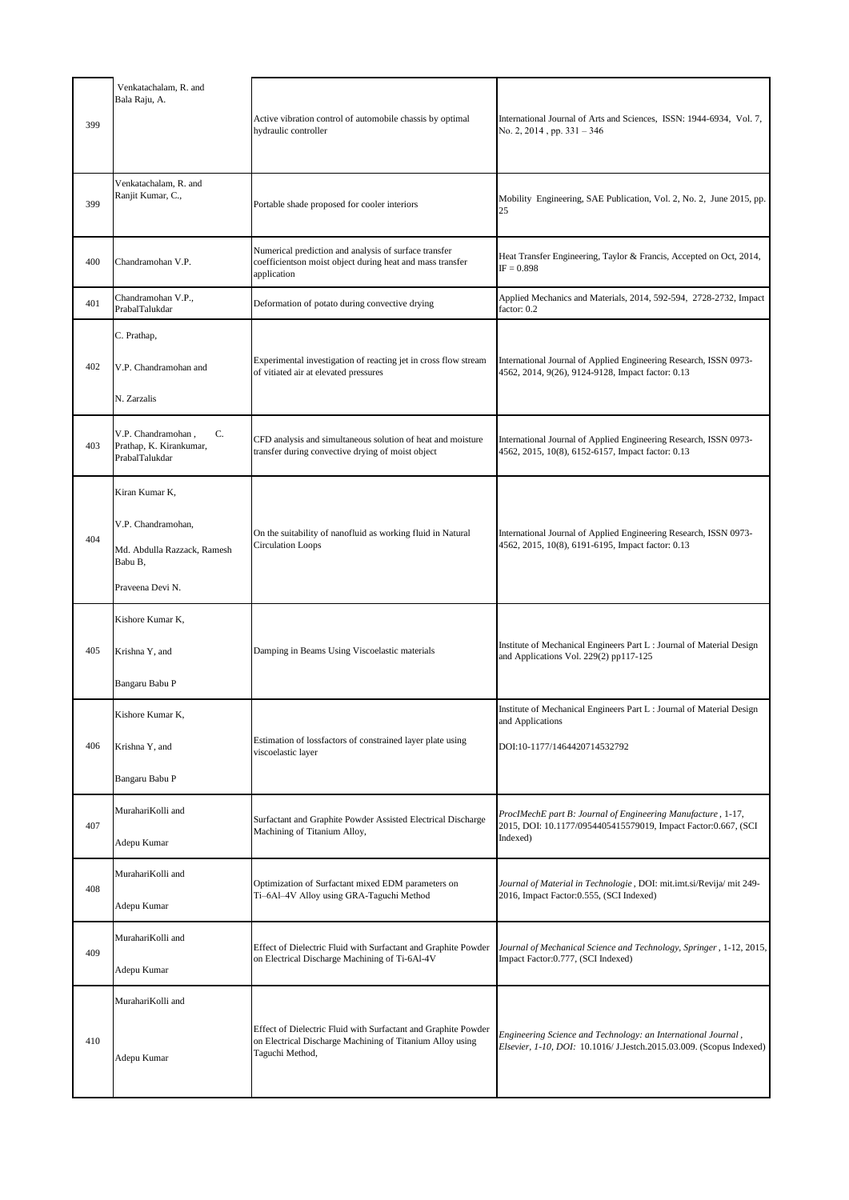|     | Venkatachalam, R. and<br>Bala Raju, A.                                |                                                                                                                                                |                                                                                                                                       |
|-----|-----------------------------------------------------------------------|------------------------------------------------------------------------------------------------------------------------------------------------|---------------------------------------------------------------------------------------------------------------------------------------|
| 399 |                                                                       | Active vibration control of automobile chassis by optimal<br>hydraulic controller                                                              | International Journal of Arts and Sciences, ISSN: 1944-6934, Vol. 7,<br>No. 2, 2014, pp. 331 - 346                                    |
| 399 | Venkatachalam, R. and<br>Ranjit Kumar, C.,                            | Portable shade proposed for cooler interiors                                                                                                   | Mobility Engineering, SAE Publication, Vol. 2, No. 2, June 2015, pp.<br>25                                                            |
| 400 | Chandramohan V.P.                                                     | Numerical prediction and analysis of surface transfer<br>coefficientson moist object during heat and mass transfer<br>application              | Heat Transfer Engineering, Taylor & Francis, Accepted on Oct, 2014,<br>$IF = 0.898$                                                   |
| 401 | Chandramohan V.P.,<br>PrabalTalukdar                                  | Deformation of potato during convective drying                                                                                                 | Applied Mechanics and Materials, 2014, 592-594, 2728-2732, Impact<br>factor: 0.2                                                      |
|     | C. Prathap,                                                           |                                                                                                                                                |                                                                                                                                       |
| 402 | V.P. Chandramohan and                                                 | Experimental investigation of reacting jet in cross flow stream<br>of vitiated air at elevated pressures                                       | International Journal of Applied Engineering Research, ISSN 0973-<br>4562, 2014, 9(26), 9124-9128, Impact factor: 0.13                |
|     | N. Zarzalis                                                           |                                                                                                                                                |                                                                                                                                       |
| 403 | C.<br>V.P. Chandramohan,<br>Prathap, K. Kirankumar,<br>PrabalTalukdar | CFD analysis and simultaneous solution of heat and moisture<br>transfer during convective drying of moist object                               | International Journal of Applied Engineering Research, ISSN 0973-<br>4562, 2015, 10(8), 6152-6157, Impact factor: 0.13                |
|     | Kiran Kumar K,                                                        |                                                                                                                                                |                                                                                                                                       |
| 404 | V.P. Chandramohan,<br>Md. Abdulla Razzack, Ramesh<br>Babu B,          | On the suitability of nanofluid as working fluid in Natural<br><b>Circulation Loops</b>                                                        | International Journal of Applied Engineering Research, ISSN 0973-<br>4562, 2015, 10(8), 6191-6195, Impact factor: 0.13                |
|     | Praveena Devi N.                                                      |                                                                                                                                                |                                                                                                                                       |
|     | Kishore Kumar K,                                                      |                                                                                                                                                |                                                                                                                                       |
| 405 | Krishna Y, and                                                        | Damping in Beams Using Viscoelastic materials                                                                                                  | Institute of Mechanical Engineers Part L: Journal of Material Design<br>and Applications Vol. 229(2) pp117-125                        |
|     | Bangaru Babu P                                                        |                                                                                                                                                |                                                                                                                                       |
|     | Kishore Kumar K,                                                      |                                                                                                                                                | Institute of Mechanical Engineers Part L: Journal of Material Design<br>and Applications                                              |
| 406 | Krishna Y, and                                                        | Estimation of lossfactors of constrained layer plate using<br>viscoelastic layer                                                               | DOI:10-1177/1464420714532792                                                                                                          |
|     | Bangaru Babu P                                                        |                                                                                                                                                |                                                                                                                                       |
| 407 | MurahariKolli and                                                     | Surfactant and Graphite Powder Assisted Electrical Discharge                                                                                   | ProcIMechE part B: Journal of Engineering Manufacture, 1-17,<br>2015, DOI: 10.1177/0954405415579019, Impact Factor:0.667, (SCI        |
|     | Adepu Kumar                                                           | Machining of Titanium Alloy,                                                                                                                   | Indexed)                                                                                                                              |
| 408 | MurahariKolli and                                                     | Optimization of Surfactant mixed EDM parameters on                                                                                             | Journal of Material in Technologie, DOI: mit.imt.si/Revija/ mit 249-                                                                  |
|     | Adepu Kumar                                                           | Ti-6Al-4V Alloy using GRA-Taguchi Method                                                                                                       | 2016, Impact Factor: 0.555, (SCI Indexed)                                                                                             |
| 409 | MurahariKolli and<br>Adepu Kumar                                      | Effect of Dielectric Fluid with Surfactant and Graphite Powder<br>on Electrical Discharge Machining of Ti-6Al-4V                               | Journal of Mechanical Science and Technology, Springer, 1-12, 2015,<br>Impact Factor: 0.777, (SCI Indexed)                            |
|     | MurahariKolli and                                                     |                                                                                                                                                |                                                                                                                                       |
| 410 | Adepu Kumar                                                           | Effect of Dielectric Fluid with Surfactant and Graphite Powder<br>on Electrical Discharge Machining of Titanium Alloy using<br>Taguchi Method, | Engineering Science and Technology: an International Journal,<br>Elsevier, 1-10, DOI: 10.1016/ J.Jestch.2015.03.009. (Scopus Indexed) |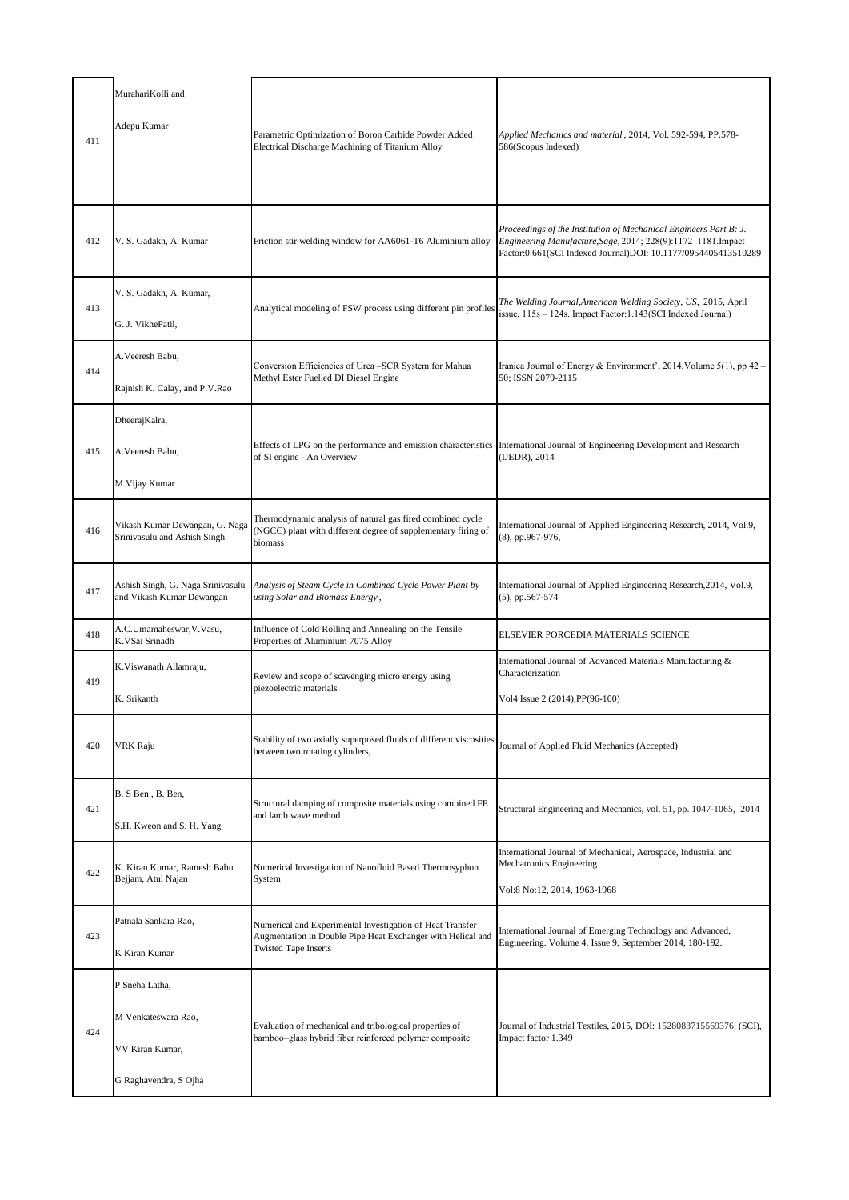| 411 | MurahariKolli and<br>Adepu Kumar                                                  | Parametric Optimization of Boron Carbide Powder Added<br>Electrical Discharge Machining of Titanium Alloy                                               | Applied Mechanics and material, 2014, Vol. 592-594, PP.578-<br>586(Scopus Indexed)                                                                                                                   |
|-----|-----------------------------------------------------------------------------------|---------------------------------------------------------------------------------------------------------------------------------------------------------|------------------------------------------------------------------------------------------------------------------------------------------------------------------------------------------------------|
| 412 | V. S. Gadakh, A. Kumar                                                            | Friction stir welding window for AA6061-T6 Aluminium alloy                                                                                              | Proceedings of the Institution of Mechanical Engineers Part B: J.<br>Engineering Manufacture, Sage, 2014; 228(9):1172-1181. Impact<br>Factor:0.661(SCI Indexed Journal)DOI: 10.1177/0954405413510289 |
| 413 | V. S. Gadakh, A. Kumar,<br>G. J. VikhePatil,                                      | Analytical modeling of FSW process using different pin profiles                                                                                         | The Welding Journal, American Welding Society, US, 2015, April<br>issue, 115s - 124s. Impact Factor: 1.143(SCI Indexed Journal)                                                                      |
| 414 | A. Veeresh Babu,<br>Rajnish K. Calay, and P.V.Rao                                 | Conversion Efficiencies of Urea -SCR System for Mahua<br>Methyl Ester Fuelled DI Diesel Engine                                                          | Iranica Journal of Energy & Environment', 2014, Volume 5(1), pp 42 -<br>50; ISSN 2079-2115                                                                                                           |
| 415 | DheerajKalra,<br>A. Veeresh Babu.<br>M.Vijay Kumar                                | of SI engine - An Overview                                                                                                                              | Effects of LPG on the performance and emission characteristics International Journal of Engineering Development and Research<br>(IJEDR), 2014                                                        |
| 416 | Vikash Kumar Dewangan, G. Naga<br>Srinivasulu and Ashish Singh                    | Thermodynamic analysis of natural gas fired combined cycle<br>(NGCC) plant with different degree of supplementary firing of<br>biomass                  | International Journal of Applied Engineering Research, 2014, Vol.9,<br>(8), pp.967-976,                                                                                                              |
| 417 | Ashish Singh, G. Naga Srinivasulu<br>and Vikash Kumar Dewangan                    | Analysis of Steam Cycle in Combined Cycle Power Plant by<br>using Solar and Biomass Energy,                                                             | International Journal of Applied Engineering Research, 2014, Vol.9,<br>$(5)$ , pp.567-574                                                                                                            |
| 418 | A.C.Umamaheswar, V.Vasu,<br>K.VSai Srinadh                                        | Influence of Cold Rolling and Annealing on the Tensile<br>Properties of Aluminium 7075 Alloy                                                            | ELSEVIER PORCEDIA MATERIALS SCIENCE                                                                                                                                                                  |
| 419 | K. Viswanath Allamraju,<br>K. Srikanth                                            | Review and scope of scavenging micro energy using<br>piezoelectric materials                                                                            | International Journal of Advanced Materials Manufacturing &<br>Characterization<br>Vol4 Issue 2 (2014), PP(96-100)                                                                                   |
| 420 | VRK Raju                                                                          | Stability of two axially superposed fluids of different viscosities<br>between two rotating cylinders,                                                  | Journal of Applied Fluid Mechanics (Accepted)                                                                                                                                                        |
| 421 | B. S Ben, B. Ben,<br>S.H. Kweon and S. H. Yang                                    | Structural damping of composite materials using combined FE<br>and lamb wave method                                                                     | Structural Engineering and Mechanics, vol. 51, pp. 1047-1065, 2014                                                                                                                                   |
| 422 | K. Kiran Kumar, Ramesh Babu<br>Bejjam, Atul Najan                                 | Numerical Investigation of Nanofluid Based Thermosyphon<br>System                                                                                       | International Journal of Mechanical, Aerospace, Industrial and<br>Mechatronics Engineering<br>Vol:8 No:12, 2014, 1963-1968                                                                           |
| 423 | Patnala Sankara Rao,<br>K Kiran Kumar                                             | Numerical and Experimental Investigation of Heat Transfer<br>Augmentation in Double Pipe Heat Exchanger with Helical and<br><b>Twisted Tape Inserts</b> | International Journal of Emerging Technology and Advanced,<br>Engineering. Volume 4, Issue 9, September 2014, 180-192.                                                                               |
| 424 | P Sneha Latha,<br>M Venkateswara Rao,<br>VV Kiran Kumar,<br>G Raghavendra, S Ojha | Evaluation of mechanical and tribological properties of<br>bamboo-glass hybrid fiber reinforced polymer composite                                       | Journal of Industrial Textiles, 2015, DOI: 1528083715569376. (SCI),<br>Impact factor 1.349                                                                                                           |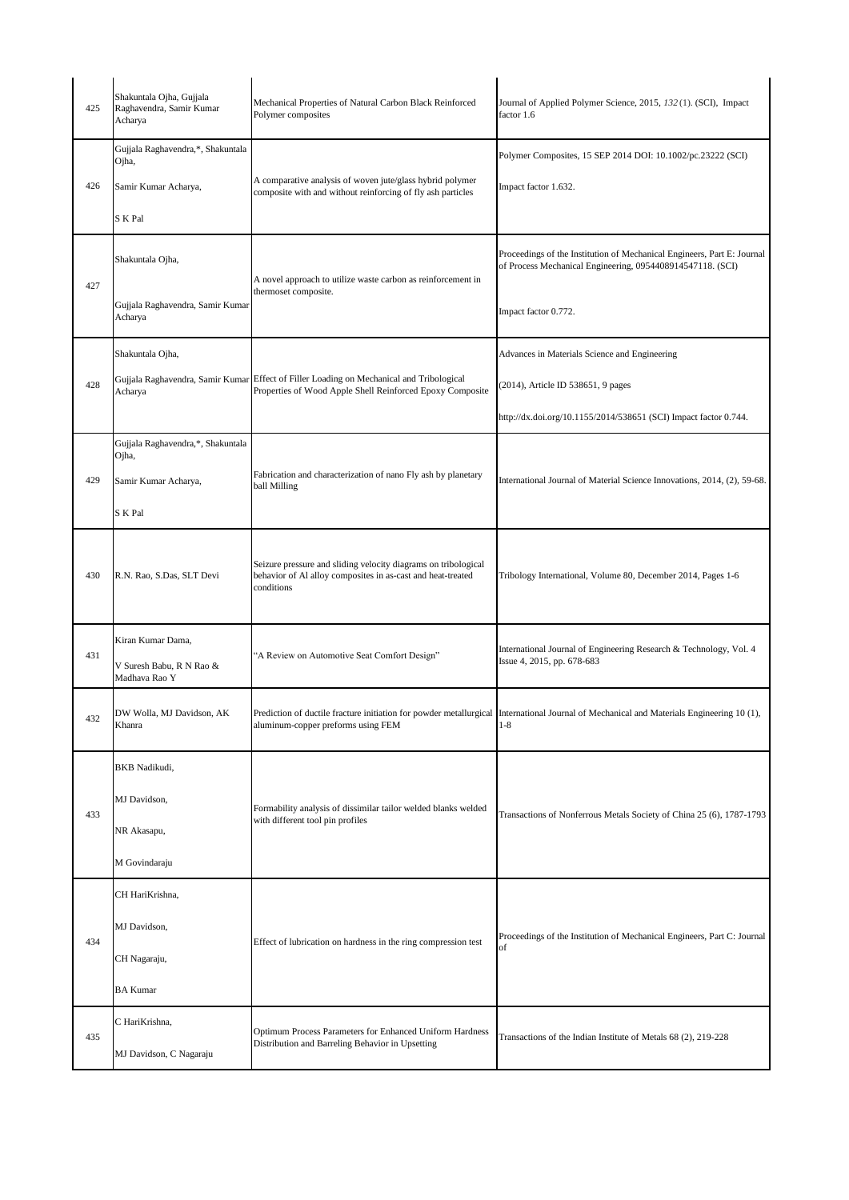| 425 | Shakuntala Ojha, Gujjala<br>Raghavendra, Samir Kumar<br>Acharya               | Mechanical Properties of Natural Carbon Black Reinforced<br>Polymer composites                                                                        | Journal of Applied Polymer Science, 2015, 132(1). (SCI), Impact<br>factor 1.6                                                                                 |
|-----|-------------------------------------------------------------------------------|-------------------------------------------------------------------------------------------------------------------------------------------------------|---------------------------------------------------------------------------------------------------------------------------------------------------------------|
| 426 | Gujjala Raghavendra,*, Shakuntala<br>Ojha,<br>Samir Kumar Acharya,<br>S K Pal | A comparative analysis of woven jute/glass hybrid polymer<br>composite with and without reinforcing of fly ash particles                              | Polymer Composites, 15 SEP 2014 DOI: 10.1002/pc.23222 (SCI)<br>Impact factor 1.632.                                                                           |
| 427 | Shakuntala Ojha,<br>Gujjala Raghavendra, Samir Kumar<br>Acharya               | A novel approach to utilize waste carbon as reinforcement in<br>thermoset composite.                                                                  | Proceedings of the Institution of Mechanical Engineers, Part E: Journal<br>of Process Mechanical Engineering, 0954408914547118. (SCI)<br>Impact factor 0.772. |
| 428 | Shakuntala Ojha,<br>Acharya                                                   | Gujjala Raghavendra, Samir Kumar Effect of Filler Loading on Mechanical and Tribological<br>Properties of Wood Apple Shell Reinforced Epoxy Composite | Advances in Materials Science and Engineering<br>(2014), Article ID 538651, 9 pages<br>http://dx.doi.org/10.1155/2014/538651 (SCI) Impact factor 0.744.       |
| 429 | Gujjala Raghavendra,*, Shakuntala<br>Ojha,<br>Samir Kumar Acharya,<br>S K Pal | Fabrication and characterization of nano Fly ash by planetary<br>ball Milling                                                                         | International Journal of Material Science Innovations, 2014, (2), 59-68.                                                                                      |
| 430 | R.N. Rao, S.Das, SLT Devi                                                     | Seizure pressure and sliding velocity diagrams on tribological<br>behavior of Al alloy composites in as-cast and heat-treated<br>conditions           | Tribology International, Volume 80, December 2014, Pages 1-6                                                                                                  |
| 431 | Kiran Kumar Dama,<br>V Suresh Babu, R N Rao &<br>Madhava Rao Y                | "A Review on Automotive Seat Comfort Design"                                                                                                          | International Journal of Engineering Research & Technology, Vol. 4<br>Issue 4, 2015, pp. 678-683                                                              |
| 432 | DW Wolla, MJ Davidson, AK<br>Khanra                                           | aluminum-copper preforms using FEM                                                                                                                    | Prediction of ductile fracture initiation for powder metallurgical International Journal of Mechanical and Materials Engineering 10 (1),<br>$1 - 8$           |
| 433 | BKB Nadikudi,<br>MJ Davidson,<br>NR Akasapu,<br>M Govindaraju                 | Formability analysis of dissimilar tailor welded blanks welded<br>with different tool pin profiles                                                    | Transactions of Nonferrous Metals Society of China 25 (6), 1787-1793                                                                                          |
| 434 | CH HariKrishna,<br>MJ Davidson,<br>CH Nagaraju,<br><b>BA Kumar</b>            | Effect of lubrication on hardness in the ring compression test                                                                                        | Proceedings of the Institution of Mechanical Engineers, Part C: Journal<br>of                                                                                 |
| 435 | C HariKrishna,<br>MJ Davidson, C Nagaraju                                     | Optimum Process Parameters for Enhanced Uniform Hardness<br>Distribution and Barreling Behavior in Upsetting                                          | Transactions of the Indian Institute of Metals 68 (2), 219-228                                                                                                |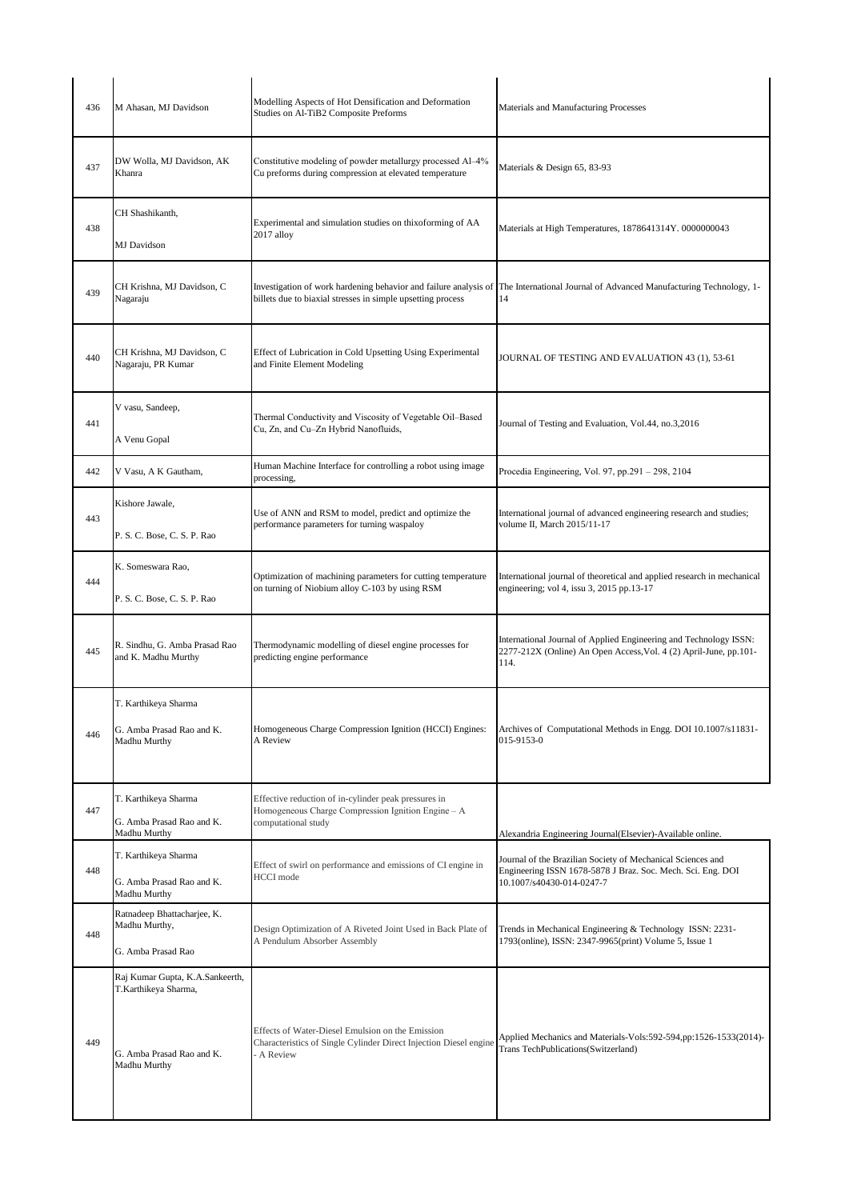| 436 | M Ahasan, MJ Davidson                                                                                | Modelling Aspects of Hot Densification and Deformation<br>Studies on Al-TiB2 Composite Preforms                                   | Materials and Manufacturing Processes                                                                                                                   |
|-----|------------------------------------------------------------------------------------------------------|-----------------------------------------------------------------------------------------------------------------------------------|---------------------------------------------------------------------------------------------------------------------------------------------------------|
| 437 | DW Wolla, MJ Davidson, AK<br>Khanra                                                                  | Constitutive modeling of powder metallurgy processed Al-4%<br>Cu preforms during compression at elevated temperature              | Materials & Design 65, 83-93                                                                                                                            |
| 438 | CH Shashikanth,<br><b>MJ</b> Davidson                                                                | Experimental and simulation studies on thixoforming of AA<br>2017 alloy                                                           | Materials at High Temperatures, 1878641314Y. 0000000043                                                                                                 |
| 439 | CH Krishna, MJ Davidson, C<br>Nagaraju                                                               | billets due to biaxial stresses in simple upsetting process                                                                       | Investigation of work hardening behavior and failure analysis of The International Journal of Advanced Manufacturing Technology, 1-<br>14               |
| 440 | CH Krishna, MJ Davidson, C<br>Nagaraju, PR Kumar                                                     | Effect of Lubrication in Cold Upsetting Using Experimental<br>and Finite Element Modeling                                         | JOURNAL OF TESTING AND EVALUATION 43 (1), 53-61                                                                                                         |
| 441 | V vasu, Sandeep,<br>A Venu Gopal                                                                     | Thermal Conductivity and Viscosity of Vegetable Oil-Based<br>Cu, Zn, and Cu-Zn Hybrid Nanofluids,                                 | Journal of Testing and Evaluation, Vol.44, no.3,2016                                                                                                    |
| 442 | V Vasu, A K Gautham,                                                                                 | Human Machine Interface for controlling a robot using image<br>processing,                                                        | Procedia Engineering, Vol. 97, pp.291 - 298, 2104                                                                                                       |
| 443 | Kishore Jawale,<br>P. S. C. Bose, C. S. P. Rao                                                       | Use of ANN and RSM to model, predict and optimize the<br>performance parameters for turning waspaloy                              | International journal of advanced engineering research and studies;<br>volume II, March 2015/11-17                                                      |
| 444 | K. Someswara Rao,<br>P. S. C. Bose, C. S. P. Rao                                                     | Optimization of machining parameters for cutting temperature<br>on turning of Niobium alloy C-103 by using RSM                    | International journal of theoretical and applied research in mechanical<br>engineering; vol 4, issu 3, 2015 pp.13-17                                    |
| 445 | R. Sindhu, G. Amba Prasad Rao<br>and K. Madhu Murthy                                                 | Thermodynamic modelling of diesel engine processes for<br>predicting engine performance                                           | International Journal of Applied Engineering and Technology ISSN:<br>2277-212X (Online) An Open Access, Vol. 4 (2) April-June, pp.101-<br>114.          |
| 446 | T. Karthikeya Sharma<br>G. Amba Prasad Rao and K.<br>Madhu Murthy                                    | Homogeneous Charge Compression Ignition (HCCI) Engines:<br>A Review                                                               | Archives of Computational Methods in Engg. DOI 10.1007/s11831-<br>015-9153-0                                                                            |
| 447 | T. Karthikeya Sharma<br>G. Amba Prasad Rao and K.<br>Madhu Murthy                                    | Effective reduction of in-cylinder peak pressures in<br>Homogeneous Charge Compression Ignition Engine - A<br>computational study | Alexandria Engineering Journal(Elsevier)-Available online.                                                                                              |
| 448 | T. Karthikeya Sharma<br>G. Amba Prasad Rao and K.<br>Madhu Murthy                                    | Effect of swirl on performance and emissions of CI engine in<br><b>HCCI</b> mode                                                  | Journal of the Brazilian Society of Mechanical Sciences and<br>Engineering ISSN 1678-5878 J Braz. Soc. Mech. Sci. Eng. DOI<br>10.1007/s40430-014-0247-7 |
| 448 | Ratnadeep Bhattacharjee, K.<br>Madhu Murthy,<br>G. Amba Prasad Rao                                   | Design Optimization of A Riveted Joint Used in Back Plate of<br>A Pendulum Absorber Assembly                                      | Trends in Mechanical Engineering & Technology ISSN: 2231-<br>1793(online), ISSN: 2347-9965(print) Volume 5, Issue 1                                     |
| 449 | Raj Kumar Gupta, K.A.Sankeerth,<br>T.Karthikeya Sharma,<br>G. Amba Prasad Rao and K.<br>Madhu Murthy | Effects of Water-Diesel Emulsion on the Emission<br>Characteristics of Single Cylinder Direct Injection Diesel engine<br>A Review | Applied Mechanics and Materials-Vols:592-594,pp:1526-1533(2014)-<br>Trans TechPublications(Switzerland)                                                 |
|     |                                                                                                      |                                                                                                                                   |                                                                                                                                                         |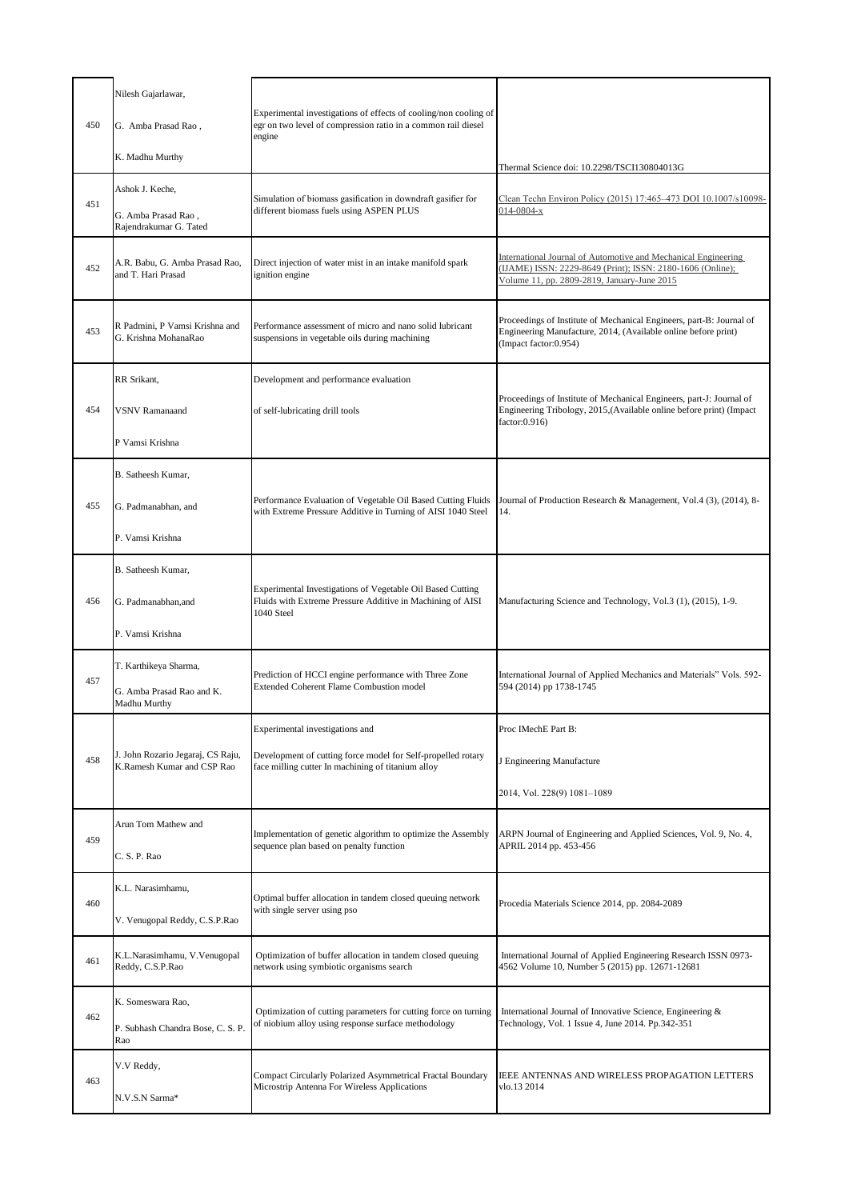| 450 | Nilesh Gajarlawar,<br>G. Amba Prasad Rao,<br>K. Madhu Murthy       | Experimental investigations of effects of cooling/non cooling of<br>egr on two level of compression ratio in a common rail diesel<br>engine           |                                                                                                                                                                             |
|-----|--------------------------------------------------------------------|-------------------------------------------------------------------------------------------------------------------------------------------------------|-----------------------------------------------------------------------------------------------------------------------------------------------------------------------------|
| 451 | Ashok J. Keche,<br>G. Amba Prasad Rao,<br>Rajendrakumar G. Tated   | Simulation of biomass gasification in downdraft gasifier for<br>different biomass fuels using ASPEN PLUS                                              | Thermal Science doi: 10.2298/TSCI130804013G<br>Clean Techn Environ Policy (2015) 17:465-473 DOI 10.1007/s10098-<br>014-0804-x                                               |
| 452 | A.R. Babu, G. Amba Prasad Rao,<br>and T. Hari Prasad               | Direct injection of water mist in an intake manifold spark<br>ignition engine                                                                         | International Journal of Automotive and Mechanical Engineering<br>(IJAME) ISSN: 2229-8649 (Print); ISSN: 2180-1606 (Online);<br>Volume 11, pp. 2809-2819, January-June 2015 |
| 453 | R Padmini, P Vamsi Krishna and<br>G. Krishna MohanaRao             | Performance assessment of micro and nano solid lubricant<br>suspensions in vegetable oils during machining                                            | Proceedings of Institute of Mechanical Engineers, part-B: Journal of<br>Engineering Manufacture, 2014, (Available online before print)<br>(Impact factor:0.954)             |
| 454 | RR Srikant,<br><b>VSNV Ramanaand</b><br>P Vamsi Krishna            | Development and performance evaluation<br>of self-lubricating drill tools                                                                             | Proceedings of Institute of Mechanical Engineers, part-J: Journal of<br>Engineering Tribology, 2015, (Available online before print) (Impact<br>factor:0.916)               |
| 455 | B. Satheesh Kumar,<br>G. Padmanabhan, and<br>P. Vamsi Krishna      | Performance Evaluation of Vegetable Oil Based Cutting Fluids<br>with Extreme Pressure Additive in Turning of AISI 1040 Steel                          | Journal of Production Research & Management, Vol.4 (3), (2014), 8-<br>14.                                                                                                   |
| 456 | B. Satheesh Kumar,<br>G. Padmanabhan, and<br>P. Vamsi Krishna      | Experimental Investigations of Vegetable Oil Based Cutting<br>Fluids with Extreme Pressure Additive in Machining of AISI<br>1040 Steel                | Manufacturing Science and Technology, Vol.3 (1), (2015), 1-9.                                                                                                               |
| 457 | T. Karthikeya Sharma,<br>G. Amba Prasad Rao and K.<br>Madhu Murthy | Prediction of HCCI engine performance with Three Zone<br><b>Extended Coherent Flame Combustion model</b>                                              | International Journal of Applied Mechanics and Materials" Vols. 592-<br>594 (2014) pp 1738-1745                                                                             |
| 458 | J. John Rozario Jegaraj, CS Raju,<br>K.Ramesh Kumar and CSP Rao    | Experimental investigations and<br>Development of cutting force model for Self-propelled rotary<br>face milling cutter In machining of titanium alloy | Proc IMechE Part B:<br>J Engineering Manufacture<br>2014, Vol. 228(9) 1081-1089                                                                                             |
| 459 | Arun Tom Mathew and<br>C. S. P. Rao                                | Implementation of genetic algorithm to optimize the Assembly<br>sequence plan based on penalty function                                               | ARPN Journal of Engineering and Applied Sciences, Vol. 9, No. 4,<br>APRIL 2014 pp. 453-456                                                                                  |
| 460 | K.L. Narasimhamu,<br>V. Venugopal Reddy, C.S.P.Rao                 | Optimal buffer allocation in tandem closed queuing network<br>with single server using pso                                                            | Procedia Materials Science 2014, pp. 2084-2089                                                                                                                              |
| 461 | K.L.Narasimhamu, V.Venugopal<br>Reddy, C.S.P.Rao                   | Optimization of buffer allocation in tandem closed queuing<br>network using symbiotic organisms search                                                | International Journal of Applied Engineering Research ISSN 0973-<br>4562 Volume 10, Number 5 (2015) pp. 12671-12681                                                         |
| 462 | K. Someswara Rao,<br>P. Subhash Chandra Bose, C. S. P.<br>Rao      | Optimization of cutting parameters for cutting force on turning<br>of niobium alloy using response surface methodology                                | International Journal of Innovative Science, Engineering &<br>Technology, Vol. 1 Issue 4, June 2014. Pp.342-351                                                             |
| 463 | V.V Reddy,<br>N.V.S.N Sarma*                                       | Compact Circularly Polarized Asymmetrical Fractal Boundary<br>Microstrip Antenna For Wireless Applications                                            | IEEE ANTENNAS AND WIRELESS PROPAGATION LETTERS<br>vlo.13 2014                                                                                                               |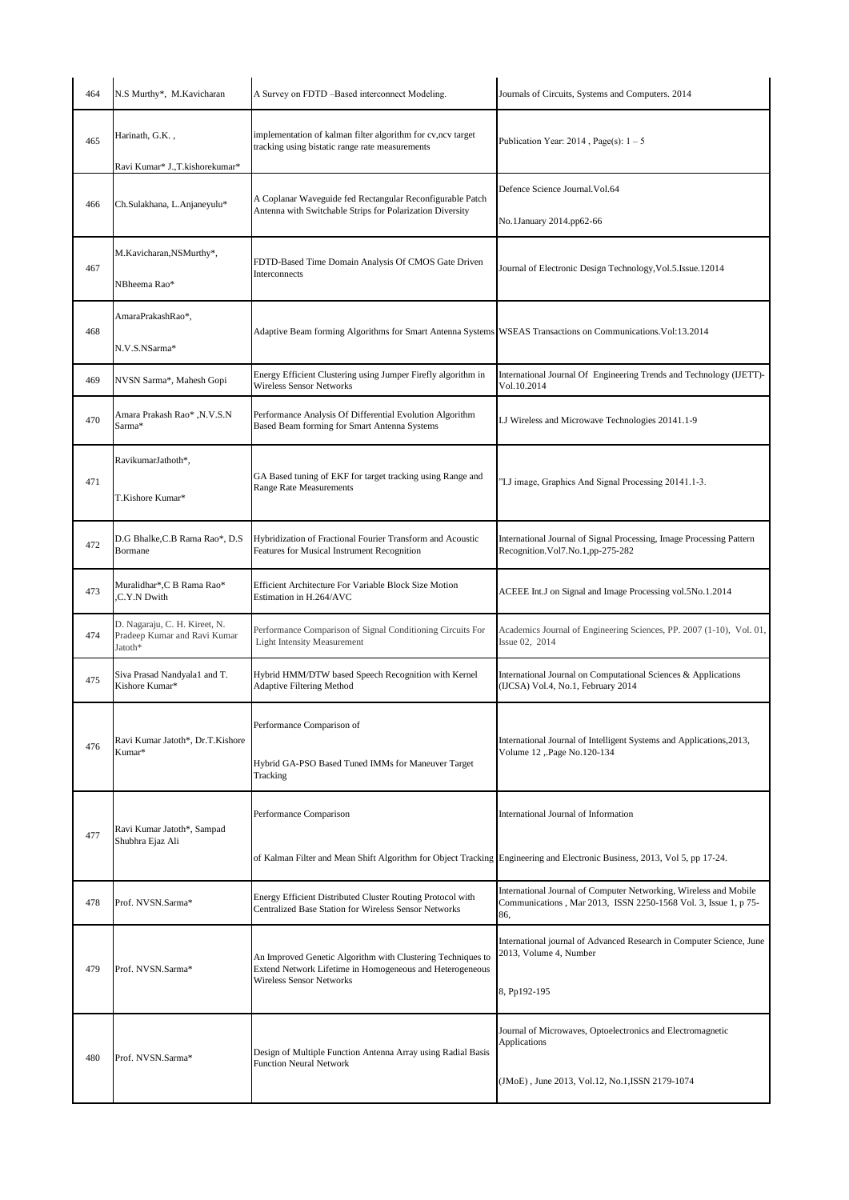| 464 | N.S Murthy*, M.Kavicharan                                                | A Survey on FDTD -Based interconnect Modeling.                                                                                                      | Journals of Circuits, Systems and Computers. 2014                                                                                           |
|-----|--------------------------------------------------------------------------|-----------------------------------------------------------------------------------------------------------------------------------------------------|---------------------------------------------------------------------------------------------------------------------------------------------|
| 465 | Harinath, G.K.,<br>Ravi Kumar* J., T. kishorekumar*                      | implementation of kalman filter algorithm for cv,ncv target<br>tracking using bistatic range rate measurements                                      | Publication Year: 2014, Page(s): $1 - 5$                                                                                                    |
| 466 | Ch.Sulakhana, L.Anjaneyulu*                                              | A Coplanar Waveguide fed Rectangular Reconfigurable Patch<br>Antenna with Switchable Strips for Polarization Diversity                              | Defence Science Journal. Vol.64<br>No.1January 2014.pp62-66                                                                                 |
| 467 | M.Kavicharan, NSMurthy*,<br>NBheema Rao*                                 | FDTD-Based Time Domain Analysis Of CMOS Gate Driven<br>Interconnects                                                                                | Journal of Electronic Design Technology, Vol.5.Issue.12014                                                                                  |
| 468 | AmaraPrakashRao*,<br>N.V.S.NSarma*                                       | Adaptive Beam forming Algorithms for Smart Antenna Systems WSEAS Transactions on Communications. Vol:13.2014                                        |                                                                                                                                             |
| 469 | NVSN Sarma*, Mahesh Gopi                                                 | Energy Efficient Clustering using Jumper Firefly algorithm in<br>Wireless Sensor Networks                                                           | International Journal Of Engineering Trends and Technology (IJETT)-<br>Vol.10.2014                                                          |
| 470 | N.V.S.N, Amara Prakash Rao*, N.V.S.N<br>Sarma*                           | Performance Analysis Of Differential Evolution Algorithm<br>Based Beam forming for Smart Antenna Systems                                            | I.J Wireless and Microwave Technologies 20141.1-9                                                                                           |
| 471 | RavikumarJathoth*,<br>T.Kishore Kumar*                                   | GA Based tuning of EKF for target tracking using Range and<br><b>Range Rate Measurements</b>                                                        | 'I.J image, Graphics And Signal Processing 20141.1-3.                                                                                       |
| 472 | D.G Bhalke, C.B Rama Rao*, D.S<br>Bormane                                | Hybridization of Fractional Fourier Transform and Acoustic<br>Features for Musical Instrument Recognition                                           | International Journal of Signal Processing, Image Processing Pattern<br>Recognition. Vol7. No. 1, pp-275-282                                |
| 473 | Muralidhar*,C B Rama Rao*<br>C.Y.N Dwith                                 | Efficient Architecture For Variable Block Size Motion<br>Estimation in H.264/AVC                                                                    | ACEEE Int.J on Signal and Image Processing vol.5No.1.2014                                                                                   |
| 474 | D. Nagaraju, C. H. Kireet, N.<br>Pradeep Kumar and Ravi Kumar<br>Jatoth* | Performance Comparison of Signal Conditioning Circuits For<br><b>Light Intensity Measurement</b>                                                    | Academics Journal of Engineering Sciences, PP. 2007 (1-10), Vol. 01,<br>Issue 02, 2014                                                      |
| 475 | Siva Prasad Nandyala1 and T.<br>Kishore Kumar*                           | Hybrid HMM/DTW based Speech Recognition with Kernel<br><b>Adaptive Filtering Method</b>                                                             | International Journal on Computational Sciences & Applications<br>(IJCSA) Vol.4, No.1, February 2014                                        |
| 476 | Ravi Kumar Jatoth*, Dr.T.Kishore<br>Kumar*                               | Performance Comparison of<br>Hybrid GA-PSO Based Tuned IMMs for Maneuver Target<br>Tracking                                                         | International Journal of Intelligent Systems and Applications, 2013,<br>Volume 12, Page No.120-134                                          |
| 477 | Ravi Kumar Jatoth*, Sampad<br>Shubhra Ejaz Ali                           | Performance Comparison                                                                                                                              | International Journal of Information                                                                                                        |
|     |                                                                          | of Kalman Filter and Mean Shift Algorithm for Object Tracking Engineering and Electronic Business, 2013, Vol 5, pp 17-24.                           |                                                                                                                                             |
| 478 | Prof. NVSN.Sarma*                                                        | Energy Efficient Distributed Cluster Routing Protocol with<br>Centralized Base Station for Wireless Sensor Networks                                 | International Journal of Computer Networking, Wireless and Mobile<br>Communications, Mar 2013, ISSN 2250-1568 Vol. 3, Issue 1, p 75-<br>86, |
| 479 | Prof. NVSN.Sarma*                                                        | An Improved Genetic Algorithm with Clustering Techniques to<br>Extend Network Lifetime in Homogeneous and Heterogeneous<br>Wireless Sensor Networks | International journal of Advanced Research in Computer Science, June<br>2013, Volume 4, Number<br>8, Pp192-195                              |
| 480 | Prof. NVSN.Sarma*                                                        | Design of Multiple Function Antenna Array using Radial Basis<br><b>Function Neural Network</b>                                                      | Journal of Microwaves, Optoelectronics and Electromagnetic<br>Applications<br>(JMoE), June 2013, Vol.12, No.1, ISSN 2179-1074               |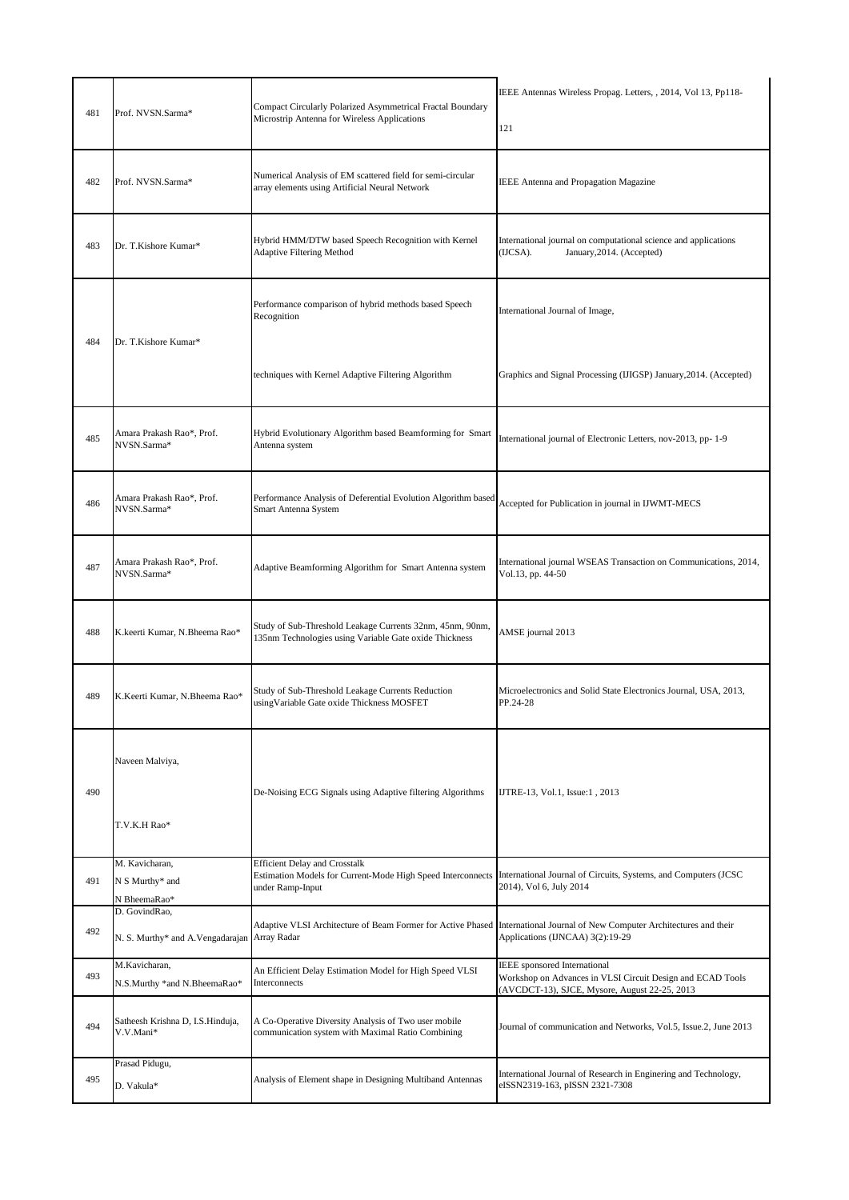| 481 | Prof. NVSN.Sarma*                                              | Compact Circularly Polarized Asymmetrical Fractal Boundary<br>Microstrip Antenna for Wireless Applications              | IEEE Antennas Wireless Propag. Letters, , 2014, Vol 13, Pp118-<br>121                                                                       |
|-----|----------------------------------------------------------------|-------------------------------------------------------------------------------------------------------------------------|---------------------------------------------------------------------------------------------------------------------------------------------|
| 482 | Prof. NVSN.Sarma*                                              | Numerical Analysis of EM scattered field for semi-circular<br>array elements using Artificial Neural Network            | IEEE Antenna and Propagation Magazine                                                                                                       |
| 483 | Dr. T.Kishore Kumar*                                           | Hybrid HMM/DTW based Speech Recognition with Kernel<br><b>Adaptive Filtering Method</b>                                 | International journal on computational science and applications<br>(IJCSA).<br>January, 2014. (Accepted)                                    |
| 484 | Dr. T.Kishore Kumar*                                           | Performance comparison of hybrid methods based Speech<br>Recognition                                                    | International Journal of Image,                                                                                                             |
|     |                                                                | techniques with Kernel Adaptive Filtering Algorithm                                                                     | Graphics and Signal Processing (IJIGSP) January, 2014. (Accepted)                                                                           |
| 485 | Amara Prakash Rao*, Prof.<br>NVSN.Sarma*                       | Hybrid Evolutionary Algorithm based Beamforming for Smart<br>Antenna system                                             | International journal of Electronic Letters, nov-2013, pp- 1-9                                                                              |
| 486 | Amara Prakash Rao*, Prof.<br>NVSN.Sarma*                       | Performance Analysis of Deferential Evolution Algorithm based<br>Smart Antenna System                                   | Accepted for Publication in journal in IJWMT-MECS                                                                                           |
| 487 | Amara Prakash Rao*, Prof.<br>NVSN.Sarma*                       | Adaptive Beamforming Algorithm for Smart Antenna system                                                                 | International journal WSEAS Transaction on Communications, 2014,<br>Vol.13, pp. 44-50                                                       |
| 488 | K.keerti Kumar, N.Bheema Rao*                                  | Study of Sub-Threshold Leakage Currents 32nm, 45nm, 90nm,<br>135nm Technologies using Variable Gate oxide Thickness     | AMSE journal 2013                                                                                                                           |
| 489 | K.Keerti Kumar, N.Bheema Rao*                                  | Study of Sub-Threshold Leakage Currents Reduction<br>usingVariable Gate oxide Thickness MOSFET                          | Microelectronics and Solid State Electronics Journal, USA, 2013,<br>PP.24-28                                                                |
| 490 | Naveen Malviya,<br>T.V.K.H Rao*                                | De-Noising ECG Signals using Adaptive filtering Algorithms                                                              | IJTRE-13, Vol.1, Issue:1, 2013                                                                                                              |
| 491 | M. Kavicharan,<br>N S Murthy* and<br>N BheemaRao*              | <b>Efficient Delay and Crosstalk</b><br>Estimation Models for Current-Mode High Speed Interconnects<br>under Ramp-Input | International Journal of Circuits, Systems, and Computers (JCSC<br>2014), Vol 6, July 2014                                                  |
| 492 | D. GovindRao,<br>N. S. Murthy* and A. Vengadarajan Array Radar | Adaptive VLSI Architecture of Beam Former for Active Phased                                                             | International Journal of New Computer Architectures and their<br>Applications (IJNCAA) 3(2):19-29                                           |
| 493 | M.Kavicharan,<br>N.S.Murthy *and N.BheemaRao*                  | An Efficient Delay Estimation Model for High Speed VLSI<br>Interconnects                                                | IEEE sponsored International<br>Workshop on Advances in VLSI Circuit Design and ECAD Tools<br>(AVCDCT-13), SJCE, Mysore, August 22-25, 2013 |
| 494 | Satheesh Krishna D, I.S.Hinduja,<br>V.V.Mani*                  | A Co-Operative Diversity Analysis of Two user mobile<br>communication system with Maximal Ratio Combining               | Journal of communication and Networks, Vol.5, Issue.2, June 2013                                                                            |
| 495 | Prasad Pidugu,<br>D. Vakula*                                   | Analysis of Element shape in Designing Multiband Antennas                                                               | International Journal of Research in Enginering and Technology,<br>eISSN2319-163, pISSN 2321-7308                                           |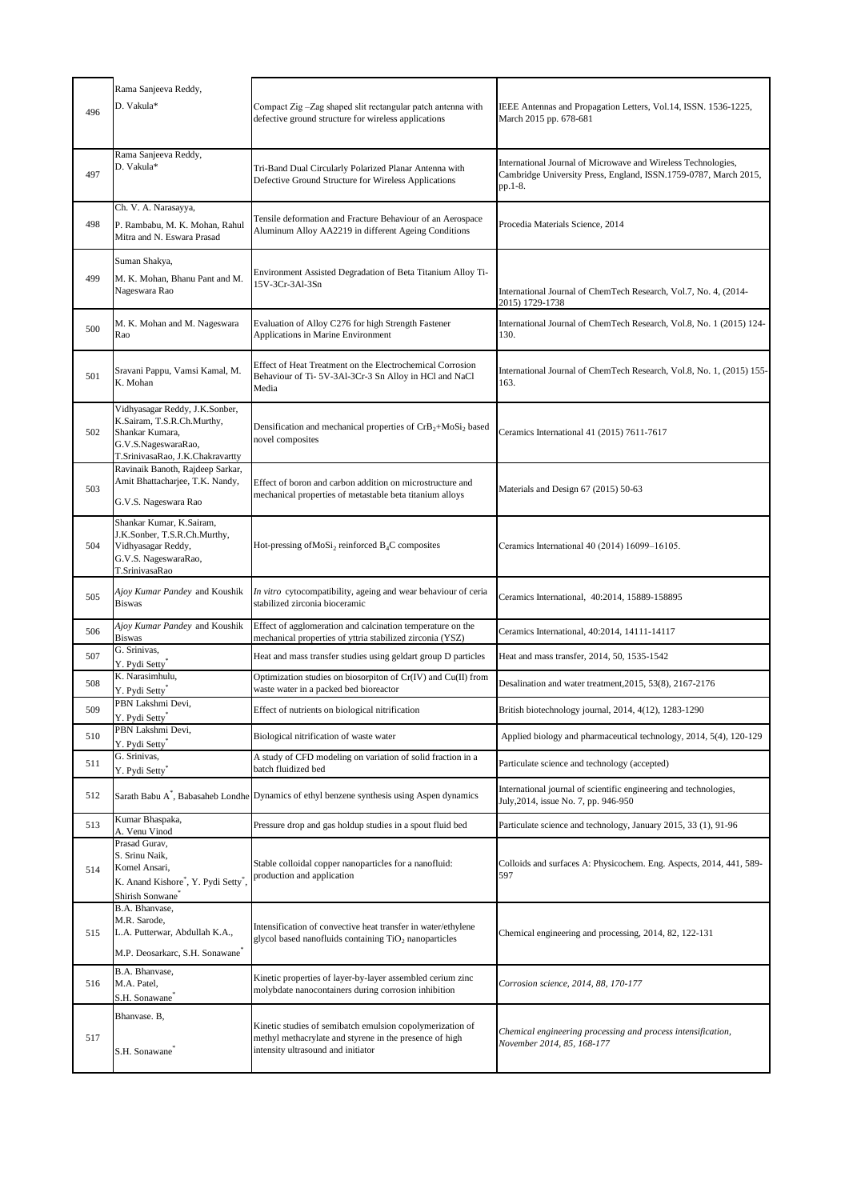| 496 | Rama Sanjeeva Reddy,<br>D. Vakula*                                                                                                         | Compact Zig-Zag shaped slit rectangular patch antenna with<br>defective ground structure for wireless applications                                         | IEEE Antennas and Propagation Letters, Vol.14, ISSN. 1536-1225,<br>March 2015 pp. 678-681                                                    |
|-----|--------------------------------------------------------------------------------------------------------------------------------------------|------------------------------------------------------------------------------------------------------------------------------------------------------------|----------------------------------------------------------------------------------------------------------------------------------------------|
| 497 | Rama Sanjeeva Reddy,<br>D. Vakula*                                                                                                         | Tri-Band Dual Circularly Polarized Planar Antenna with<br>Defective Ground Structure for Wireless Applications                                             | International Journal of Microwave and Wireless Technologies,<br>Cambridge University Press, England, ISSN.1759-0787, March 2015,<br>pp.1-8. |
| 498 | Ch. V. A. Narasayya,<br>P. Rambabu, M. K. Mohan, Rahul<br>Mitra and N. Eswara Prasad                                                       | Tensile deformation and Fracture Behaviour of an Aerospace<br>Aluminum Alloy AA2219 in different Ageing Conditions                                         | Procedia Materials Science, 2014                                                                                                             |
| 499 | Suman Shakya,<br>M. K. Mohan, Bhanu Pant and M.<br>Nageswara Rao                                                                           | Environment Assisted Degradation of Beta Titanium Alloy Ti-<br>15V-3Cr-3Al-3Sn                                                                             | International Journal of ChemTech Research, Vol.7, No. 4, (2014-<br>2015) 1729-1738                                                          |
| 500 | M. K. Mohan and M. Nageswara<br>Rao                                                                                                        | Evaluation of Alloy C276 for high Strength Fastener<br>Applications in Marine Environment                                                                  | International Journal of ChemTech Research, Vol.8, No. 1 (2015) 124-<br>130.                                                                 |
| 501 | Sravani Pappu, Vamsi Kamal, M.<br>K. Mohan                                                                                                 | Effect of Heat Treatment on the Electrochemical Corrosion<br>Behaviour of Ti- 5V-3Al-3Cr-3 Sn Alloy in HCl and NaCl<br>Media                               | International Journal of ChemTech Research, Vol.8, No. 1, (2015) 155-<br>163.                                                                |
| 502 | Vidhyasagar Reddy, J.K.Sonber,<br>K.Sairam, T.S.R.Ch.Murthy,<br>Shankar Kumara,<br>G.V.S.NageswaraRao,<br>T.SrinivasaRao, J.K.Chakravartty | Densification and mechanical properties of $CrB2+MoSi2$ based<br>novel composites                                                                          | Ceramics International 41 (2015) 7611-7617                                                                                                   |
| 503 | Ravinaik Banoth, Rajdeep Sarkar,<br>Amit Bhattacharjee, T.K. Nandy,<br>G.V.S. Nageswara Rao                                                | Effect of boron and carbon addition on microstructure and<br>mechanical properties of metastable beta titanium alloys                                      | Materials and Design 67 (2015) 50-63                                                                                                         |
| 504 | Shankar Kumar, K.Sairam,<br>J.K.Sonber, T.S.R.Ch.Murthy,<br>Vidhyasagar Reddy,<br>G.V.S. NageswaraRao,<br>T.SrinivasaRao                   | Hot-pressing of $M_0Si_2$ reinforced $B_4C$ composites                                                                                                     | Ceramics International 40 (2014) 16099-16105.                                                                                                |
| 505 | Ajoy Kumar Pandey and Koushik<br><b>Biswas</b>                                                                                             | In vitro cytocompatibility, ageing and wear behaviour of ceria<br>stabilized zirconia bioceramic                                                           | Ceramics International, 40:2014, 15889-158895                                                                                                |
| 506 | Ajoy Kumar Pandey and Koushik<br>Biswas                                                                                                    | Effect of agglomeration and calcination temperature on the<br>mechanical properties of yttria stabilized zirconia (YSZ)                                    | Ceramics International, 40:2014, 14111-14117                                                                                                 |
| 507 | G. Srinivas,<br>Y. Pydi Setty <sup>®</sup>                                                                                                 | Heat and mass transfer studies using geldart group D particles                                                                                             | Heat and mass transfer, 2014, 50, 1535-1542                                                                                                  |
| 508 | K. Narasimhulu,<br>Y. Pydi Setty <sup>®</sup>                                                                                              | Optimization studies on biosorpiton of Cr(IV) and Cu(II) from<br>waste water in a packed bed bioreactor                                                    | Desalination and water treatment, 2015, 53(8), 2167-2176                                                                                     |
| 509 | PBN Lakshmi Devi,<br>Y. Pydi Setty <sup>*</sup>                                                                                            | Effect of nutrients on biological nitrification                                                                                                            | British biotechnology journal, 2014, 4(12), 1283-1290                                                                                        |
| 510 | PBN Lakshmi Devi,<br>Y. Pydi Setty®                                                                                                        | Biological nitrification of waste water                                                                                                                    | Applied biology and pharmaceutical technology, 2014, 5(4), 120-129                                                                           |
| 511 | G. Srinivas,<br>Y. Pydi Setty <sup>®</sup>                                                                                                 | A study of CFD modeling on variation of solid fraction in a<br>batch fluidized bed                                                                         | Particulate science and technology (accepted)                                                                                                |
| 512 |                                                                                                                                            | Sarath Babu A <sup>*</sup> , Babasaheb Londhe Dynamics of ethyl benzene synthesis using Aspen dynamics                                                     | International journal of scientific engineering and technologies,<br>July, 2014, issue No. 7, pp. 946-950                                    |
| 513 | Kumar Bhaspaka,<br>A. Venu Vinod                                                                                                           | Pressure drop and gas holdup studies in a spout fluid bed                                                                                                  | Particulate science and technology, January 2015, 33 (1), 91-96                                                                              |
| 514 | Prasad Gurav,<br>S. Srinu Naik,<br>Komel Ansari,<br>K. Anand Kishore®, Y. Pydi Setty®<br>Shirish Sonwane                                   | Stable colloidal copper nanoparticles for a nanofluid:<br>production and application                                                                       | Colloids and surfaces A: Physicochem. Eng. Aspects, 2014, 441, 589-<br>597                                                                   |
| 515 | B.A. Bhanvase,<br>M.R. Sarode,<br>L.A. Putterwar, Abdullah K.A.,<br>M.P. Deosarkarc, S.H. Sonawane                                         | Intensification of convective heat transfer in water/ethylene<br>glycol based nanofluids containing TiO <sub>2</sub> nanoparticles                         | Chemical engineering and processing, 2014, 82, 122-131                                                                                       |
| 516 | B.A. Bhanvase,<br>M.A. Patel,<br>S.H. Sonawane <sup>®</sup>                                                                                | Kinetic properties of layer-by-layer assembled cerium zinc<br>molybdate nanocontainers during corrosion inhibition                                         | Corrosion science, 2014, 88, 170-177                                                                                                         |
| 517 | Bhanvase. B,<br>S.H. Sonawane                                                                                                              | Kinetic studies of semibatch emulsion copolymerization of<br>methyl methacrylate and styrene in the presence of high<br>intensity ultrasound and initiator | Chemical engineering processing and process intensification,<br>November 2014, 85, 168-177                                                   |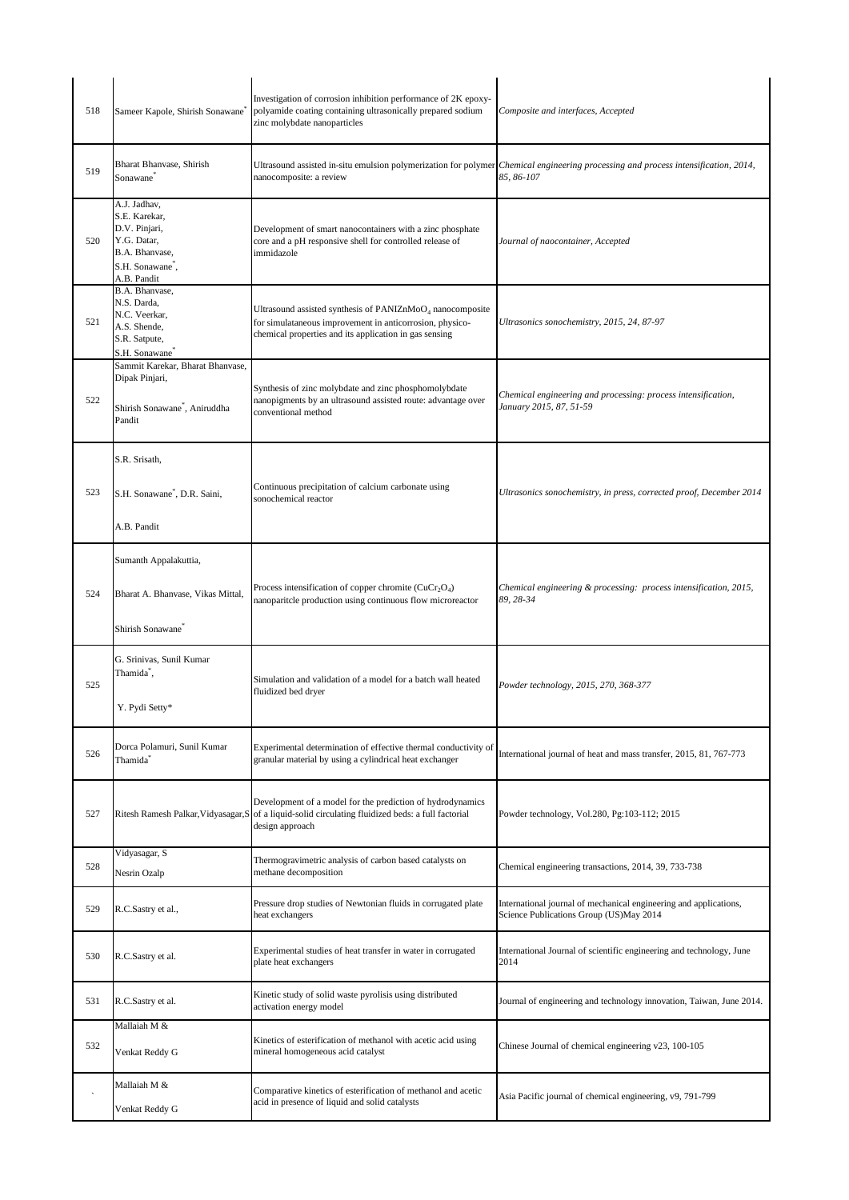| 518 | Sameer Kapole, Shirish Sonawane                                                                                                | Investigation of corrosion inhibition performance of 2K epoxy-<br>polyamide coating containing ultrasonically prepared sodium<br>zinc molybdate nanoparticles                               | Composite and interfaces, Accepted                                                                                                                       |
|-----|--------------------------------------------------------------------------------------------------------------------------------|---------------------------------------------------------------------------------------------------------------------------------------------------------------------------------------------|----------------------------------------------------------------------------------------------------------------------------------------------------------|
| 519 | Bharat Bhanvase, Shirish<br>Sonawane <sup>®</sup>                                                                              | nanocomposite: a review                                                                                                                                                                     | Ultrasound assisted in-situ emulsion polymerization for polymer <i>Chemical engineering processing and process intensification</i> , 2014,<br>85, 86-107 |
| 520 | A.J. Jadhav,<br>S.E. Karekar,<br>D.V. Pinjari,<br>Y.G. Datar,<br>B.A. Bhanvase.<br>S.H. Sonawane <sup>*</sup> .<br>A.B. Pandit | Development of smart nanocontainers with a zinc phosphate<br>core and a pH responsive shell for controlled release of<br>immidazole                                                         | Journal of naocontainer, Accepted                                                                                                                        |
| 521 | B.A. Bhanvase,<br>N.S. Darda,<br>N.C. Veerkar,<br>A.S. Shende,<br>S.R. Satpute,<br>S.H. Sonawane <sup>®</sup>                  | Ultrasound assisted synthesis of PANIZnMoO <sub>4</sub> nanocomposite<br>for simulataneous improvement in anticorrosion, physico-<br>chemical properties and its application in gas sensing | Ultrasonics sonochemistry, 2015, 24, 87-97                                                                                                               |
| 522 | Sammit Karekar, Bharat Bhanvase,<br>Dipak Pinjari,<br>Shirish Sonawane <sup>®</sup> , Aniruddha<br>Pandit                      | Synthesis of zinc molybdate and zinc phosphomolybdate<br>nanopigments by an ultrasound assisted route: advantage over<br>conventional method                                                | Chemical engineering and processing: process intensification,<br>January 2015, 87, 51-59                                                                 |
| 523 | S.R. Srisath,<br>S.H. Sonawane <sup>®</sup> , D.R. Saini,<br>A.B. Pandit                                                       | Continuous precipitation of calcium carbonate using<br>sonochemical reactor                                                                                                                 | Ultrasonics sonochemistry, in press, corrected proof, December 2014                                                                                      |
| 524 | Sumanth Appalakuttia,<br>Bharat A. Bhanvase, Vikas Mittal,<br>Shirish Sonawane <sup>®</sup>                                    | Process intensification of copper chromite $(CuCr2O4)$<br>nanoparitcle production using continuous flow microreactor                                                                        | Chemical engineering & processing: process intensification, 2015,<br>89, 28-34                                                                           |
| 525 | G. Srinivas, Sunil Kumar<br>Thamida <sup>®</sup> ,<br>Y. Pydi Setty*                                                           | Simulation and validation of a model for a batch wall heated<br>fluidized bed dryer                                                                                                         | Powder technology, 2015, 270, 368-377                                                                                                                    |
| 526 | Dorca Polamuri, Sunil Kumar<br>Thamida <sup>*</sup>                                                                            | Experimental determination of effective thermal conductivity of<br>granular material by using a cylindrical heat exchanger                                                                  | International journal of heat and mass transfer, 2015, 81, 767-773                                                                                       |
| 527 |                                                                                                                                | Development of a model for the prediction of hydrodynamics<br>Ritesh Ramesh Palkar, Vidyasagar, S of a liquid-solid circulating fluidized beds: a full factorial<br>design approach         | Powder technology, Vol.280, Pg:103-112; 2015                                                                                                             |
| 528 | Vidyasagar, S<br>Nesrin Ozalp                                                                                                  | Thermogravimetric analysis of carbon based catalysts on<br>methane decomposition                                                                                                            | Chemical engineering transactions, 2014, 39, 733-738                                                                                                     |
| 529 | R.C.Sastry et al.,                                                                                                             | Pressure drop studies of Newtonian fluids in corrugated plate<br>heat exchangers                                                                                                            | International journal of mechanical engineering and applications,<br>Science Publications Group (US)May 2014                                             |
| 530 | R.C.Sastry et al.                                                                                                              | Experimental studies of heat transfer in water in corrugated<br>plate heat exchangers                                                                                                       | International Journal of scientific engineering and technology, June<br>2014                                                                             |
| 531 | R.C.Sastry et al.                                                                                                              | Kinetic study of solid waste pyrolisis using distributed<br>activation energy model                                                                                                         | Journal of engineering and technology innovation, Taiwan, June 2014.                                                                                     |
| 532 | Mallaiah M &<br>Venkat Reddy G                                                                                                 | Kinetics of esterification of methanol with acetic acid using<br>mineral homogeneous acid catalyst                                                                                          | Chinese Journal of chemical engineering v23, 100-105                                                                                                     |
|     | Mallaiah M &<br>Venkat Reddy G                                                                                                 | Comparative kinetics of esterification of methanol and acetic<br>acid in presence of liquid and solid catalysts                                                                             | Asia Pacific journal of chemical engineering, v9, 791-799                                                                                                |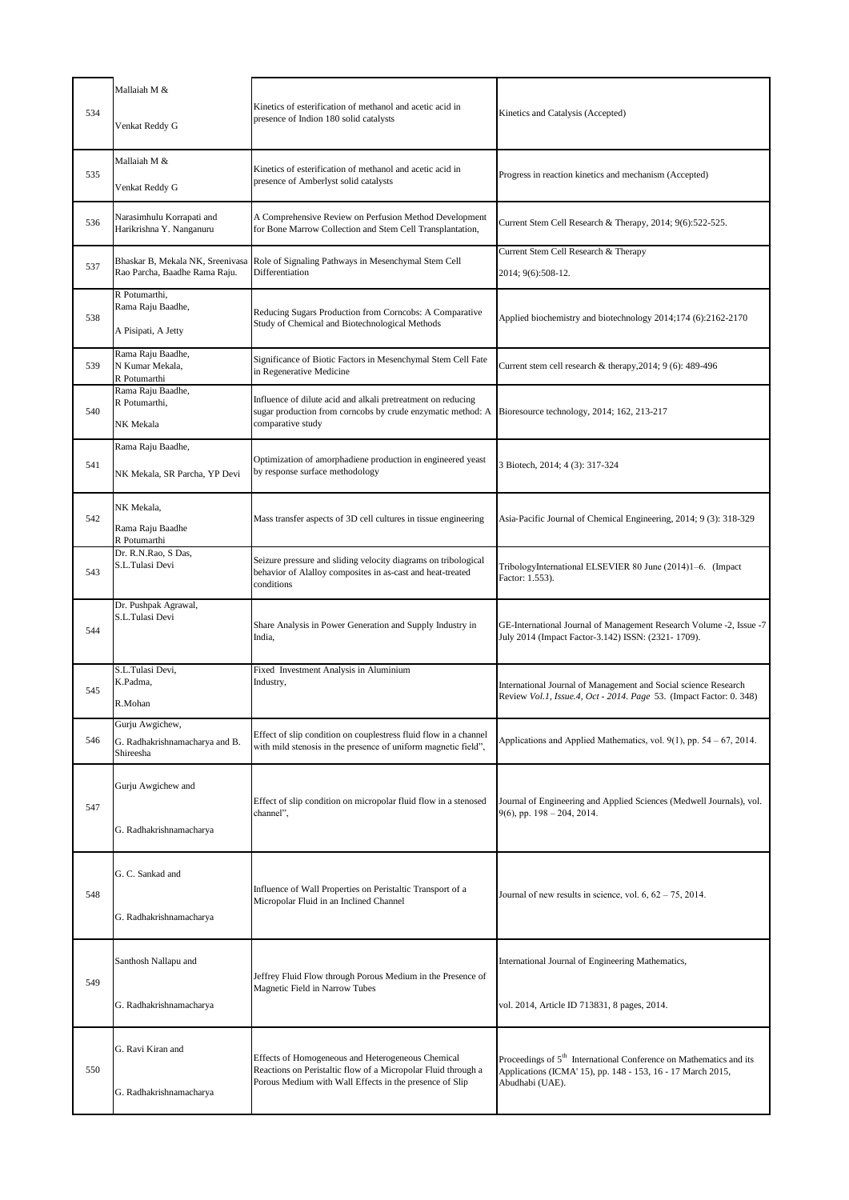| 534 | Mallaiah M &<br>Venkat Reddy G                                    | Kinetics of esterification of methanol and acetic acid in<br>presence of Indion 180 solid catalysts                                                                           | Kinetics and Catalysis (Accepted)                                                                                                                                |
|-----|-------------------------------------------------------------------|-------------------------------------------------------------------------------------------------------------------------------------------------------------------------------|------------------------------------------------------------------------------------------------------------------------------------------------------------------|
| 535 | Mallaiah M &<br>Venkat Reddy G                                    | Kinetics of esterification of methanol and acetic acid in<br>presence of Amberlyst solid catalysts                                                                            | Progress in reaction kinetics and mechanism (Accepted)                                                                                                           |
| 536 | Narasimhulu Korrapati and<br>Harikrishna Y. Nanganuru             | A Comprehensive Review on Perfusion Method Development<br>for Bone Marrow Collection and Stem Cell Transplantation,                                                           | Current Stem Cell Research & Therapy, 2014; 9(6):522-525.                                                                                                        |
| 537 | Bhaskar B, Mekala NK, Sreenivasa<br>Rao Parcha, Baadhe Rama Raju. | Role of Signaling Pathways in Mesenchymal Stem Cell<br>Differentiation                                                                                                        | Current Stem Cell Research & Therapy<br>2014; 9(6):508-12.                                                                                                       |
| 538 | R Potumarthi,<br>Rama Raju Baadhe,<br>A Pisipati, A Jetty         | Reducing Sugars Production from Corncobs: A Comparative<br>Study of Chemical and Biotechnological Methods                                                                     | Applied biochemistry and biotechnology 2014;174 (6):2162-2170                                                                                                    |
| 539 | Rama Raju Baadhe,<br>N Kumar Mekala,<br>R Potumarthi              | Significance of Biotic Factors in Mesenchymal Stem Cell Fate<br>in Regenerative Medicine                                                                                      | Current stem cell research & therapy, 2014; 9 (6): 489-496                                                                                                       |
| 540 | Rama Raju Baadhe,<br>R Potumarthi.<br>NK Mekala                   | Influence of dilute acid and alkali pretreatment on reducing<br>sugar production from corncobs by crude enzymatic method: A<br>comparative study                              | Bioresource technology, 2014; 162, 213-217                                                                                                                       |
| 541 | Rama Raju Baadhe,<br>NK Mekala, SR Parcha, YP Devi                | Optimization of amorphadiene production in engineered yeast<br>by response surface methodology                                                                                | 3 Biotech, 2014; 4 (3): 317-324                                                                                                                                  |
| 542 | NK Mekala,<br>Rama Raju Baadhe<br>R Potumarthi                    | Mass transfer aspects of 3D cell cultures in tissue engineering                                                                                                               | Asia-Pacific Journal of Chemical Engineering, 2014; 9 (3): 318-329                                                                                               |
| 543 | Dr. R.N.Rao, S Das,<br>S.L.Tulasi Devi                            | Seizure pressure and sliding velocity diagrams on tribological<br>behavior of Alalloy composites in as-cast and heat-treated<br>conditions                                    | TribologyInternational ELSEVIER 80 June (2014)1-6. (Impact<br>Factor: 1.553).                                                                                    |
| 544 | Dr. Pushpak Agrawal,<br>S.L.Tulasi Devi                           | Share Analysis in Power Generation and Supply Industry in<br>India,                                                                                                           | GE-International Journal of Management Research Volume -2, Issue -7<br>July 2014 (Impact Factor-3.142) ISSN: (2321-1709).                                        |
| 545 | S.L.Tulasi Devi,<br>K.Padma.<br>R.Mohan                           | Fixed Investment Analysis in Aluminium<br>Industry,                                                                                                                           | International Journal of Management and Social science Research<br>Review Vol.1, Issue.4, Oct - 2014. Page 53. (Impact Factor: 0. 348)                           |
| 546 | Gurju Awgichew,<br>G. Radhakrishnamacharya and B.<br>Shireesha    | Effect of slip condition on couplestress fluid flow in a channel<br>with mild stenosis in the presence of uniform magnetic field".                                            | Applications and Applied Mathematics, vol. $9(1)$ , pp. $54 - 67$ , 2014.                                                                                        |
| 547 | Gurju Awgichew and<br>G. Radhakrishnamacharya                     | Effect of slip condition on micropolar fluid flow in a stenosed<br>channel",                                                                                                  | Journal of Engineering and Applied Sciences (Medwell Journals), vol.<br>$9(6)$ , pp. $198 - 204$ , 2014.                                                         |
| 548 | G. C. Sankad and<br>G. Radhakrishnamacharya                       | Influence of Wall Properties on Peristaltic Transport of a<br>Micropolar Fluid in an Inclined Channel                                                                         | Journal of new results in science, vol. $6, 62 - 75, 2014$ .                                                                                                     |
| 549 | Santhosh Nallapu and<br>G. Radhakrishnamacharya                   | Jeffrey Fluid Flow through Porous Medium in the Presence of<br>Magnetic Field in Narrow Tubes                                                                                 | International Journal of Engineering Mathematics,<br>vol. 2014, Article ID 713831, 8 pages, 2014.                                                                |
| 550 | G. Ravi Kiran and                                                 | Effects of Homogeneous and Heterogeneous Chemical<br>Reactions on Peristaltic flow of a Micropolar Fluid through a<br>Porous Medium with Wall Effects in the presence of Slip | Proceedings of 5 <sup>th</sup> International Conference on Mathematics and its<br>Applications (ICMA' 15), pp. 148 - 153, 16 - 17 March 2015,<br>Abudhabi (UAE). |
|     | G. Radhakrishnamacharya                                           |                                                                                                                                                                               |                                                                                                                                                                  |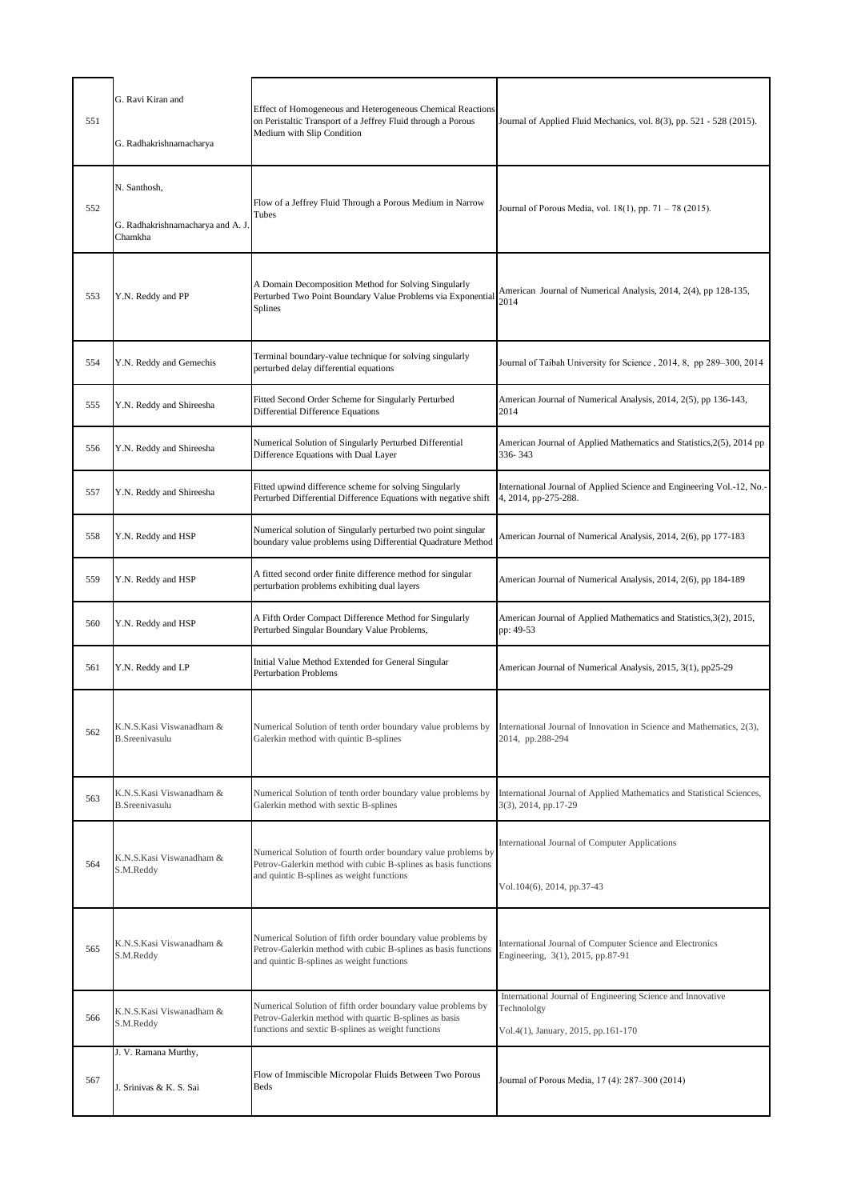| 551 | G. Ravi Kiran and<br>G. Radhakrishnamacharya                | Effect of Homogeneous and Heterogeneous Chemical Reactions<br>on Peristaltic Transport of a Jeffrey Fluid through a Porous<br>Medium with Slip Condition                     | Journal of Applied Fluid Mechanics, vol. 8(3), pp. 521 - 528 (2015).                                              |
|-----|-------------------------------------------------------------|------------------------------------------------------------------------------------------------------------------------------------------------------------------------------|-------------------------------------------------------------------------------------------------------------------|
| 552 | N. Santhosh,<br>G. Radhakrishnamacharya and A. J<br>Chamkha | Flow of a Jeffrey Fluid Through a Porous Medium in Narrow<br>Tubes                                                                                                           | Journal of Porous Media, vol. 18(1), pp. 71 – 78 (2015).                                                          |
| 553 | Y.N. Reddy and PP                                           | A Domain Decomposition Method for Solving Singularly<br>Perturbed Two Point Boundary Value Problems via Exponential<br>Splines                                               | American Journal of Numerical Analysis, 2014, 2(4), pp 128-135,<br>2014                                           |
| 554 | Y.N. Reddy and Gemechis                                     | Terminal boundary-value technique for solving singularly<br>perturbed delay differential equations                                                                           | Journal of Taibah University for Science, 2014, 8, pp 289-300, 2014                                               |
| 555 | Y.N. Reddy and Shireesha                                    | Fitted Second Order Scheme for Singularly Perturbed<br><b>Differential Difference Equations</b>                                                                              | American Journal of Numerical Analysis, 2014, 2(5), pp 136-143,<br>2014                                           |
| 556 | Y.N. Reddy and Shireesha                                    | Numerical Solution of Singularly Perturbed Differential<br>Difference Equations with Dual Layer                                                                              | American Journal of Applied Mathematics and Statistics, 2(5), 2014 pp<br>336-343                                  |
| 557 | Y.N. Reddy and Shireesha                                    | Fitted upwind difference scheme for solving Singularly<br>Perturbed Differential Difference Equations with negative shift                                                    | International Journal of Applied Science and Engineering Vol.-12, No.-<br>4, 2014, pp-275-288.                    |
| 558 | Y.N. Reddy and HSP                                          | Numerical solution of Singularly perturbed two point singular<br>boundary value problems using Differential Quadrature Method                                                | American Journal of Numerical Analysis, 2014, 2(6), pp 177-183                                                    |
| 559 | Y.N. Reddy and HSP                                          | A fitted second order finite difference method for singular<br>perturbation problems exhibiting dual layers                                                                  | American Journal of Numerical Analysis, 2014, 2(6), pp 184-189                                                    |
| 560 | Y.N. Reddy and HSP                                          | A Fifth Order Compact Difference Method for Singularly<br>Perturbed Singular Boundary Value Problems,                                                                        | American Journal of Applied Mathematics and Statistics, 3(2), 2015,<br>pp: 49-53                                  |
| 561 | Y.N. Reddy and LP                                           | Initial Value Method Extended for General Singular<br><b>Perturbation Problems</b>                                                                                           | American Journal of Numerical Analysis, 2015, 3(1), pp25-29                                                       |
| 562 | K.N.S.Kasi Viswanadham &<br><b>B.Sreenivasulu</b>           | Numerical Solution of tenth order boundary value problems by<br>Galerkin method with quintic B-splines                                                                       | International Journal of Innovation in Science and Mathematics, 2(3),<br>2014, pp.288-294                         |
| 563 | K.N.S.Kasi Viswanadham &<br><b>B.Sreenivasulu</b>           | Numerical Solution of tenth order boundary value problems by<br>Galerkin method with sextic B-splines                                                                        | International Journal of Applied Mathematics and Statistical Sciences,<br>3(3), 2014, pp.17-29                    |
| 564 | K.N.S.Kasi Viswanadham &<br>S.M.Reddy                       | Numerical Solution of fourth order boundary value problems by<br>Petrov-Galerkin method with cubic B-splines as basis functions<br>and quintic B-splines as weight functions | International Journal of Computer Applications<br>Vol.104(6), 2014, pp.37-43                                      |
| 565 | K.N.S.Kasi Viswanadham &<br>S.M.Reddy                       | Numerical Solution of fifth order boundary value problems by<br>Petrov-Galerkin method with cubic B-splines as basis functions<br>and quintic B-splines as weight functions  | International Journal of Computer Science and Electronics<br>Engineering, 3(1), 2015, pp.87-91                    |
| 566 | K.N.S.Kasi Viswanadham &<br>S.M.Reddy                       | Numerical Solution of fifth order boundary value problems by<br>Petrov-Galerkin method with quartic B-splines as basis<br>functions and sextic B-splines as weight functions | International Journal of Engineering Science and Innovative<br>Technololgy<br>Vol.4(1), January, 2015, pp.161-170 |
| 567 | J. V. Ramana Murthy,<br>J. Srinivas & K. S. Sai             | Flow of Immiscible Micropolar Fluids Between Two Porous<br>Beds                                                                                                              | Journal of Porous Media, 17 (4): 287–300 (2014)                                                                   |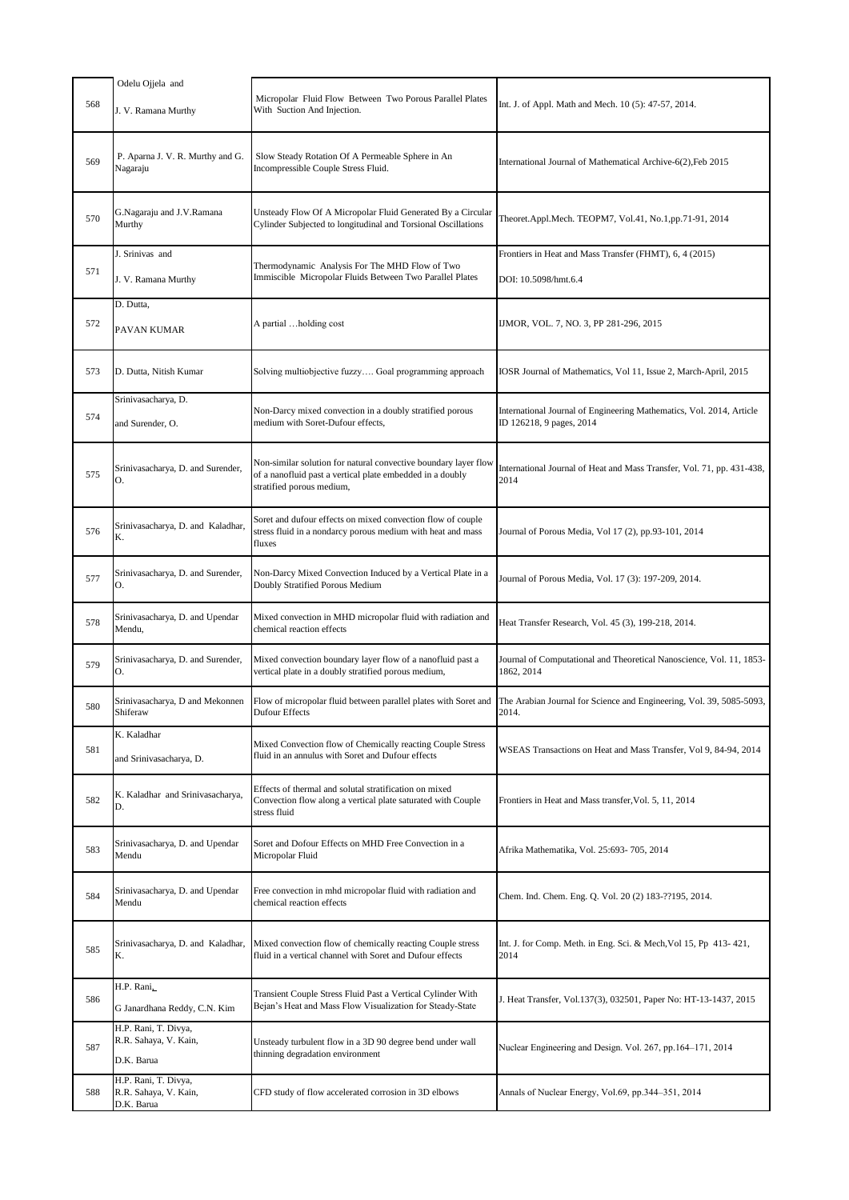| 568 | Odelu Ojjela and<br>J. V. Ramana Murthy                     | Micropolar Fluid Flow Between Two Porous Parallel Plates<br>With Suction And Injection.                                                                   | Int. J. of Appl. Math and Mech. 10 (5): 47-57, 2014.                                             |
|-----|-------------------------------------------------------------|-----------------------------------------------------------------------------------------------------------------------------------------------------------|--------------------------------------------------------------------------------------------------|
| 569 | P. Aparna J. V. R. Murthy and G.<br>Nagaraju                | Slow Steady Rotation Of A Permeable Sphere in An<br>Incompressible Couple Stress Fluid.                                                                   | International Journal of Mathematical Archive-6(2), Feb 2015                                     |
| 570 | G.Nagaraju and J.V.Ramana<br>Murthy                         | Unsteady Flow Of A Micropolar Fluid Generated By a Circular<br>Cylinder Subjected to longitudinal and Torsional Oscillations                              | Theoret.Appl.Mech. TEOPM7, Vol.41, No.1,pp.71-91, 2014                                           |
| 571 | J. Srinivas and<br>J. V. Ramana Murthy                      | Thermodynamic Analysis For The MHD Flow of Two<br>Immiscible Micropolar Fluids Between Two Parallel Plates                                                | Frontiers in Heat and Mass Transfer (FHMT), 6, 4 (2015)<br>DOI: 10.5098/hmt.6.4                  |
| 572 | D. Dutta,<br>PAVAN KUMAR                                    | A partial  holding cost                                                                                                                                   | IJMOR, VOL. 7, NO. 3, PP 281-296, 2015                                                           |
| 573 | D. Dutta, Nitish Kumar                                      | Solving multiobjective fuzzy Goal programming approach                                                                                                    | IOSR Journal of Mathematics, Vol 11, Issue 2, March-April, 2015                                  |
| 574 | Srinivasacharya, D.<br>and Surender, O.                     | Non-Darcy mixed convection in a doubly stratified porous<br>medium with Soret-Dufour effects,                                                             | International Journal of Engineering Mathematics, Vol. 2014, Article<br>ID 126218, 9 pages, 2014 |
| 575 | Srinivasacharya, D. and Surender,<br>О.                     | Non-similar solution for natural convective boundary layer flow<br>of a nanofluid past a vertical plate embedded in a doubly<br>stratified porous medium, | International Journal of Heat and Mass Transfer, Vol. 71, pp. 431-438,<br>2014                   |
| 576 | Srinivasacharya, D. and Kaladhar,<br>K.                     | Soret and dufour effects on mixed convection flow of couple<br>stress fluid in a nondarcy porous medium with heat and mass<br>fluxes                      | Journal of Porous Media, Vol 17 (2), pp.93-101, 2014                                             |
| 577 | Srinivasacharya, D. and Surender,<br>О.                     | Non-Darcy Mixed Convection Induced by a Vertical Plate in a<br>Doubly Stratified Porous Medium                                                            | Journal of Porous Media, Vol. 17 (3): 197-209, 2014.                                             |
| 578 | Srinivasacharya, D. and Upendar<br>Mendu,                   | Mixed convection in MHD micropolar fluid with radiation and<br>chemical reaction effects                                                                  | Heat Transfer Research, Vol. 45 (3), 199-218, 2014.                                              |
| 579 | Srinivasacharya, D. and Surender,<br>О.                     | Mixed convection boundary layer flow of a nanofluid past a<br>vertical plate in a doubly stratified porous medium,                                        | Journal of Computational and Theoretical Nanoscience, Vol. 11, 1853-<br>1862, 2014               |
| 580 | Srinivasacharya, D and Mekonnen<br>Shiferaw                 | Flow of micropolar fluid between parallel plates with Soret and<br><b>Dufour Effects</b>                                                                  | The Arabian Journal for Science and Engineering, Vol. 39, 5085-5093,<br>2014.                    |
| 581 | K. Kaladhar<br>and Srinivasacharya, D.                      | Mixed Convection flow of Chemically reacting Couple Stress<br>fluid in an annulus with Soret and Dufour effects                                           | WSEAS Transactions on Heat and Mass Transfer, Vol 9, 84-94, 2014                                 |
| 582 | K. Kaladhar and Srinivasacharya,<br>D.                      | Effects of thermal and solutal stratification on mixed<br>Convection flow along a vertical plate saturated with Couple<br>stress fluid                    | Frontiers in Heat and Mass transfer, Vol. 5, 11, 2014                                            |
| 583 | Srinivasacharya, D. and Upendar<br>Mendu                    | Soret and Dofour Effects on MHD Free Convection in a<br>Micropolar Fluid                                                                                  | Afrika Mathematika, Vol. 25:693- 705, 2014                                                       |
| 584 | Srinivasacharya, D. and Upendar<br>Mendu                    | Free convection in mhd micropolar fluid with radiation and<br>chemical reaction effects                                                                   | Chem. Ind. Chem. Eng. Q. Vol. 20 (2) 183-??195, 2014.                                            |
| 585 | Srinivasacharya, D. and Kaladhar,<br>K.                     | Mixed convection flow of chemically reacting Couple stress<br>fluid in a vertical channel with Soret and Dufour effects                                   | Int. J. for Comp. Meth. in Eng. Sci. & Mech, Vol 15, Pp 413-421,<br>2014                         |
| 586 | H.P. Rani,<br>G Janardhana Reddy, C.N. Kim                  | Transient Couple Stress Fluid Past a Vertical Cylinder With<br>Bejan's Heat and Mass Flow Visualization for Steady-State                                  | J. Heat Transfer, Vol.137(3), 032501, Paper No: HT-13-1437, 2015                                 |
| 587 | H.P. Rani, T. Divya,<br>R.R. Sahaya, V. Kain,<br>D.K. Barua | Unsteady turbulent flow in a 3D 90 degree bend under wall<br>thinning degradation environment                                                             | Nuclear Engineering and Design. Vol. 267, pp.164-171, 2014                                       |
| 588 | H.P. Rani, T. Divya,<br>R.R. Sahaya, V. Kain,<br>D.K. Barua | CFD study of flow accelerated corrosion in 3D elbows                                                                                                      | Annals of Nuclear Energy, Vol.69, pp.344-351, 2014                                               |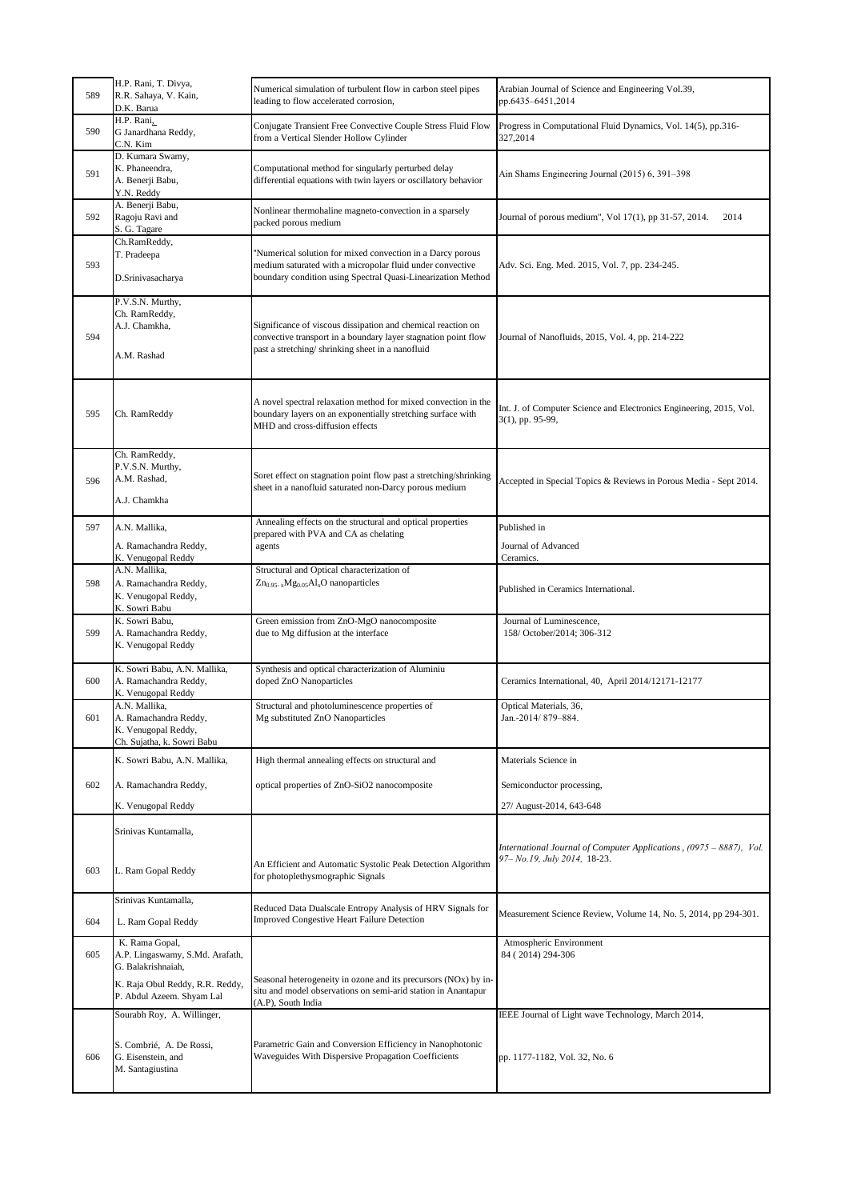| 589 | H.P. Rani, T. Divya,<br>R.R. Sahaya, V. Kain,<br>D.K. Barua                                 | Numerical simulation of turbulent flow in carbon steel pipes<br>leading to flow accelerated corrosion,                                                                                  | Arabian Journal of Science and Engineering Vol.39,<br>pp.6435-6451,2014                             |
|-----|---------------------------------------------------------------------------------------------|-----------------------------------------------------------------------------------------------------------------------------------------------------------------------------------------|-----------------------------------------------------------------------------------------------------|
| 590 | H.P. Rani,<br>G Janardhana Reddy,<br>C.N. Kim                                               | Conjugate Transient Free Convective Couple Stress Fluid Flow<br>from a Vertical Slender Hollow Cylinder                                                                                 | Progress in Computational Fluid Dynamics, Vol. 14(5), pp.316-<br>327,2014                           |
| 591 | D. Kumara Swamy,<br>K. Phaneendra,<br>A. Benerji Babu,<br>Y.N. Reddy                        | Computational method for singularly perturbed delay<br>differential equations with twin layers or oscillatory behavior                                                                  | Ain Shams Engineering Journal (2015) 6, 391-398                                                     |
| 592 | A. Benerji Babu,<br>Ragoju Ravi and<br>S. G. Tagare                                         | Nonlinear thermohaline magneto-convection in a sparsely<br>packed porous medium                                                                                                         | Journal of porous medium", Vol 17(1), pp 31-57, 2014.<br>2014                                       |
| 593 | Ch.RamReddy,<br>T. Pradeepa<br>D.Srinivasacharya                                            | 'Numerical solution for mixed convection in a Darcy porous<br>medium saturated with a micropolar fluid under convective<br>boundary condition using Spectral Quasi-Linearization Method | Adv. Sci. Eng. Med. 2015, Vol. 7, pp. 234-245.                                                      |
| 594 | P.V.S.N. Murthy,<br>Ch. RamReddy,<br>A.J. Chamkha,<br>A.M. Rashad                           | Significance of viscous dissipation and chemical reaction on<br>convective transport in a boundary layer stagnation point flow<br>past a stretching/shrinking sheet in a nanofluid      | Journal of Nanofluids, 2015, Vol. 4, pp. 214-222                                                    |
| 595 | Ch. RamReddy                                                                                | A novel spectral relaxation method for mixed convection in the<br>boundary layers on an exponentially stretching surface with<br>MHD and cross-diffusion effects                        | Int. J. of Computer Science and Electronics Engineering, 2015, Vol.<br>3(1), pp. 95-99,             |
| 596 | Ch. RamReddy,<br>P.V.S.N. Murthy,<br>A.M. Rashad,<br>A.J. Chamkha                           | Soret effect on stagnation point flow past a stretching/shrinking<br>sheet in a nanofluid saturated non-Darcy porous medium                                                             | Accepted in Special Topics & Reviews in Porous Media - Sept 2014.                                   |
| 597 | A.N. Mallika,<br>A. Ramachandra Reddy,<br>K. Venugopal Reddy                                | Annealing effects on the structural and optical properties<br>prepared with PVA and CA as chelating<br>agents                                                                           | Published in<br>Journal of Advanced<br>Ceramics.                                                    |
| 598 | A.N. Mallika,<br>A. Ramachandra Reddy,<br>K. Venugopal Reddy,<br>K. Sowri Babu              | Structural and Optical characterization of<br>$Zn_{0.95-x}Mg_{0.05}Al_xO$ nanoparticles                                                                                                 | Published in Ceramics International.                                                                |
| 599 | K. Sowri Babu,<br>A. Ramachandra Reddy,<br>K. Venugopal Reddy                               | Green emission from ZnO-MgO nanocomposite<br>due to Mg diffusion at the interface                                                                                                       | Journal of Luminescence,<br>158/ October/2014; 306-312                                              |
| 600 | K. Sowri Babu, A.N. Mallika,<br>A. Ramachandra Reddy,<br>K. Venugopal Reddy                 | Synthesis and optical characterization of Aluminiu<br>doped ZnO Nanoparticles                                                                                                           | Ceramics International, 40, April 2014/12171-12177                                                  |
| 601 | A.N. Mallika,<br>A. Ramachandra Reddy,<br>K. Venugopal Reddy,<br>Ch. Sujatha, k. Sowri Babu | Structural and photoluminescence properties of<br>Mg substituted ZnO Nanoparticles                                                                                                      | Optical Materials, 36,<br>Jan.-2014/879-884.                                                        |
|     | K. Sowri Babu, A.N. Mallika,                                                                | High thermal annealing effects on structural and                                                                                                                                        | Materials Science in                                                                                |
| 602 | A. Ramachandra Reddy,                                                                       | optical properties of ZnO-SiO2 nanocomposite                                                                                                                                            | Semiconductor processing,                                                                           |
|     | K. Venugopal Reddy                                                                          |                                                                                                                                                                                         | 27/ August-2014, 643-648                                                                            |
| 603 | Srinivas Kuntamalla,<br>L. Ram Gopal Reddy                                                  | An Efficient and Automatic Systolic Peak Detection Algorithm<br>for photoplethysmographic Signals                                                                                       | International Journal of Computer Applications, (0975 - 8887), Vol.<br>97- No.19, July 2014, 18-23. |
|     | Srinivas Kuntamalla,                                                                        |                                                                                                                                                                                         |                                                                                                     |
| 604 | L. Ram Gopal Reddy                                                                          | Reduced Data Dualscale Entropy Analysis of HRV Signals for<br>Improved Congestive Heart Failure Detection                                                                               | Measurement Science Review, Volume 14, No. 5, 2014, pp 294-301.                                     |
| 605 | K. Rama Gopal,<br>A.P. Lingaswamy, S.Md. Arafath,<br>G. Balakrishnaiah,                     |                                                                                                                                                                                         | Atmospheric Environment<br>84 (2014) 294-306                                                        |
|     | K. Raja Obul Reddy, R.R. Reddy,<br>P. Abdul Azeem. Shyam Lal                                | Seasonal heterogeneity in ozone and its precursors (NOx) by in-<br>situ and model observations on semi-arid station in Anantapur<br>(A.P), South India                                  |                                                                                                     |
|     | Sourabh Roy, A. Willinger,                                                                  |                                                                                                                                                                                         | IEEE Journal of Light wave Technology, March 2014,                                                  |
| 606 | S. Combrié, A. De Rossi,<br>G. Eisenstein, and<br>M. Santagiustina                          | Parametric Gain and Conversion Efficiency in Nanophotonic<br>Waveguides With Dispersive Propagation Coefficients                                                                        | pp. 1177-1182, Vol. 32, No. 6                                                                       |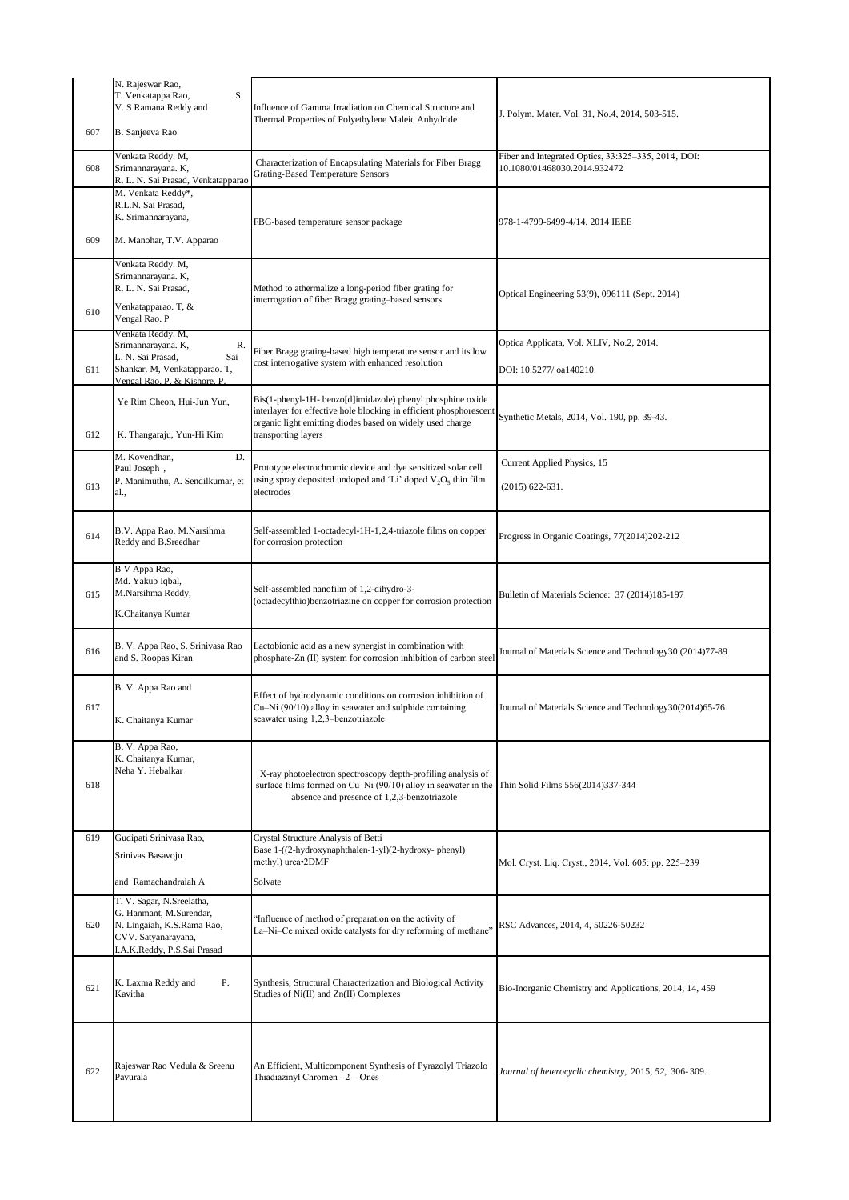|     | N. Rajeswar Rao,<br>T. Venkatappa Rao,<br>S.<br>V. S Ramana Reddy and                                                                      | Influence of Gamma Irradiation on Chemical Structure and<br>Thermal Properties of Polyethylene Maleic Anhydride                                                                                                      | J. Polym. Mater. Vol. 31, No.4, 2014, 503-515.                                      |
|-----|--------------------------------------------------------------------------------------------------------------------------------------------|----------------------------------------------------------------------------------------------------------------------------------------------------------------------------------------------------------------------|-------------------------------------------------------------------------------------|
| 607 | B. Sanjeeva Rao                                                                                                                            |                                                                                                                                                                                                                      |                                                                                     |
| 608 | Venkata Reddy. M,<br>Srimannarayana. K,<br>R. L. N. Sai Prasad, Venkatapparac                                                              | Characterization of Encapsulating Materials for Fiber Bragg<br><b>Grating-Based Temperature Sensors</b>                                                                                                              | Fiber and Integrated Optics, 33:325-335, 2014, DOI:<br>10.1080/01468030.2014.932472 |
|     | M. Venkata Reddy*,<br>R.L.N. Sai Prasad,<br>K. Srimannarayana,                                                                             | FBG-based temperature sensor package                                                                                                                                                                                 | 978-1-4799-6499-4/14, 2014 IEEE                                                     |
| 609 | M. Manohar, T.V. Apparao                                                                                                                   |                                                                                                                                                                                                                      |                                                                                     |
|     | Venkata Reddy. M,<br>Srimannarayana. K,<br>R. L. N. Sai Prasad,                                                                            | Method to athermalize a long-period fiber grating for<br>interrogation of fiber Bragg grating-based sensors                                                                                                          | Optical Engineering 53(9), 096111 (Sept. 2014)                                      |
| 610 | Venkatapparao. T, &<br>Vengal Rao. P                                                                                                       |                                                                                                                                                                                                                      |                                                                                     |
| 611 | Venkata Reddy. M,<br>Srimannarayana. K,<br>R.<br>L. N. Sai Prasad,<br>Sai<br>Shankar. M, Venkatapparao. T,<br>Vengal Rao, P. & Kishore, P. | Fiber Bragg grating-based high temperature sensor and its low<br>cost interrogative system with enhanced resolution                                                                                                  | Optica Applicata, Vol. XLIV, No.2, 2014.<br>DOI: 10.5277/ oa140210.                 |
| 612 | Ye Rim Cheon, Hui-Jun Yun,<br>K. Thangaraju, Yun-Hi Kim                                                                                    | Bis(1-phenyl-1H- benzo[d]imidazole) phenyl phosphine oxide<br>interlayer for effective hole blocking in efficient phosphorescent<br>organic light emitting diodes based on widely used charge<br>transporting layers | Synthetic Metals, 2014, Vol. 190, pp. 39-43.                                        |
|     | M. Kovendhan,<br>D.<br>Paul Joseph,                                                                                                        | Prototype electrochromic device and dye sensitized solar cell                                                                                                                                                        | Current Applied Physics, 15                                                         |
| 613 | P. Manimuthu, A. Sendilkumar, et<br>al.,                                                                                                   | using spray deposited undoped and 'Li' doped V <sub>2</sub> O <sub>5</sub> thin film<br>electrodes                                                                                                                   | $(2015) 622 - 631.$                                                                 |
| 614 | B.V. Appa Rao, M.Narsihma<br>Reddy and B.Sreedhar                                                                                          | Self-assembled 1-octadecyl-1H-1,2,4-triazole films on copper<br>for corrosion protection                                                                                                                             | Progress in Organic Coatings, 77(2014)202-212                                       |
| 615 | B V Appa Rao,<br>Md. Yakub Iqbal,<br>M.Narsihma Reddy,<br>K.Chaitanya Kumar                                                                | Self-assembled nanofilm of 1,2-dihydro-3-<br>(octadecylthio)benzotriazine on copper for corrosion protection                                                                                                         | Bulletin of Materials Science: 37 (2014)185-197                                     |
| 616 | B. V. Appa Rao, S. Srinivasa Rao<br>and S. Roopas Kiran                                                                                    | Lactobionic acid as a new synergist in combination with<br>phosphate-Zn (II) system for corrosion inhibition of carbon steel                                                                                         | Journal of Materials Science and Technology30 (2014)77-89                           |
| 617 | B. V. Appa Rao and<br>K. Chaitanya Kumar                                                                                                   | Effect of hydrodynamic conditions on corrosion inhibition of<br>Cu-Ni (90/10) alloy in seawater and sulphide containing<br>seawater using 1,2,3-benzotriazole                                                        | Journal of Materials Science and Technology30(2014)65-76                            |
| 618 | B. V. Appa Rao,<br>K. Chaitanya Kumar,<br>Neha Y. Hebalkar                                                                                 | X-ray photoelectron spectroscopy depth-profiling analysis of<br>surface films formed on Cu-Ni (90/10) alloy in seawater in the Thin Solid Films 556(2014)337-344<br>absence and presence of 1,2,3-benzotriazole      |                                                                                     |
| 619 | Gudipati Srinivasa Rao,<br>Srinivas Basavoju                                                                                               | Crystal Structure Analysis of Betti<br>Base 1-((2-hydroxynaphthalen-1-yl)(2-hydroxy-phenyl)<br>methyl) urea•2DMF                                                                                                     | Mol. Cryst. Liq. Cryst., 2014, Vol. 605: pp. 225-239                                |
|     | and Ramachandraiah A<br>T. V. Sagar, N. Sreelatha,                                                                                         | Solvate                                                                                                                                                                                                              |                                                                                     |
| 620 | G. Hanmant, M.Surendar,<br>N. Lingaiah, K.S.Rama Rao,<br>CVV. Satyanarayana,<br>I.A.K.Reddy, P.S.Sai Prasad                                | Influence of method of preparation on the activity of<br>La-Ni-Ce mixed oxide catalysts for dry reforming of methane'                                                                                                | RSC Advances, 2014, 4, 50226-50232                                                  |
| 621 | K. Laxma Reddy and<br>Ρ.<br>Kavitha                                                                                                        | Synthesis, Structural Characterization and Biological Activity<br>Studies of Ni(II) and Zn(II) Complexes                                                                                                             | Bio-Inorganic Chemistry and Applications, 2014, 14, 459                             |
| 622 | Rajeswar Rao Vedula & Sreenu<br>Pavurala                                                                                                   | An Efficient, Multicomponent Synthesis of Pyrazolyl Triazolo<br>Thiadiazinyl Chromen - 2 - Ones                                                                                                                      | Journal of heterocyclic chemistry, 2015, 52, 306-309.                               |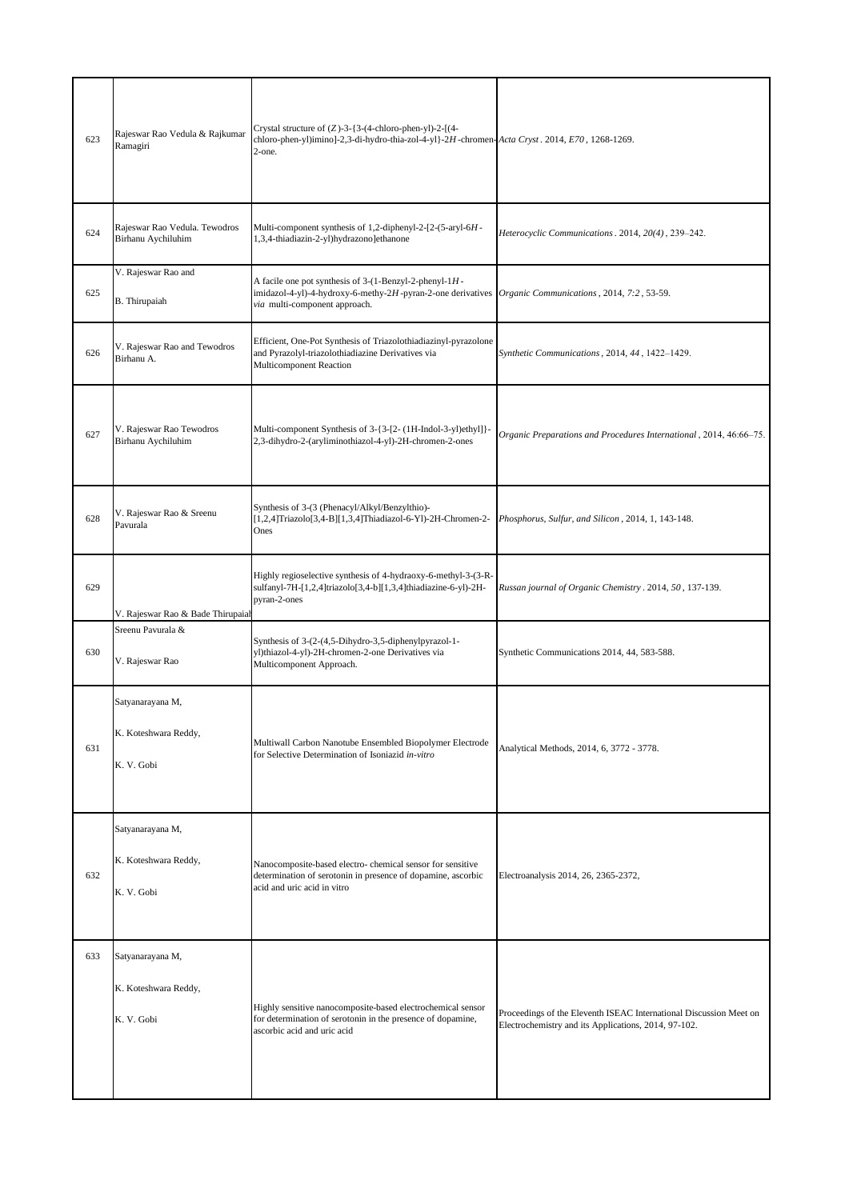| 623 | Rajeswar Rao Vedula & Rajkumar<br>Ramagiri             | Crystal structure of (Z)-3-{3-(4-chloro-phen-yl)-2-[(4-<br>chloro-phen-yl)imino]-2,3-di-hydro-thia-zol-4-yl}-2H-chromen-Acta Cryst. 2014, E70, 1268-1269.<br>2-one.                                 |                                                                                                                            |
|-----|--------------------------------------------------------|-----------------------------------------------------------------------------------------------------------------------------------------------------------------------------------------------------|----------------------------------------------------------------------------------------------------------------------------|
| 624 | Rajeswar Rao Vedula. Tewodros<br>Birhanu Aychiluhim    | Multi-component synthesis of 1,2-diphenyl-2-[2-(5-aryl-6H-<br>1,3,4-thiadiazin-2-yl)hydrazono]ethanone                                                                                              | Heterocyclic Communications . 2014, 20(4), 239-242.                                                                        |
| 625 | V. Rajeswar Rao and<br>B. Thirupaiah                   | A facile one pot synthesis of $3-(1-Benzyl-2-phenyl-1H -$<br>imidazol-4-yl)-4-hydroxy-6-methy-2H-pyran-2-one derivatives Organic Communications, 2014, 7:2, 53-59.<br>via multi-component approach. |                                                                                                                            |
| 626 | V. Rajeswar Rao and Tewodros<br>Birhanu A.             | Efficient, One-Pot Synthesis of Triazolothiadiazinyl-pyrazolone<br>and Pyrazolyl-triazolothiadiazine Derivatives via<br><b>Multicomponent Reaction</b>                                              | Synthetic Communications, 2014, 44, 1422-1429.                                                                             |
| 627 | V. Rajeswar Rao Tewodros<br>Birhanu Aychiluhim         | Multi-component Synthesis of 3-{3-[2- (1H-Indol-3-yl)ethyl]}-<br>2,3-dihydro-2-(aryliminothiazol-4-yl)-2H-chromen-2-ones                                                                            | Organic Preparations and Procedures International, 2014, 46:66-75.                                                         |
| 628 | V. Rajeswar Rao & Sreenu<br>Pavurala                   | Synthesis of 3-(3 (Phenacyl/Alkyl/Benzylthio)-<br>[1,2,4]Triazolo[3,4-B][1,3,4]Thiadiazol-6-Yl)-2H-Chromen-2-<br>Ones                                                                               | Phosphorus, Sulfur, and Silicon, 2014, 1, 143-148.                                                                         |
| 629 | V. Rajeswar Rao & Bade Thirupaial                      | Highly regioselective synthesis of 4-hydraoxy-6-methyl-3-(3-R-<br>sulfanyl-7H-[1,2,4]triazolo[3,4-b][1,3,4]thiadiazine-6-yl)-2H-<br>pyran-2-ones                                                    | Russan journal of Organic Chemistry . 2014, 50, 137-139.                                                                   |
| 630 | Sreenu Pavurala &<br>V. Rajeswar Rao                   | Synthesis of 3-(2-(4,5-Dihydro-3,5-diphenylpyrazol-1-<br>yl)thiazol-4-yl)-2H-chromen-2-one Derivatives via<br>Multicomponent Approach.                                                              | Synthetic Communications 2014, 44, 583-588.                                                                                |
| 631 | Satyanarayana M,<br>K. Koteshwara Reddy,<br>K. V. Gobi | Multiwall Carbon Nanotube Ensembled Biopolymer Electrode<br>for Selective Determination of Isoniazid in-vitro                                                                                       | Analytical Methods, 2014, 6, 3772 - 3778.                                                                                  |
| 632 | Satyanarayana M,<br>K. Koteshwara Reddy,<br>K. V. Gobi | Nanocomposite-based electro- chemical sensor for sensitive<br>determination of serotonin in presence of dopamine, ascorbic<br>acid and uric acid in vitro                                           | Electroanalysis 2014, 26, 2365-2372,                                                                                       |
| 633 | Satyanarayana M,<br>K. Koteshwara Reddy,<br>K. V. Gobi | Highly sensitive nanocomposite-based electrochemical sensor<br>for determination of serotonin in the presence of dopamine,<br>ascorbic acid and uric acid                                           | Proceedings of the Eleventh ISEAC International Discussion Meet on<br>Electrochemistry and its Applications, 2014, 97-102. |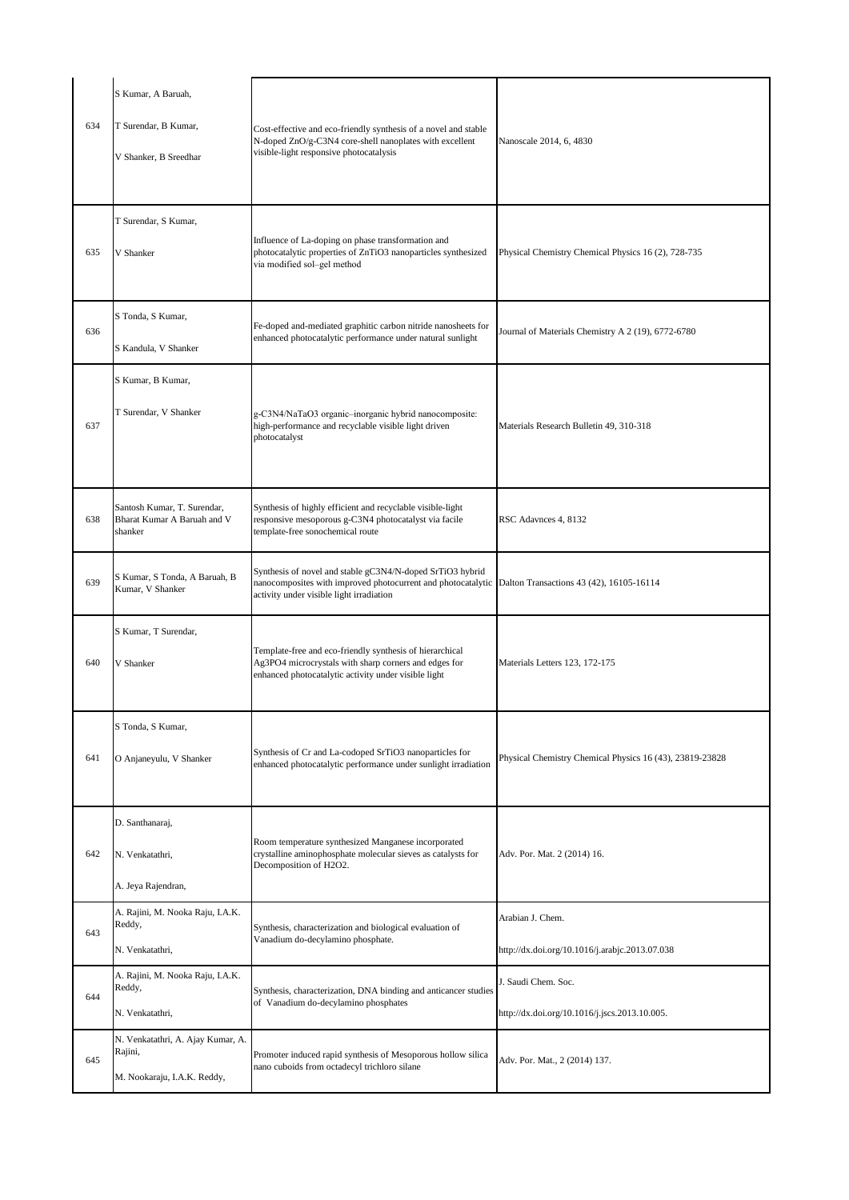| 634 | S Kumar, A Baruah,<br>T Surendar, B Kumar,<br>V Shanker, B Sreedhar         | Cost-effective and eco-friendly synthesis of a novel and stable<br>N-doped ZnO/g-C3N4 core-shell nanoplates with excellent<br>visible-light responsive photocatalysis                                          | Nanoscale 2014, 6, 4830                                              |
|-----|-----------------------------------------------------------------------------|----------------------------------------------------------------------------------------------------------------------------------------------------------------------------------------------------------------|----------------------------------------------------------------------|
| 635 | T Surendar, S Kumar,<br>V Shanker                                           | Influence of La-doping on phase transformation and<br>photocatalytic properties of ZnTiO3 nanoparticles synthesized<br>via modified sol-gel method                                                             | Physical Chemistry Chemical Physics 16 (2), 728-735                  |
| 636 | S Tonda, S Kumar,<br>S Kandula, V Shanker                                   | Fe-doped and-mediated graphitic carbon nitride nanosheets for<br>enhanced photocatalytic performance under natural sunlight                                                                                    | Journal of Materials Chemistry A 2 (19), 6772-6780                   |
| 637 | S Kumar, B Kumar,<br>T Surendar, V Shanker                                  | g-C3N4/NaTaO3 organic-inorganic hybrid nanocomposite:<br>high-performance and recyclable visible light driven<br>photocatalyst                                                                                 | Materials Research Bulletin 49, 310-318                              |
| 638 | Santosh Kumar, T. Surendar,<br>Bharat Kumar A Baruah and V<br>shanker       | Synthesis of highly efficient and recyclable visible-light<br>responsive mesoporous g-C3N4 photocatalyst via facile<br>template-free sonochemical route                                                        | RSC Adavnces 4, 8132                                                 |
| 639 | S Kumar, S Tonda, A Baruah, B<br>Kumar, V Shanker                           | Synthesis of novel and stable gC3N4/N-doped SrTiO3 hybrid<br>nanocomposites with improved photocurrent and photocatalytic Dalton Transactions 43 (42), 16105-16114<br>activity under visible light irradiation |                                                                      |
| 640 | S Kumar, T Surendar,<br>V Shanker                                           | Template-free and eco-friendly synthesis of hierarchical<br>Ag3PO4 microcrystals with sharp corners and edges for<br>enhanced photocatalytic activity under visible light                                      | Materials Letters 123, 172-175                                       |
| 641 | S Tonda, S Kumar,<br>O Anjaneyulu, V Shanker                                | Synthesis of Cr and La-codoped SrTiO3 nanoparticles for<br>enhanced photocatalytic performance under sunlight irradiation                                                                                      | Physical Chemistry Chemical Physics 16 (43), 23819-23828             |
| 642 | D. Santhanaraj,<br>N. Venkatathri,<br>A. Jeya Rajendran,                    | Room temperature synthesized Manganese incorporated<br>crystalline aminophosphate molecular sieves as catalysts for<br>Decomposition of H2O2.                                                                  | Adv. Por. Mat. 2 (2014) 16.                                          |
| 643 | A. Rajini, M. Nooka Raju, I.A.K.<br>Reddy,<br>N. Venkatathri,               | Synthesis, characterization and biological evaluation of<br>Vanadium do-decylamino phosphate.                                                                                                                  | Arabian J. Chem.<br>http://dx.doi.org/10.1016/j.arabjc.2013.07.038   |
| 644 | A. Rajini, M. Nooka Raju, I.A.K.<br>Reddy,<br>N. Venkatathri,               | Synthesis, characterization, DNA binding and anticancer studies<br>of Vanadium do-decylamino phosphates                                                                                                        | J. Saudi Chem. Soc.<br>http://dx.doi.org/10.1016/j.jscs.2013.10.005. |
| 645 | N. Venkatathri, A. Ajay Kumar, A.<br>Rajini,<br>M. Nookaraju, I.A.K. Reddy, | Promoter induced rapid synthesis of Mesoporous hollow silica<br>nano cuboids from octadecyl trichloro silane                                                                                                   | Adv. Por. Mat., 2 (2014) 137.                                        |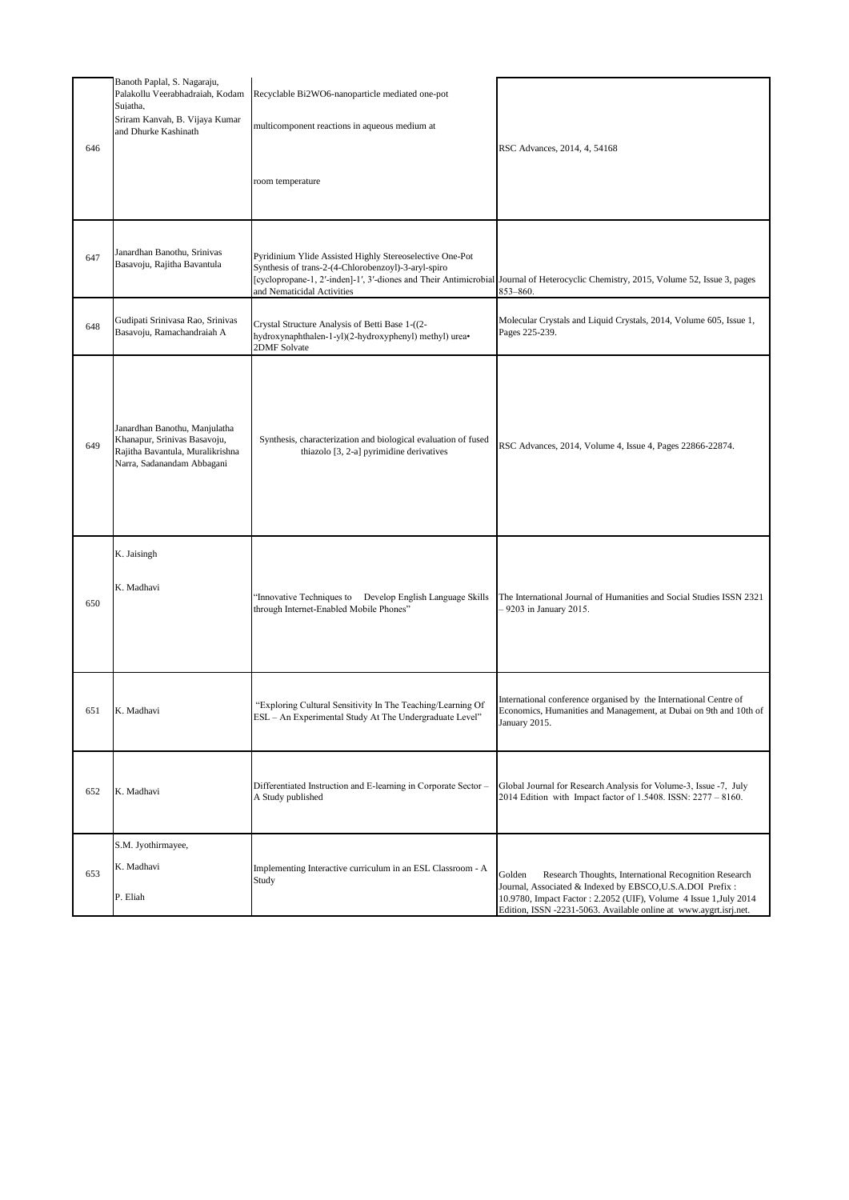|     | Banoth Paplal, S. Nagaraju,                                      |                                                                                                                 |                                                                                                                                                 |
|-----|------------------------------------------------------------------|-----------------------------------------------------------------------------------------------------------------|-------------------------------------------------------------------------------------------------------------------------------------------------|
|     | Palakollu Veerabhadraiah, Kodam                                  | Recyclable Bi2WO6-nanoparticle mediated one-pot                                                                 |                                                                                                                                                 |
|     | Suiatha.<br>Sriram Kanvah, B. Vijaya Kumar                       |                                                                                                                 |                                                                                                                                                 |
|     | and Dhurke Kashinath                                             | multicomponent reactions in aqueous medium at                                                                   |                                                                                                                                                 |
| 646 |                                                                  |                                                                                                                 | RSC Advances, 2014, 4, 54168                                                                                                                    |
|     |                                                                  | room temperature                                                                                                |                                                                                                                                                 |
|     |                                                                  |                                                                                                                 |                                                                                                                                                 |
|     |                                                                  |                                                                                                                 |                                                                                                                                                 |
|     |                                                                  |                                                                                                                 |                                                                                                                                                 |
| 647 | Janardhan Banothu, Srinivas<br>Basavoju, Rajitha Bavantula       | Pyridinium Ylide Assisted Highly Stereoselective One-Pot<br>Synthesis of trans-2-(4-Chlorobenzoyl)-3-aryl-spiro |                                                                                                                                                 |
|     |                                                                  |                                                                                                                 | [cyclopropane-1, 2'-inden]-1', 3'-diones and Their Antimicrobial Journal of Heterocyclic Chemistry, 2015, Volume 52, Issue 3, pages<br>853-860. |
|     |                                                                  | and Nematicidal Activities                                                                                      |                                                                                                                                                 |
| 648 | Gudipati Srinivasa Rao, Srinivas<br>Basavoju, Ramachandraiah A   | Crystal Structure Analysis of Betti Base 1-((2-                                                                 | Molecular Crystals and Liquid Crystals, 2014, Volume 605, Issue 1,<br>Pages 225-239.                                                            |
|     |                                                                  | hydroxynaphthalen-1-yl)(2-hydroxyphenyl) methyl) urea•<br>2DMF Solvate                                          |                                                                                                                                                 |
|     |                                                                  |                                                                                                                 |                                                                                                                                                 |
|     |                                                                  |                                                                                                                 |                                                                                                                                                 |
|     |                                                                  |                                                                                                                 |                                                                                                                                                 |
|     | Janardhan Banothu, Manjulatha                                    |                                                                                                                 |                                                                                                                                                 |
| 649 | Khanapur, Srinivas Basavoju,<br>Rajitha Bavantula, Muralikrishna | Synthesis, characterization and biological evaluation of fused<br>thiazolo [3, 2-a] pyrimidine derivatives      | RSC Advances, 2014, Volume 4, Issue 4, Pages 22866-22874.                                                                                       |
|     | Narra, Sadanandam Abbagani                                       |                                                                                                                 |                                                                                                                                                 |
|     |                                                                  |                                                                                                                 |                                                                                                                                                 |
|     |                                                                  |                                                                                                                 |                                                                                                                                                 |
|     |                                                                  |                                                                                                                 |                                                                                                                                                 |
|     | K. Jaisingh                                                      |                                                                                                                 |                                                                                                                                                 |
|     |                                                                  |                                                                                                                 |                                                                                                                                                 |
| 650 | K. Madhavi                                                       | 'Innovative Techniques to Develop English Language Skills                                                       | The International Journal of Humanities and Social Studies ISSN 2321                                                                            |
|     |                                                                  | through Internet-Enabled Mobile Phones"                                                                         | - 9203 in January 2015.                                                                                                                         |
|     |                                                                  |                                                                                                                 |                                                                                                                                                 |
|     |                                                                  |                                                                                                                 |                                                                                                                                                 |
|     |                                                                  |                                                                                                                 |                                                                                                                                                 |
|     |                                                                  | "Exploring Cultural Sensitivity In The Teaching/Learning Of                                                     | International conference organised by the International Centre of                                                                               |
| 651 | K. Madhavi                                                       | ESL - An Experimental Study At The Undergraduate Level"                                                         | Economics, Humanities and Management, at Dubai on 9th and 10th of<br>January 2015.                                                              |
|     |                                                                  |                                                                                                                 |                                                                                                                                                 |
|     |                                                                  |                                                                                                                 |                                                                                                                                                 |
| 652 | K. Madhavi                                                       | Differentiated Instruction and E-learning in Corporate Sector -                                                 | Global Journal for Research Analysis for Volume-3, Issue -7, July                                                                               |
|     |                                                                  | A Study published                                                                                               | 2014 Edition with Impact factor of 1.5408. ISSN: 2277 - 8160.                                                                                   |
|     |                                                                  |                                                                                                                 |                                                                                                                                                 |
|     | S.M. Jyothirmayee,                                               |                                                                                                                 |                                                                                                                                                 |
| 653 | K. Madhavi                                                       | Implementing Interactive curriculum in an ESL Classroom - A                                                     | Research Thoughts, International Recognition Research<br>Golden                                                                                 |
|     | P. Eliah                                                         | Study                                                                                                           | Journal, Associated & Indexed by EBSCO,U.S.A.DOI Prefix :<br>10.9780, Impact Factor: 2.2052 (UIF), Volume 4 Issue 1, July 2014                  |
|     |                                                                  |                                                                                                                 | Edition, ISSN -2231-5063. Available online at www.aygrt.isrj.net.                                                                               |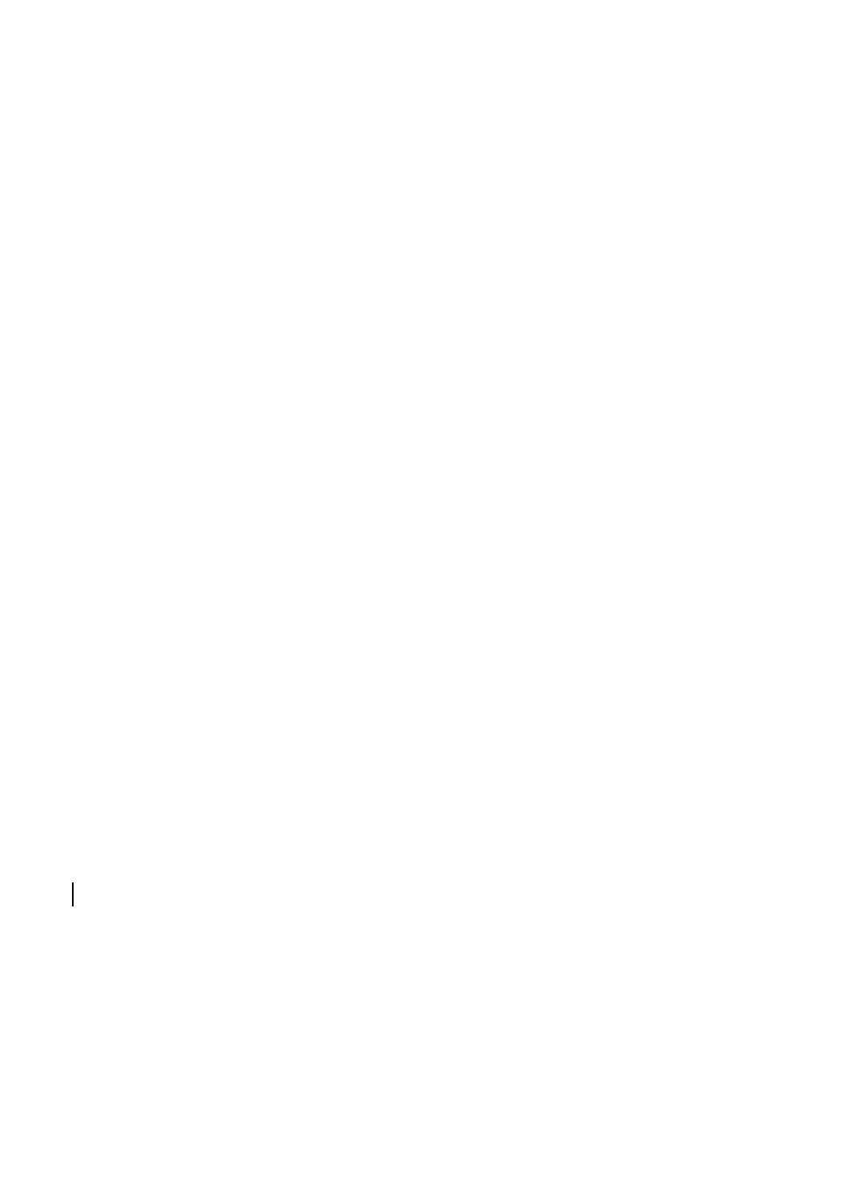$\overline{\phantom{a}}$